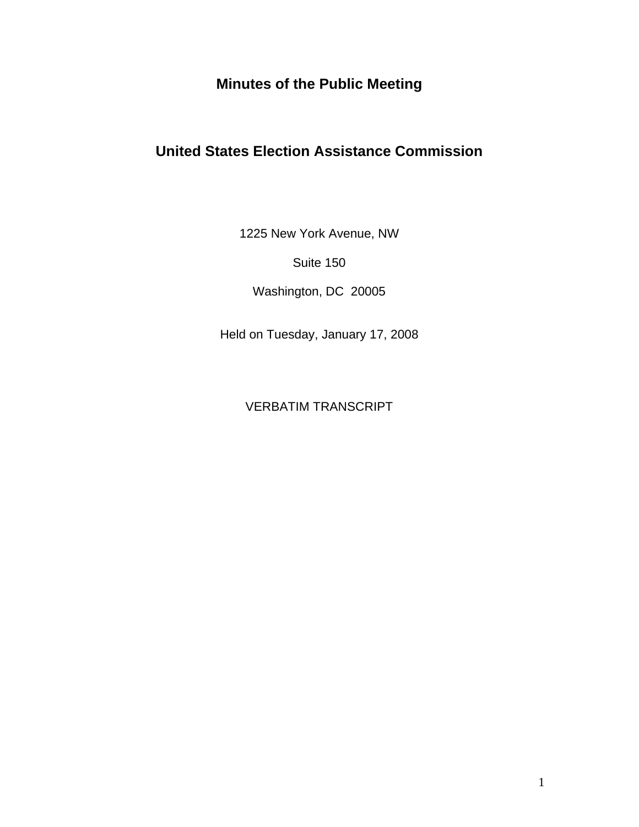# **Minutes of the Public Meeting**

# **United States Election Assistance Commission**

1225 New York Avenue, NW

Suite 150

Washington, DC 20005

Held on Tuesday, January 17, 2008

VERBATIM TRANSCRIPT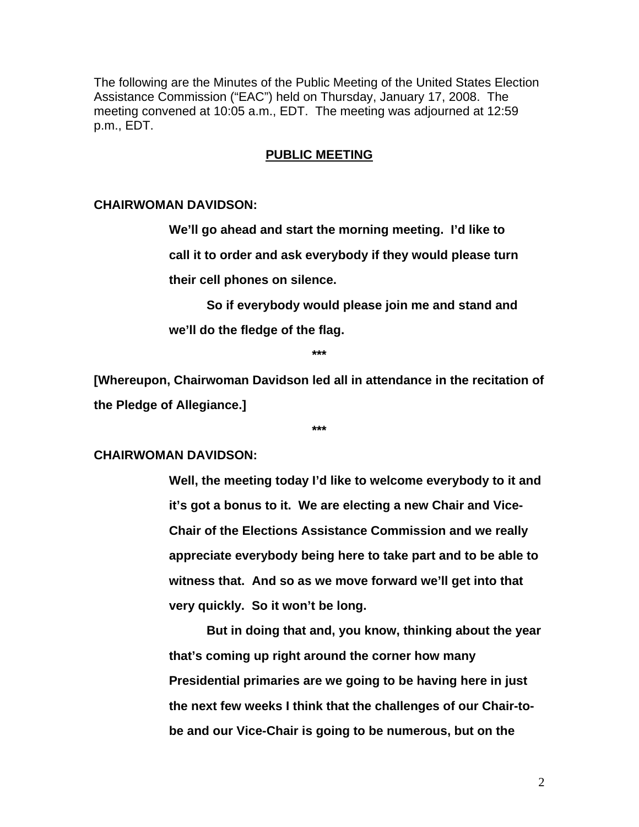The following are the Minutes of the Public Meeting of the United States Election Assistance Commission ("EAC") held on Thursday, January 17, 2008. The meeting convened at 10:05 a.m., EDT. The meeting was adjourned at 12:59 p.m., EDT.

# **PUBLIC MEETING**

# **CHAIRWOMAN DAVIDSON:**

**We'll go ahead and start the morning meeting. I'd like to call it to order and ask everybody if they would please turn their cell phones on silence.** 

**So if everybody would please join me and stand and we'll do the fledge of the flag.** 

**\*\*\*** 

**[Whereupon, Chairwoman Davidson led all in attendance in the recitation of the Pledge of Allegiance.]** 

**\*\*\*** 

#### **CHAIRWOMAN DAVIDSON:**

**Well, the meeting today I'd like to welcome everybody to it and it's got a bonus to it. We are electing a new Chair and Vice-Chair of the Elections Assistance Commission and we really appreciate everybody being here to take part and to be able to witness that. And so as we move forward we'll get into that very quickly. So it won't be long.** 

 **But in doing that and, you know, thinking about the year that's coming up right around the corner how many Presidential primaries are we going to be having here in just the next few weeks I think that the challenges of our Chair-tobe and our Vice-Chair is going to be numerous, but on the**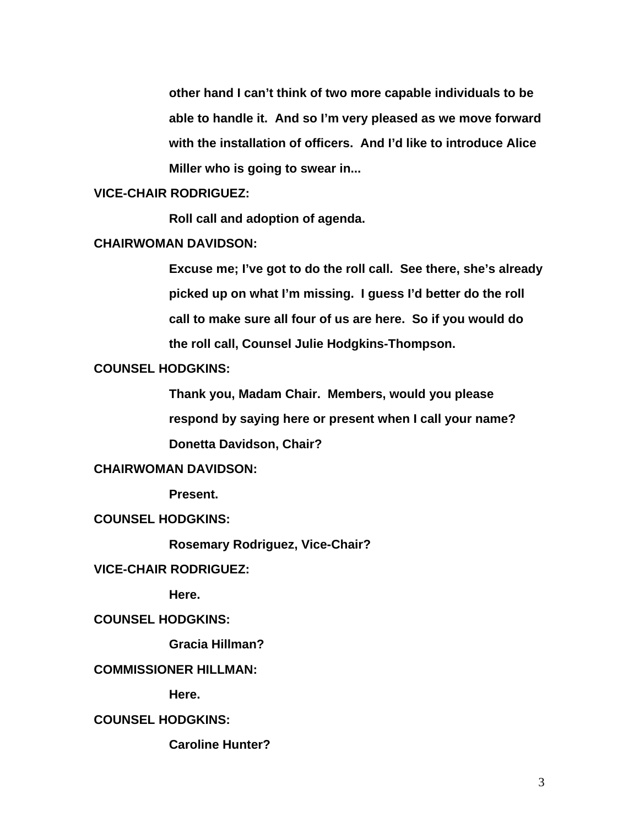**other hand I can't think of two more capable individuals to be able to handle it. And so I'm very pleased as we move forward with the installation of officers. And I'd like to introduce Alice Miller who is going to swear in...** 

# **VICE-CHAIR RODRIGUEZ:**

 **Roll call and adoption of agenda.** 

# **CHAIRWOMAN DAVIDSON:**

**Excuse me; I've got to do the roll call. See there, she's already picked up on what I'm missing. I guess I'd better do the roll call to make sure all four of us are here. So if you would do the roll call, Counsel Julie Hodgkins-Thompson.** 

# **COUNSEL HODGKINS:**

**Thank you, Madam Chair. Members, would you please respond by saying here or present when I call your name? Donetta Davidson, Chair?** 

# **CHAIRWOMAN DAVIDSON:**

 **Present.** 

# **COUNSEL HODGKINS:**

 **Rosemary Rodriguez, Vice-Chair?** 

# **VICE-CHAIR RODRIGUEZ:**

 **Here.** 

# **COUNSEL HODGKINS:**

 **Gracia Hillman?** 

#### **COMMISSIONER HILLMAN:**

 **Here.** 

# **COUNSEL HODGKINS:**

 **Caroline Hunter?**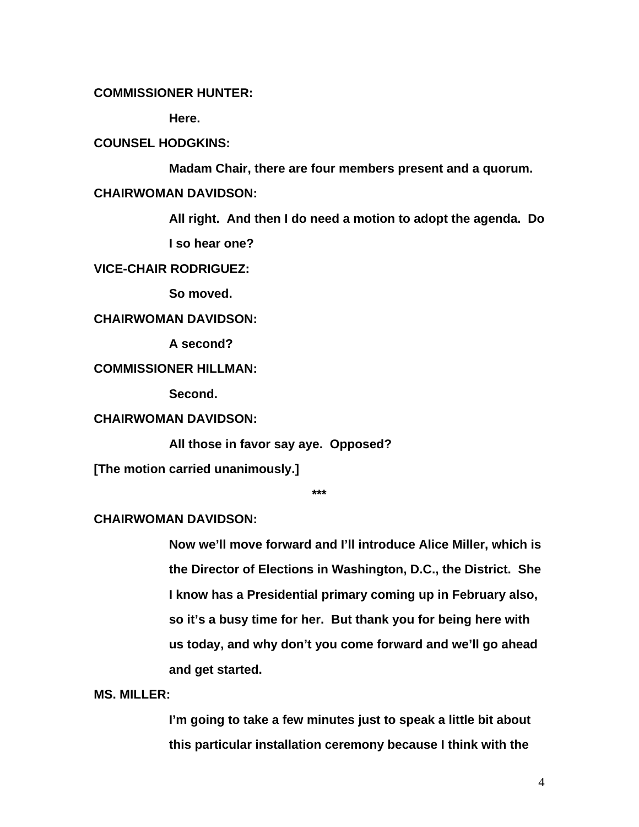# **COMMISSIONER HUNTER:**

 **Here.** 

### **COUNSEL HODGKINS:**

 **Madam Chair, there are four members present and a quorum.** 

### **CHAIRWOMAN DAVIDSON:**

**All right. And then I do need a motion to adopt the agenda. Do I so hear one?** 

#### **VICE-CHAIR RODRIGUEZ:**

 **So moved.** 

#### **CHAIRWOMAN DAVIDSON:**

 **A second?** 

# **COMMISSIONER HILLMAN:**

 **Second.** 

# **CHAIRWOMAN DAVIDSON:**

 **All those in favor say aye. Opposed?** 

**[The motion carried unanimously.]** 

**\*\*\*** 

# **CHAIRWOMAN DAVIDSON:**

**Now we'll move forward and I'll introduce Alice Miller, which is the Director of Elections in Washington, D.C., the District. She I know has a Presidential primary coming up in February also, so it's a busy time for her. But thank you for being here with us today, and why don't you come forward and we'll go ahead and get started.** 

# **MS. MILLER:**

**I'm going to take a few minutes just to speak a little bit about this particular installation ceremony because I think with the**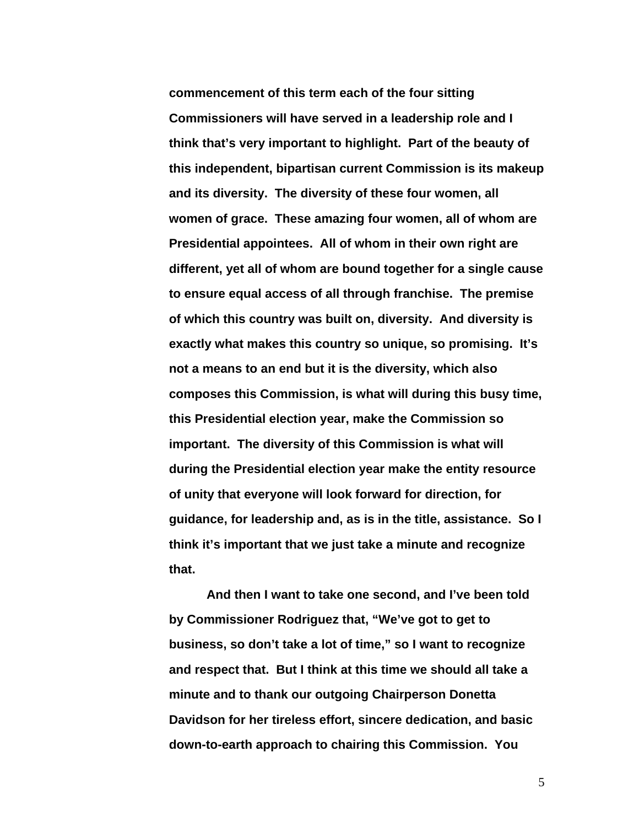**commencement of this term each of the four sitting Commissioners will have served in a leadership role and I think that's very important to highlight. Part of the beauty of this independent, bipartisan current Commission is its makeup and its diversity. The diversity of these four women, all women of grace. These amazing four women, all of whom are Presidential appointees. All of whom in their own right are different, yet all of whom are bound together for a single cause to ensure equal access of all through franchise. The premise of which this country was built on, diversity. And diversity is exactly what makes this country so unique, so promising. It's not a means to an end but it is the diversity, which also composes this Commission, is what will during this busy time, this Presidential election year, make the Commission so important. The diversity of this Commission is what will during the Presidential election year make the entity resource of unity that everyone will look forward for direction, for guidance, for leadership and, as is in the title, assistance. So I think it's important that we just take a minute and recognize that.** 

**And then I want to take one second, and I've been told by Commissioner Rodriguez that, "We've got to get to business, so don't take a lot of time," so I want to recognize and respect that. But I think at this time we should all take a minute and to thank our outgoing Chairperson Donetta Davidson for her tireless effort, sincere dedication, and basic down-to-earth approach to chairing this Commission. You**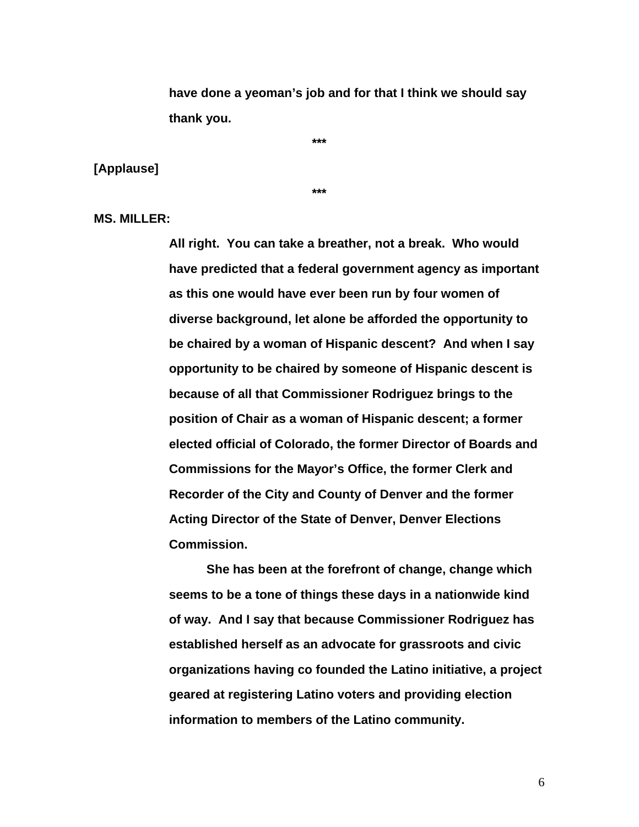**have done a yeoman's job and for that I think we should say thank you.** 

**[Applause]** 

**\*\*\*** 

**\*\*\*** 

**MS. MILLER:** 

**All right. You can take a breather, not a break. Who would have predicted that a federal government agency as important as this one would have ever been run by four women of diverse background, let alone be afforded the opportunity to be chaired by a woman of Hispanic descent? And when I say opportunity to be chaired by someone of Hispanic descent is because of all that Commissioner Rodriguez brings to the position of Chair as a woman of Hispanic descent; a former elected official of Colorado, the former Director of Boards and Commissions for the Mayor's Office, the former Clerk and Recorder of the City and County of Denver and the former Acting Director of the State of Denver, Denver Elections Commission.** 

**She has been at the forefront of change, change which seems to be a tone of things these days in a nationwide kind of way. And I say that because Commissioner Rodriguez has established herself as an advocate for grassroots and civic organizations having co founded the Latino initiative, a project geared at registering Latino voters and providing election information to members of the Latino community.**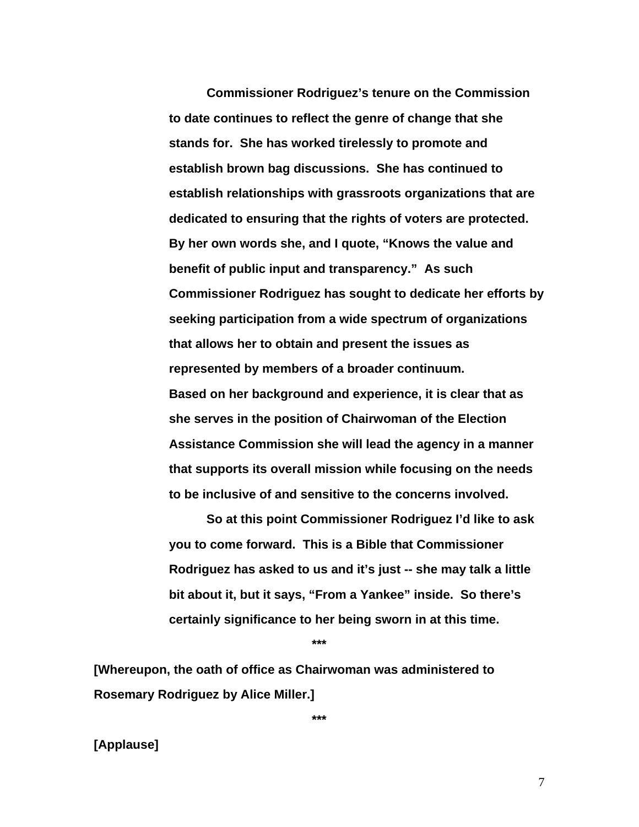**Commissioner Rodriguez's tenure on the Commission to date continues to reflect the genre of change that she stands for. She has worked tirelessly to promote and establish brown bag discussions. She has continued to establish relationships with grassroots organizations that are dedicated to ensuring that the rights of voters are protected. By her own words she, and I quote, "Knows the value and benefit of public input and transparency." As such Commissioner Rodriguez has sought to dedicate her efforts by seeking participation from a wide spectrum of organizations that allows her to obtain and present the issues as represented by members of a broader continuum. Based on her background and experience, it is clear that as she serves in the position of Chairwoman of the Election Assistance Commission she will lead the agency in a manner that supports its overall mission while focusing on the needs to be inclusive of and sensitive to the concerns involved.** 

 **So at this point Commissioner Rodriguez I'd like to ask you to come forward. This is a Bible that Commissioner Rodriguez has asked to us and it's just -- she may talk a little bit about it, but it says, "From a Yankee" inside. So there's certainly significance to her being sworn in at this time.** 

**\*\*\*** 

**[Whereupon, the oath of office as Chairwoman was administered to Rosemary Rodriguez by Alice Miller.]** 

**\*\*\*** 

# **[Applause]**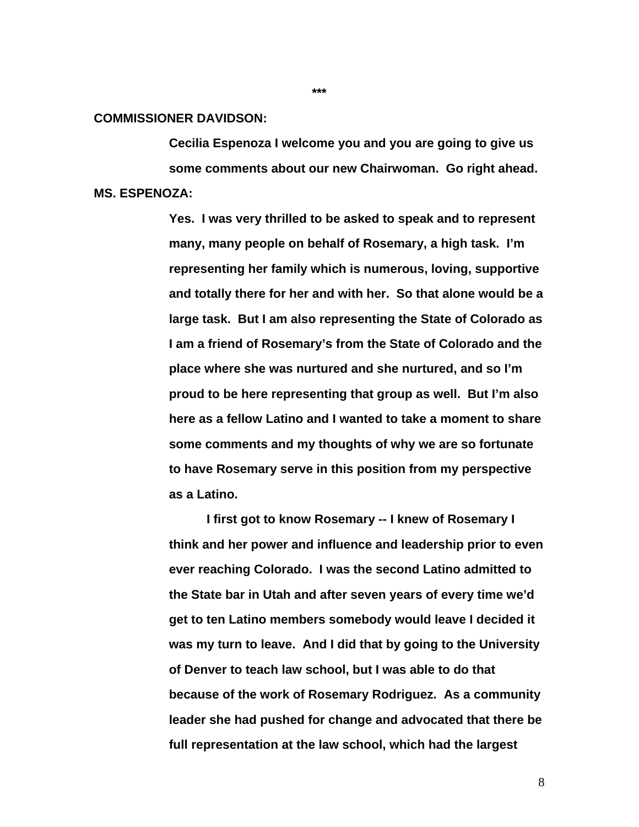#### **COMMISSIONER DAVIDSON:**

**Cecilia Espenoza I welcome you and you are going to give us some comments about our new Chairwoman. Go right ahead. MS. ESPENOZA:** 

> **Yes. I was very thrilled to be asked to speak and to represent many, many people on behalf of Rosemary, a high task. I'm representing her family which is numerous, loving, supportive and totally there for her and with her. So that alone would be a large task. But I am also representing the State of Colorado as I am a friend of Rosemary's from the State of Colorado and the place where she was nurtured and she nurtured, and so I'm proud to be here representing that group as well. But I'm also here as a fellow Latino and I wanted to take a moment to share some comments and my thoughts of why we are so fortunate to have Rosemary serve in this position from my perspective as a Latino.**

> **I first got to know Rosemary -- I knew of Rosemary I think and her power and influence and leadership prior to even ever reaching Colorado. I was the second Latino admitted to the State bar in Utah and after seven years of every time we'd get to ten Latino members somebody would leave I decided it was my turn to leave. And I did that by going to the University of Denver to teach law school, but I was able to do that because of the work of Rosemary Rodriguez. As a community leader she had pushed for change and advocated that there be full representation at the law school, which had the largest**

**\*\*\***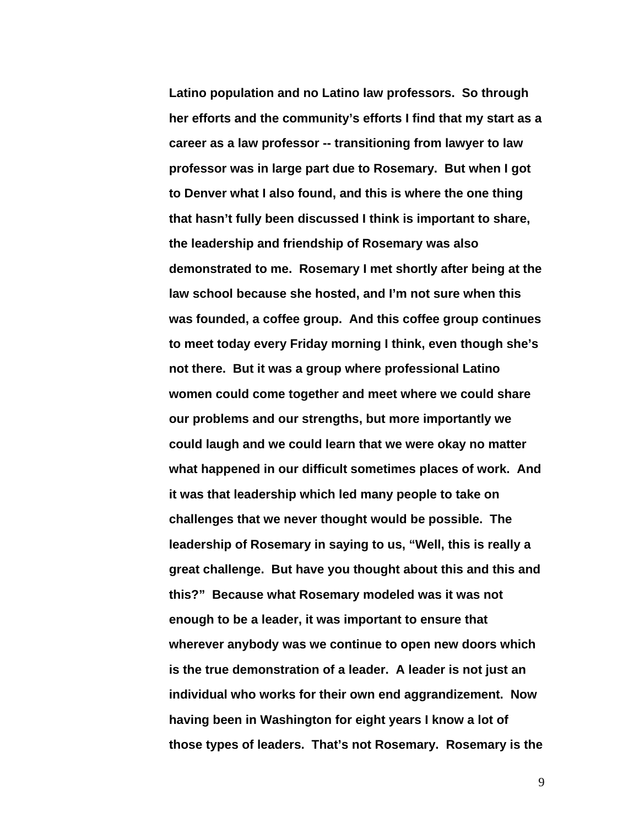**Latino population and no Latino law professors. So through her efforts and the community's efforts I find that my start as a career as a law professor -- transitioning from lawyer to law professor was in large part due to Rosemary. But when I got to Denver what I also found, and this is where the one thing that hasn't fully been discussed I think is important to share, the leadership and friendship of Rosemary was also demonstrated to me. Rosemary I met shortly after being at the law school because she hosted, and I'm not sure when this was founded, a coffee group. And this coffee group continues to meet today every Friday morning I think, even though she's not there. But it was a group where professional Latino women could come together and meet where we could share our problems and our strengths, but more importantly we could laugh and we could learn that we were okay no matter what happened in our difficult sometimes places of work. And it was that leadership which led many people to take on challenges that we never thought would be possible. The leadership of Rosemary in saying to us, "Well, this is really a great challenge. But have you thought about this and this and this?" Because what Rosemary modeled was it was not enough to be a leader, it was important to ensure that wherever anybody was we continue to open new doors which is the true demonstration of a leader. A leader is not just an individual who works for their own end aggrandizement. Now having been in Washington for eight years I know a lot of those types of leaders. That's not Rosemary. Rosemary is the**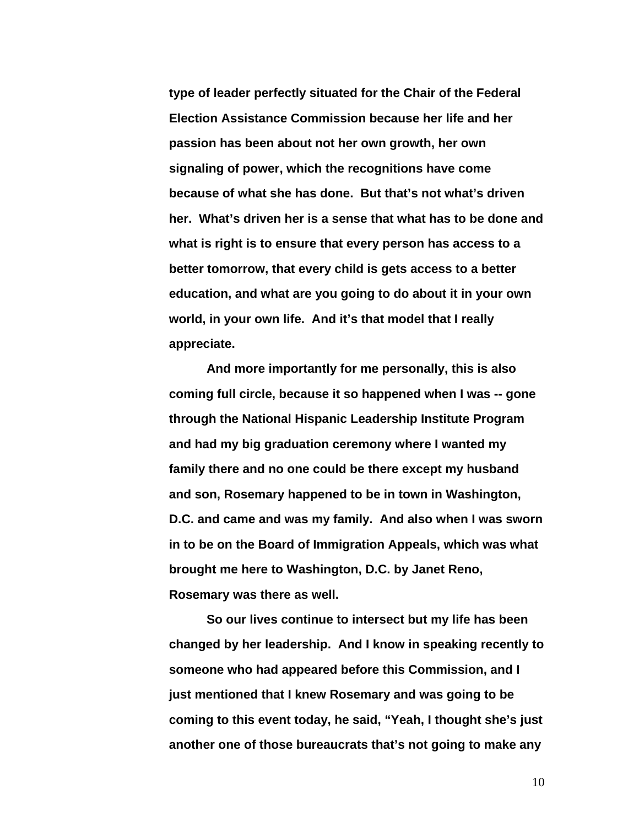**type of leader perfectly situated for the Chair of the Federal Election Assistance Commission because her life and her passion has been about not her own growth, her own signaling of power, which the recognitions have come because of what she has done. But that's not what's driven her. What's driven her is a sense that what has to be done and what is right is to ensure that every person has access to a better tomorrow, that every child is gets access to a better education, and what are you going to do about it in your own world, in your own life. And it's that model that I really appreciate.** 

**And more importantly for me personally, this is also coming full circle, because it so happened when I was -- gone through the National Hispanic Leadership Institute Program and had my big graduation ceremony where I wanted my family there and no one could be there except my husband and son, Rosemary happened to be in town in Washington, D.C. and came and was my family. And also when I was sworn in to be on the Board of Immigration Appeals, which was what brought me here to Washington, D.C. by Janet Reno, Rosemary was there as well.** 

**So our lives continue to intersect but my life has been changed by her leadership. And I know in speaking recently to someone who had appeared before this Commission, and I just mentioned that I knew Rosemary and was going to be coming to this event today, he said, "Yeah, I thought she's just another one of those bureaucrats that's not going to make any**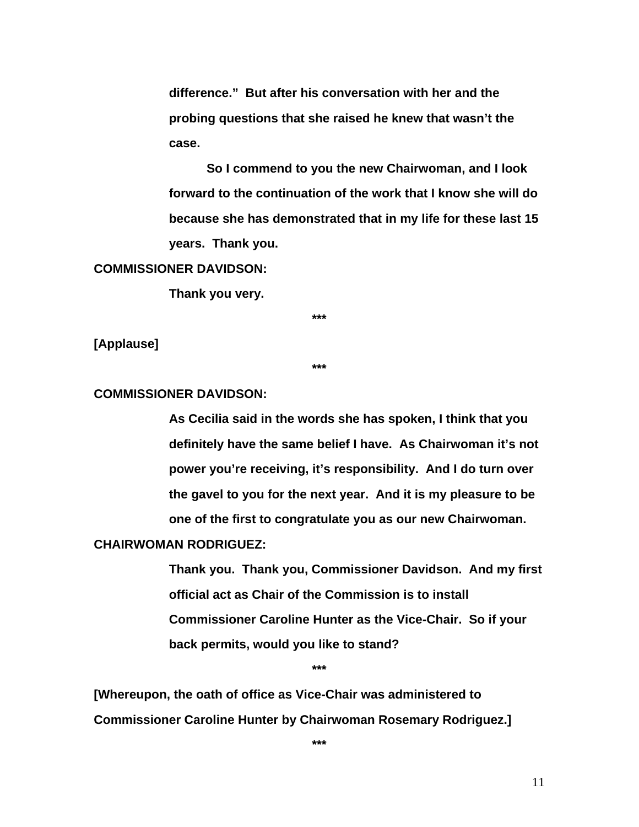**difference." But after his conversation with her and the probing questions that she raised he knew that wasn't the case.** 

**So I commend to you the new Chairwoman, and I look forward to the continuation of the work that I know she will do because she has demonstrated that in my life for these last 15 years. Thank you.** 

#### **COMMISSIONER DAVIDSON:**

 **Thank you very.** 

**\*\*\*** 

**[Applause]** 

**\*\*\*** 

#### **COMMISSIONER DAVIDSON:**

**As Cecilia said in the words she has spoken, I think that you definitely have the same belief I have. As Chairwoman it's not power you're receiving, it's responsibility. And I do turn over the gavel to you for the next year. And it is my pleasure to be one of the first to congratulate you as our new Chairwoman.** 

#### **CHAIRWOMAN RODRIGUEZ:**

**Thank you. Thank you, Commissioner Davidson. And my first official act as Chair of the Commission is to install Commissioner Caroline Hunter as the Vice-Chair. So if your back permits, would you like to stand?** 

**\*\*\*** 

**[Whereupon, the oath of office as Vice-Chair was administered to Commissioner Caroline Hunter by Chairwoman Rosemary Rodriguez.]** 

**\*\*\***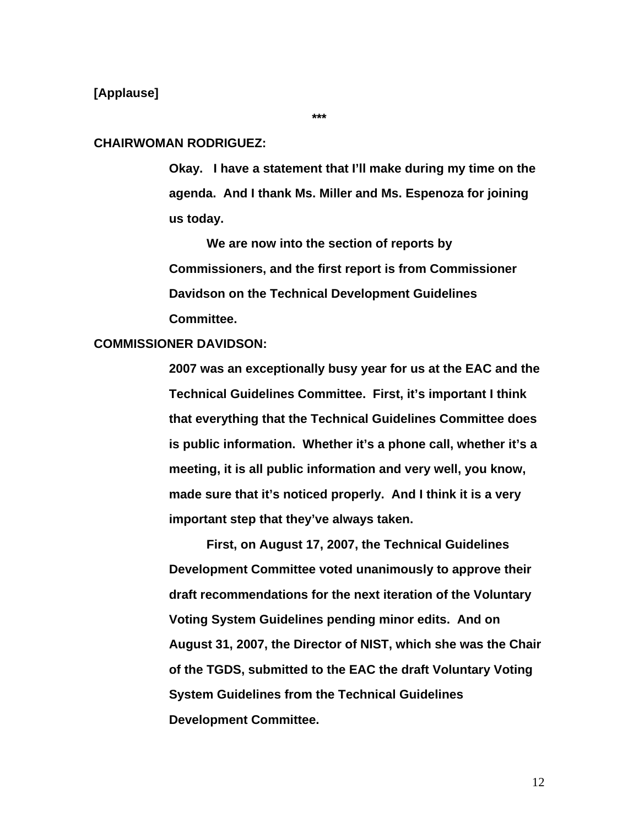# **[Applause]**

#### **\*\*\***

#### **CHAIRWOMAN RODRIGUEZ:**

**Okay. I have a statement that I'll make during my time on the agenda. And I thank Ms. Miller and Ms. Espenoza for joining us today.** 

 **We are now into the section of reports by Commissioners, and the first report is from Commissioner Davidson on the Technical Development Guidelines Committee.** 

# **COMMISSIONER DAVIDSON:**

**2007 was an exceptionally busy year for us at the EAC and the Technical Guidelines Committee. First, it's important I think that everything that the Technical Guidelines Committee does is public information. Whether it's a phone call, whether it's a meeting, it is all public information and very well, you know, made sure that it's noticed properly. And I think it is a very important step that they've always taken.** 

 **First, on August 17, 2007, the Technical Guidelines Development Committee voted unanimously to approve their draft recommendations for the next iteration of the Voluntary Voting System Guidelines pending minor edits. And on August 31, 2007, the Director of NIST, which she was the Chair of the TGDS, submitted to the EAC the draft Voluntary Voting System Guidelines from the Technical Guidelines Development Committee.**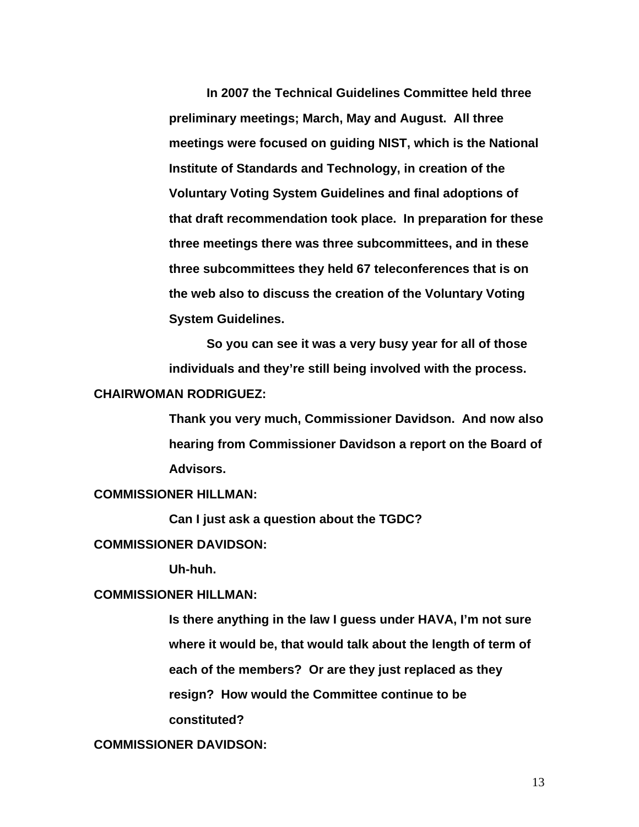**In 2007 the Technical Guidelines Committee held three preliminary meetings; March, May and August. All three meetings were focused on guiding NIST, which is the National Institute of Standards and Technology, in creation of the Voluntary Voting System Guidelines and final adoptions of that draft recommendation took place. In preparation for these three meetings there was three subcommittees, and in these three subcommittees they held 67 teleconferences that is on the web also to discuss the creation of the Voluntary Voting System Guidelines.** 

**So you can see it was a very busy year for all of those individuals and they're still being involved with the process. CHAIRWOMAN RODRIGUEZ:** 

> **Thank you very much, Commissioner Davidson. And now also hearing from Commissioner Davidson a report on the Board of Advisors.**

# **COMMISSIONER HILLMAN:**

**Can I just ask a question about the TGDC?** 

#### **COMMISSIONER DAVIDSON:**

 **Uh-huh.** 

# **COMMISSIONER HILLMAN:**

**Is there anything in the law I guess under HAVA, I'm not sure where it would be, that would talk about the length of term of each of the members? Or are they just replaced as they resign? How would the Committee continue to be constituted?** 

# **COMMISSIONER DAVIDSON:**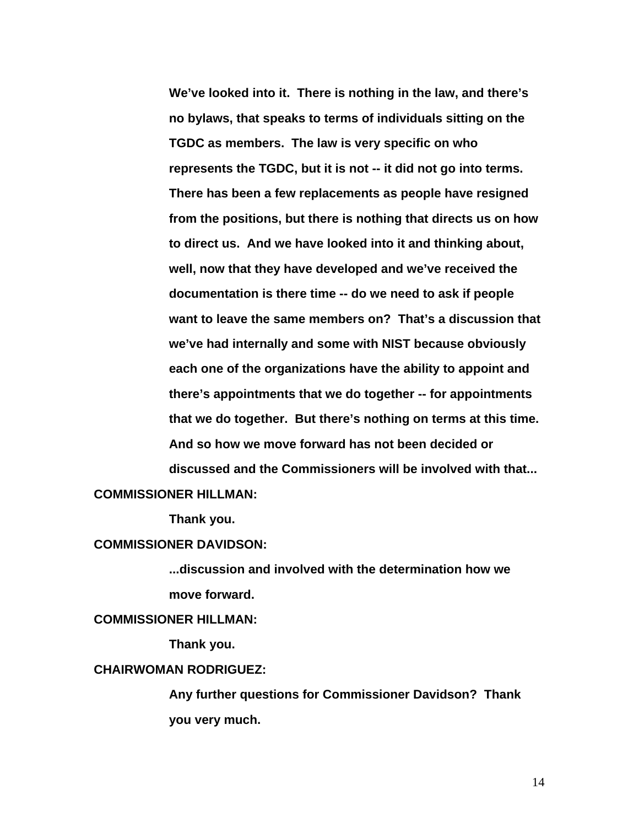**We've looked into it. There is nothing in the law, and there's no bylaws, that speaks to terms of individuals sitting on the TGDC as members. The law is very specific on who represents the TGDC, but it is not -- it did not go into terms. There has been a few replacements as people have resigned from the positions, but there is nothing that directs us on how to direct us. And we have looked into it and thinking about, well, now that they have developed and we've received the documentation is there time -- do we need to ask if people want to leave the same members on? That's a discussion that we've had internally and some with NIST because obviously each one of the organizations have the ability to appoint and there's appointments that we do together -- for appointments that we do together. But there's nothing on terms at this time. And so how we move forward has not been decided or discussed and the Commissioners will be involved with that...** 

# **COMMISSIONER HILLMAN:**

 **Thank you.** 

#### **COMMISSIONER DAVIDSON:**

**...discussion and involved with the determination how we move forward.** 

# **COMMISSIONER HILLMAN:**

 **Thank you.** 

# **CHAIRWOMAN RODRIGUEZ:**

**Any further questions for Commissioner Davidson? Thank you very much.**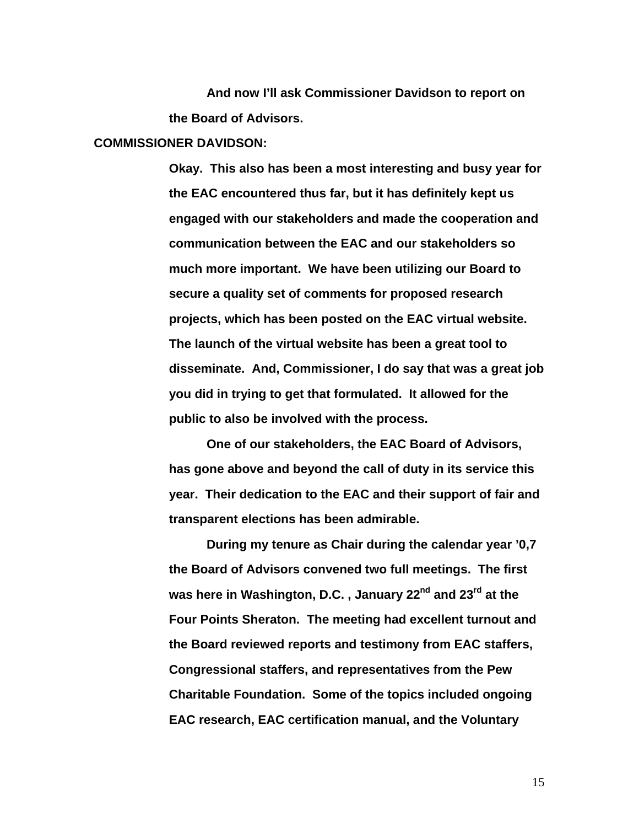**And now I'll ask Commissioner Davidson to report on the Board of Advisors.** 

#### **COMMISSIONER DAVIDSON:**

**Okay. This also has been a most interesting and busy year for the EAC encountered thus far, but it has definitely kept us engaged with our stakeholders and made the cooperation and communication between the EAC and our stakeholders so much more important. We have been utilizing our Board to secure a quality set of comments for proposed research projects, which has been posted on the EAC virtual website. The launch of the virtual website has been a great tool to disseminate. And, Commissioner, I do say that was a great job you did in trying to get that formulated. It allowed for the public to also be involved with the process.** 

**One of our stakeholders, the EAC Board of Advisors, has gone above and beyond the call of duty in its service this year. Their dedication to the EAC and their support of fair and transparent elections has been admirable.** 

**During my tenure as Chair during the calendar year '0,7 the Board of Advisors convened two full meetings. The first**  was here in Washington, D.C., January 22<sup>nd</sup> and 23<sup>rd</sup> at the **Four Points Sheraton. The meeting had excellent turnout and the Board reviewed reports and testimony from EAC staffers, Congressional staffers, and representatives from the Pew Charitable Foundation. Some of the topics included ongoing EAC research, EAC certification manual, and the Voluntary**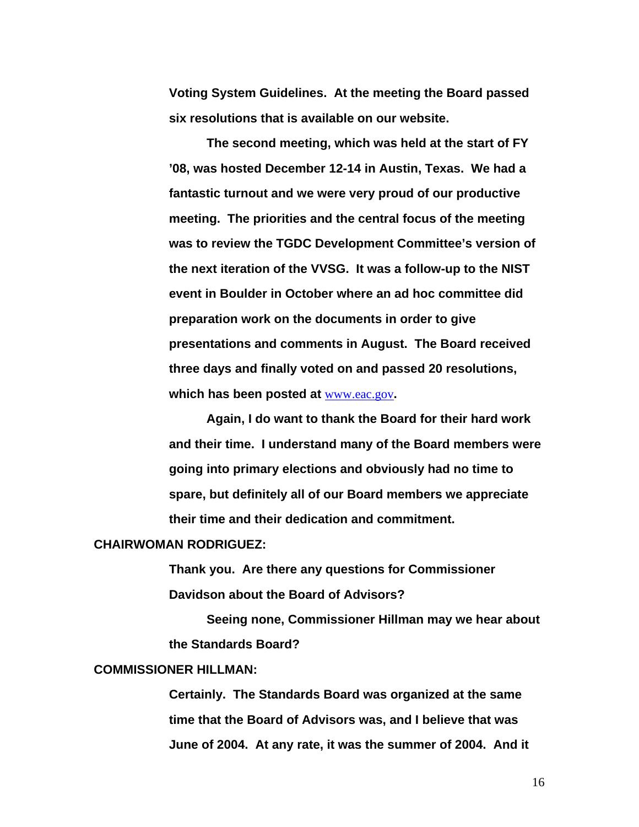**Voting System Guidelines. At the meeting the Board passed six resolutions that is available on our website.** 

**The second meeting, which was held at the start of FY '08, was hosted December 12-14 in Austin, Texas. We had a fantastic turnout and we were very proud of our productive meeting. The priorities and the central focus of the meeting was to review the TGDC Development Committee's version of the next iteration of the VVSG. It was a follow-up to the NIST event in Boulder in October where an ad hoc committee did preparation work on the documents in order to give presentations and comments in August. The Board received three days and finally voted on and passed 20 resolutions, which has been posted at** [www.eac.gov](http://www.eac.gov/)**.** 

**Again, I do want to thank the Board for their hard work and their time. I understand many of the Board members were going into primary elections and obviously had no time to spare, but definitely all of our Board members we appreciate their time and their dedication and commitment.** 

#### **CHAIRWOMAN RODRIGUEZ:**

**Thank you. Are there any questions for Commissioner Davidson about the Board of Advisors?** 

 **Seeing none, Commissioner Hillman may we hear about the Standards Board?** 

# **COMMISSIONER HILLMAN:**

**Certainly. The Standards Board was organized at the same time that the Board of Advisors was, and I believe that was June of 2004. At any rate, it was the summer of 2004. And it**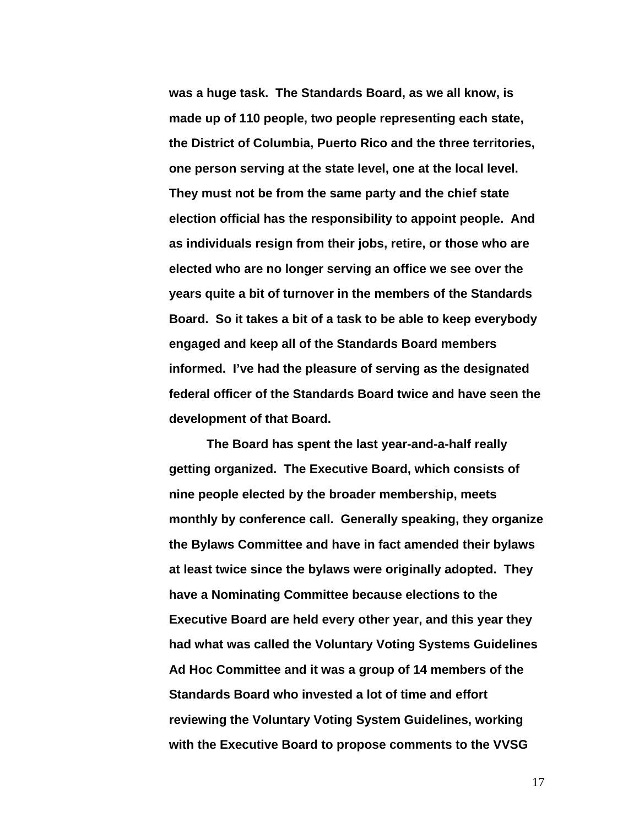**was a huge task. The Standards Board, as we all know, is made up of 110 people, two people representing each state, the District of Columbia, Puerto Rico and the three territories, one person serving at the state level, one at the local level. They must not be from the same party and the chief state election official has the responsibility to appoint people. And as individuals resign from their jobs, retire, or those who are elected who are no longer serving an office we see over the years quite a bit of turnover in the members of the Standards Board. So it takes a bit of a task to be able to keep everybody engaged and keep all of the Standards Board members informed. I've had the pleasure of serving as the designated federal officer of the Standards Board twice and have seen the development of that Board.** 

**The Board has spent the last year-and-a-half really getting organized. The Executive Board, which consists of nine people elected by the broader membership, meets monthly by conference call. Generally speaking, they organize the Bylaws Committee and have in fact amended their bylaws at least twice since the bylaws were originally adopted. They have a Nominating Committee because elections to the Executive Board are held every other year, and this year they had what was called the Voluntary Voting Systems Guidelines Ad Hoc Committee and it was a group of 14 members of the Standards Board who invested a lot of time and effort reviewing the Voluntary Voting System Guidelines, working with the Executive Board to propose comments to the VVSG**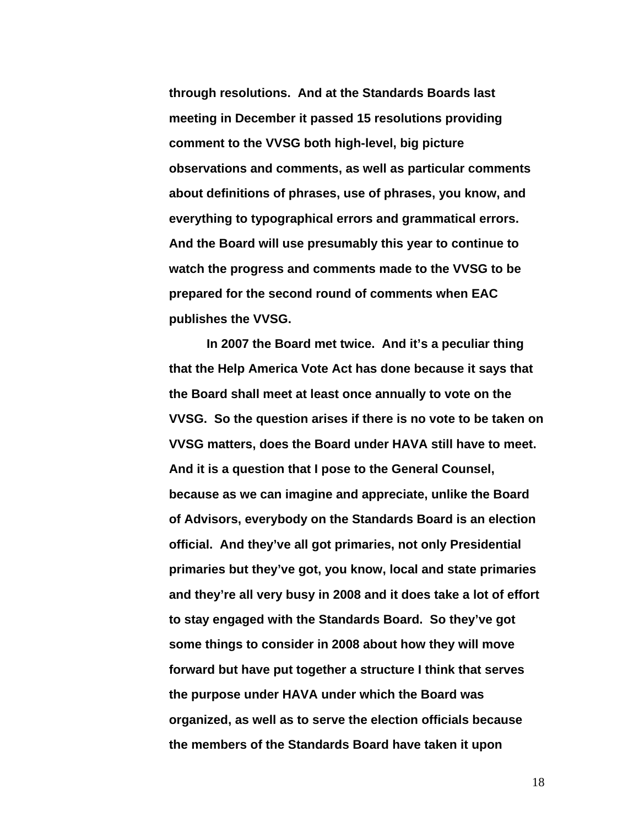**through resolutions. And at the Standards Boards last meeting in December it passed 15 resolutions providing comment to the VVSG both high-level, big picture observations and comments, as well as particular comments about definitions of phrases, use of phrases, you know, and everything to typographical errors and grammatical errors. And the Board will use presumably this year to continue to watch the progress and comments made to the VVSG to be prepared for the second round of comments when EAC publishes the VVSG.** 

**In 2007 the Board met twice. And it's a peculiar thing that the Help America Vote Act has done because it says that the Board shall meet at least once annually to vote on the VVSG. So the question arises if there is no vote to be taken on VVSG matters, does the Board under HAVA still have to meet. And it is a question that I pose to the General Counsel, because as we can imagine and appreciate, unlike the Board of Advisors, everybody on the Standards Board is an election official. And they've all got primaries, not only Presidential primaries but they've got, you know, local and state primaries and they're all very busy in 2008 and it does take a lot of effort to stay engaged with the Standards Board. So they've got some things to consider in 2008 about how they will move forward but have put together a structure I think that serves the purpose under HAVA under which the Board was organized, as well as to serve the election officials because the members of the Standards Board have taken it upon**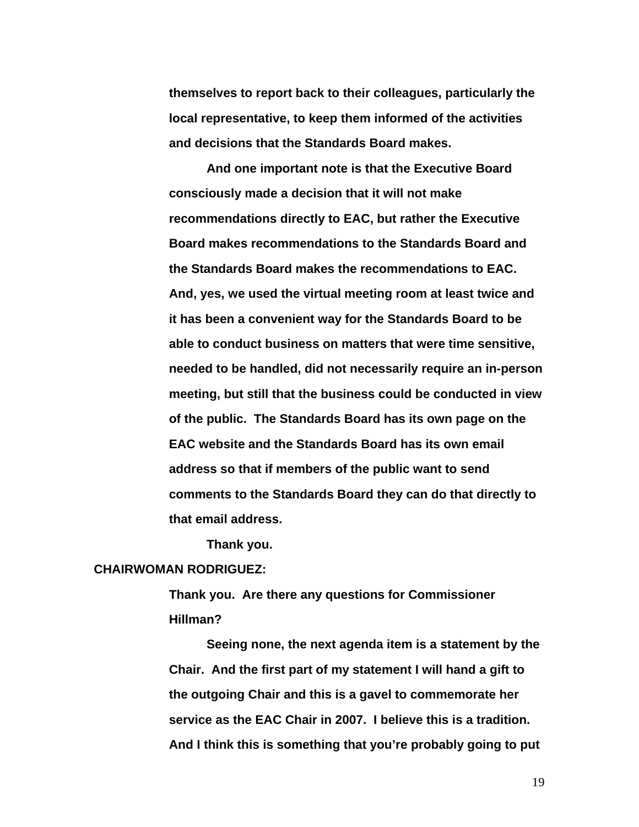**themselves to report back to their colleagues, particularly the local representative, to keep them informed of the activities and decisions that the Standards Board makes.** 

**And one important note is that the Executive Board consciously made a decision that it will not make recommendations directly to EAC, but rather the Executive Board makes recommendations to the Standards Board and the Standards Board makes the recommendations to EAC. And, yes, we used the virtual meeting room at least twice and it has been a convenient way for the Standards Board to be able to conduct business on matters that were time sensitive, needed to be handled, did not necessarily require an in-person meeting, but still that the business could be conducted in view of the public. The Standards Board has its own page on the EAC website and the Standards Board has its own email address so that if members of the public want to send comments to the Standards Board they can do that directly to that email address.** 

**Thank you.** 

#### **CHAIRWOMAN RODRIGUEZ:**

**Thank you. Are there any questions for Commissioner Hillman?** 

**Seeing none, the next agenda item is a statement by the Chair. And the first part of my statement I will hand a gift to the outgoing Chair and this is a gavel to commemorate her service as the EAC Chair in 2007. I believe this is a tradition. And I think this is something that you're probably going to put**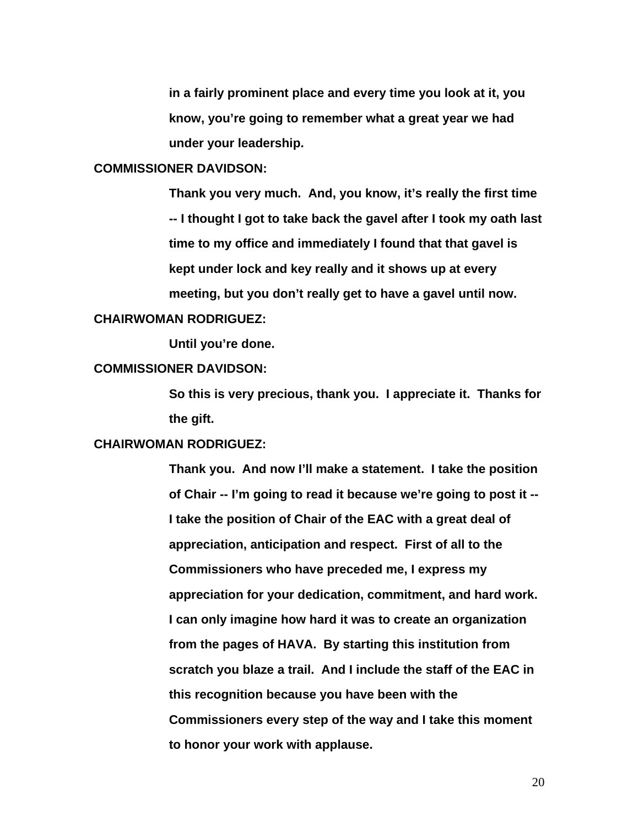**in a fairly prominent place and every time you look at it, you know, you're going to remember what a great year we had under your leadership.** 

# **COMMISSIONER DAVIDSON:**

**Thank you very much. And, you know, it's really the first time -- I thought I got to take back the gavel after I took my oath last time to my office and immediately I found that that gavel is kept under lock and key really and it shows up at every meeting, but you don't really get to have a gavel until now.** 

#### **CHAIRWOMAN RODRIGUEZ:**

 **Until you're done.** 

#### **COMMISSIONER DAVIDSON:**

**So this is very precious, thank you. I appreciate it. Thanks for the gift.** 

#### **CHAIRWOMAN RODRIGUEZ:**

**Thank you. And now I'll make a statement. I take the position of Chair -- I'm going to read it because we're going to post it -- I take the position of Chair of the EAC with a great deal of appreciation, anticipation and respect. First of all to the Commissioners who have preceded me, I express my appreciation for your dedication, commitment, and hard work. I can only imagine how hard it was to create an organization from the pages of HAVA. By starting this institution from scratch you blaze a trail. And I include the staff of the EAC in this recognition because you have been with the Commissioners every step of the way and I take this moment to honor your work with applause.**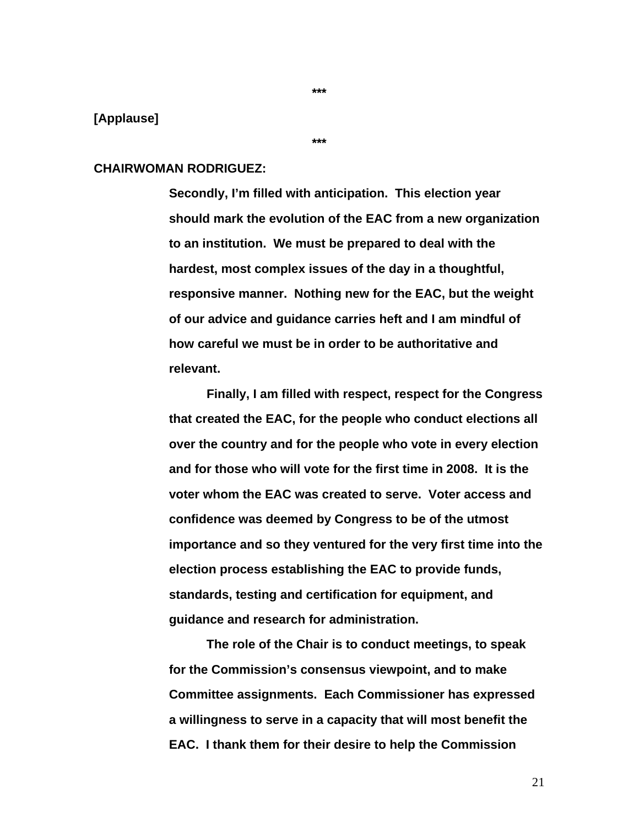#### **[Applause]**

**\*\*\*** 

#### **CHAIRWOMAN RODRIGUEZ:**

**Secondly, I'm filled with anticipation. This election year should mark the evolution of the EAC from a new organization to an institution. We must be prepared to deal with the hardest, most complex issues of the day in a thoughtful, responsive manner. Nothing new for the EAC, but the weight of our advice and guidance carries heft and I am mindful of how careful we must be in order to be authoritative and relevant.** 

 **Finally, I am filled with respect, respect for the Congress that created the EAC, for the people who conduct elections all over the country and for the people who vote in every election and for those who will vote for the first time in 2008. It is the voter whom the EAC was created to serve. Voter access and confidence was deemed by Congress to be of the utmost importance and so they ventured for the very first time into the election process establishing the EAC to provide funds, standards, testing and certification for equipment, and guidance and research for administration.** 

 **The role of the Chair is to conduct meetings, to speak for the Commission's consensus viewpoint, and to make Committee assignments. Each Commissioner has expressed a willingness to serve in a capacity that will most benefit the EAC. I thank them for their desire to help the Commission** 

**\*\*\***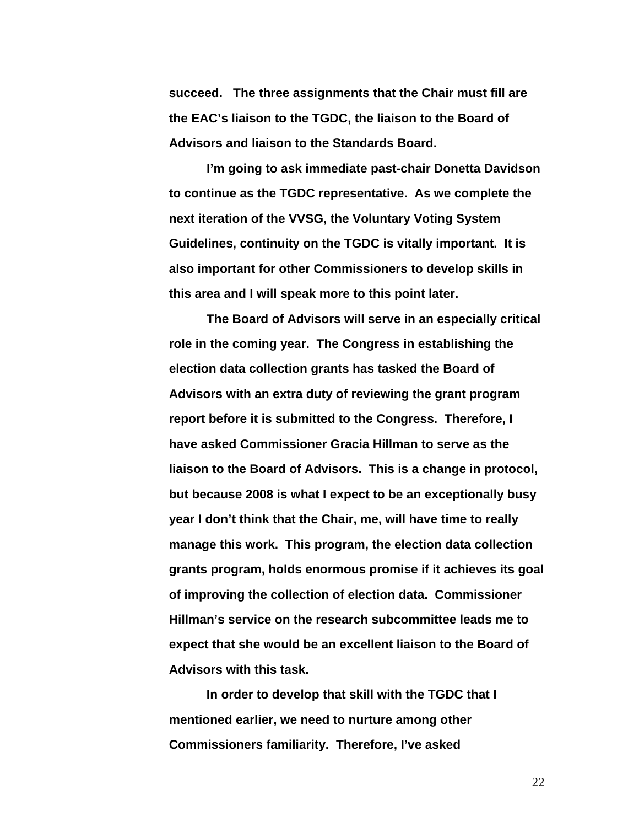**succeed. The three assignments that the Chair must fill are the EAC's liaison to the TGDC, the liaison to the Board of Advisors and liaison to the Standards Board.** 

**I'm going to ask immediate past-chair Donetta Davidson to continue as the TGDC representative. As we complete the next iteration of the VVSG, the Voluntary Voting System Guidelines, continuity on the TGDC is vitally important. It is also important for other Commissioners to develop skills in this area and I will speak more to this point later.** 

 **The Board of Advisors will serve in an especially critical role in the coming year. The Congress in establishing the election data collection grants has tasked the Board of Advisors with an extra duty of reviewing the grant program report before it is submitted to the Congress. Therefore, I have asked Commissioner Gracia Hillman to serve as the liaison to the Board of Advisors. This is a change in protocol, but because 2008 is what I expect to be an exceptionally busy year I don't think that the Chair, me, will have time to really manage this work. This program, the election data collection grants program, holds enormous promise if it achieves its goal of improving the collection of election data. Commissioner Hillman's service on the research subcommittee leads me to expect that she would be an excellent liaison to the Board of Advisors with this task.** 

 **In order to develop that skill with the TGDC that I mentioned earlier, we need to nurture among other Commissioners familiarity. Therefore, I've asked**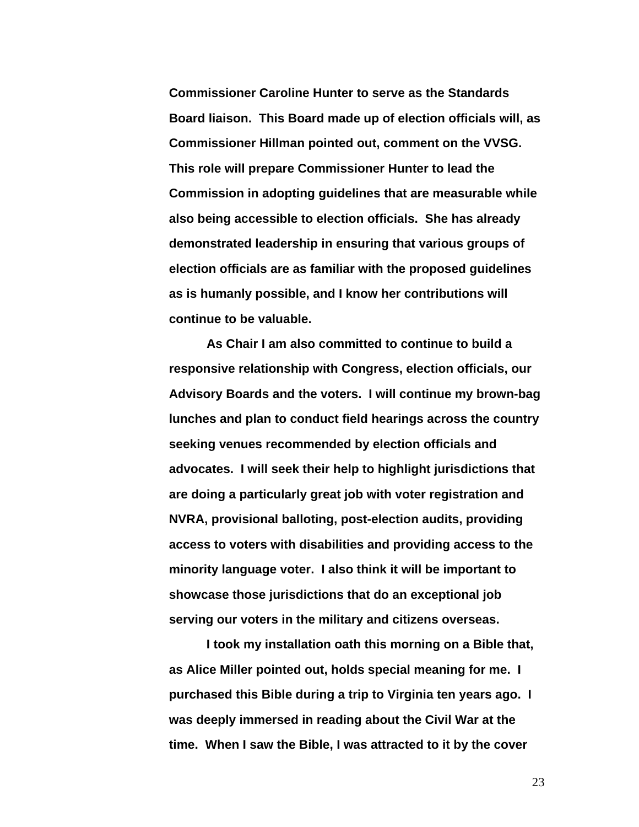**Commissioner Caroline Hunter to serve as the Standards Board liaison. This Board made up of election officials will, as Commissioner Hillman pointed out, comment on the VVSG. This role will prepare Commissioner Hunter to lead the Commission in adopting guidelines that are measurable while also being accessible to election officials. She has already demonstrated leadership in ensuring that various groups of election officials are as familiar with the proposed guidelines as is humanly possible, and I know her contributions will continue to be valuable.** 

 **As Chair I am also committed to continue to build a responsive relationship with Congress, election officials, our Advisory Boards and the voters. I will continue my brown-bag lunches and plan to conduct field hearings across the country seeking venues recommended by election officials and advocates. I will seek their help to highlight jurisdictions that are doing a particularly great job with voter registration and NVRA, provisional balloting, post-election audits, providing access to voters with disabilities and providing access to the minority language voter. I also think it will be important to showcase those jurisdictions that do an exceptional job serving our voters in the military and citizens overseas.** 

 **I took my installation oath this morning on a Bible that, as Alice Miller pointed out, holds special meaning for me. I purchased this Bible during a trip to Virginia ten years ago. I was deeply immersed in reading about the Civil War at the time. When I saw the Bible, I was attracted to it by the cover**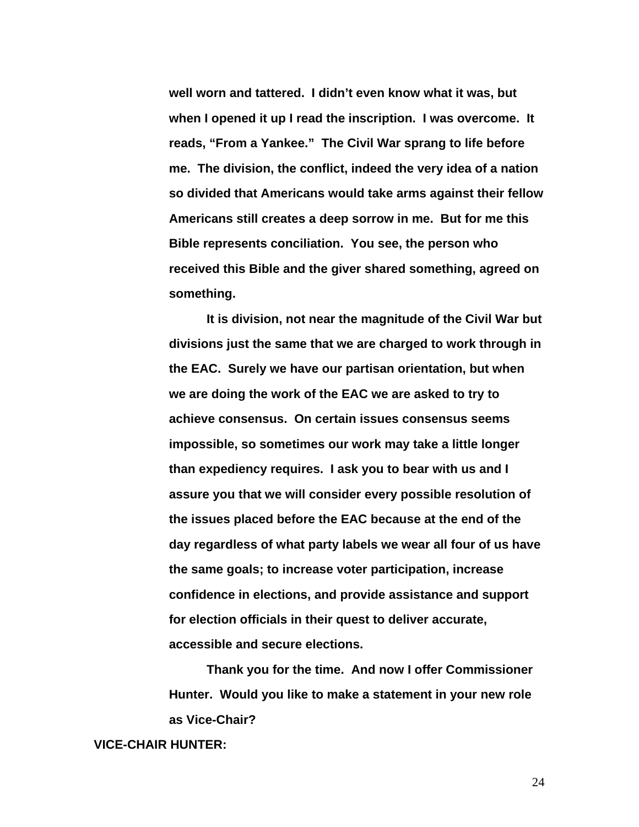**well worn and tattered. I didn't even know what it was, but when I opened it up I read the inscription. I was overcome. It reads, "From a Yankee." The Civil War sprang to life before me. The division, the conflict, indeed the very idea of a nation so divided that Americans would take arms against their fellow Americans still creates a deep sorrow in me. But for me this Bible represents conciliation. You see, the person who received this Bible and the giver shared something, agreed on something.** 

**It is division, not near the magnitude of the Civil War but divisions just the same that we are charged to work through in the EAC. Surely we have our partisan orientation, but when we are doing the work of the EAC we are asked to try to achieve consensus. On certain issues consensus seems impossible, so sometimes our work may take a little longer than expediency requires. I ask you to bear with us and I assure you that we will consider every possible resolution of the issues placed before the EAC because at the end of the day regardless of what party labels we wear all four of us have the same goals; to increase voter participation, increase confidence in elections, and provide assistance and support for election officials in their quest to deliver accurate, accessible and secure elections.** 

**Thank you for the time. And now I offer Commissioner Hunter. Would you like to make a statement in your new role as Vice-Chair?** 

# **VICE-CHAIR HUNTER:**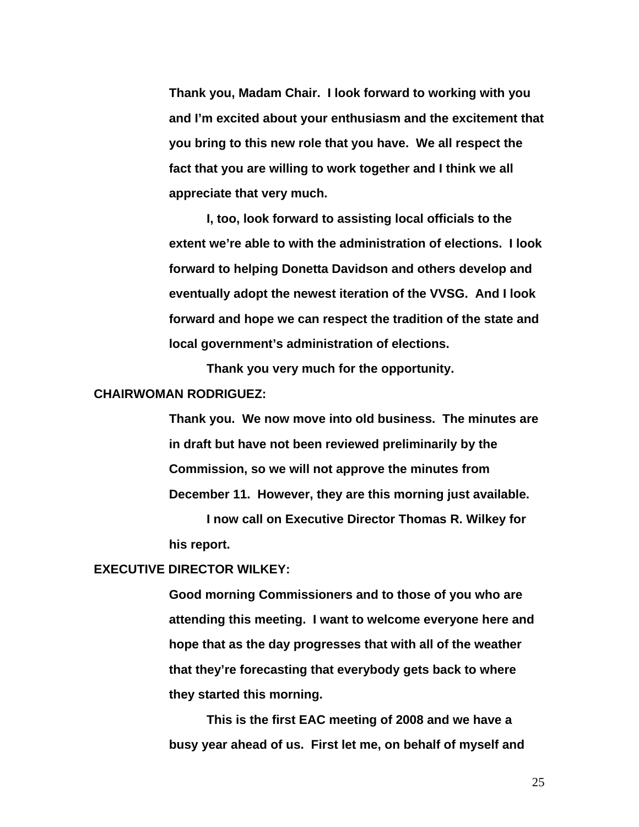**Thank you, Madam Chair. I look forward to working with you and I'm excited about your enthusiasm and the excitement that you bring to this new role that you have. We all respect the fact that you are willing to work together and I think we all appreciate that very much.** 

 **I, too, look forward to assisting local officials to the extent we're able to with the administration of elections. I look forward to helping Donetta Davidson and others develop and eventually adopt the newest iteration of the VVSG. And I look forward and hope we can respect the tradition of the state and local government's administration of elections.** 

**Thank you very much for the opportunity.** 

# **CHAIRWOMAN RODRIGUEZ:**

**Thank you. We now move into old business. The minutes are in draft but have not been reviewed preliminarily by the Commission, so we will not approve the minutes from December 11. However, they are this morning just available.** 

 **I now call on Executive Director Thomas R. Wilkey for his report.** 

#### **EXECUTIVE DIRECTOR WILKEY:**

**Good morning Commissioners and to those of you who are attending this meeting. I want to welcome everyone here and hope that as the day progresses that with all of the weather that they're forecasting that everybody gets back to where they started this morning.** 

 **This is the first EAC meeting of 2008 and we have a busy year ahead of us. First let me, on behalf of myself and**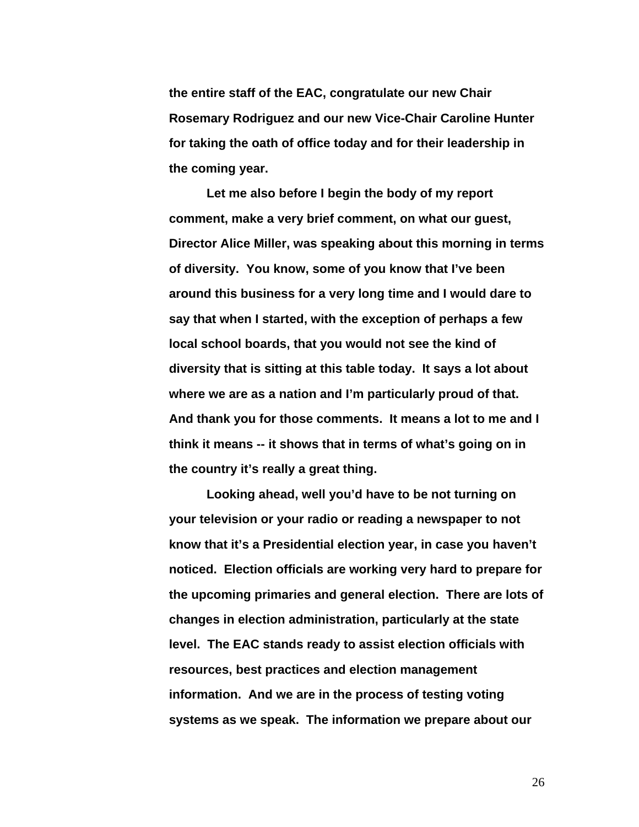**the entire staff of the EAC, congratulate our new Chair Rosemary Rodriguez and our new Vice-Chair Caroline Hunter for taking the oath of office today and for their leadership in the coming year.** 

 **Let me also before I begin the body of my report comment, make a very brief comment, on what our guest, Director Alice Miller, was speaking about this morning in terms of diversity. You know, some of you know that I've been around this business for a very long time and I would dare to say that when I started, with the exception of perhaps a few local school boards, that you would not see the kind of diversity that is sitting at this table today. It says a lot about where we are as a nation and I'm particularly proud of that. And thank you for those comments. It means a lot to me and I think it means -- it shows that in terms of what's going on in the country it's really a great thing.** 

 **Looking ahead, well you'd have to be not turning on your television or your radio or reading a newspaper to not know that it's a Presidential election year, in case you haven't noticed. Election officials are working very hard to prepare for the upcoming primaries and general election. There are lots of changes in election administration, particularly at the state level. The EAC stands ready to assist election officials with resources, best practices and election management information. And we are in the process of testing voting systems as we speak. The information we prepare about our**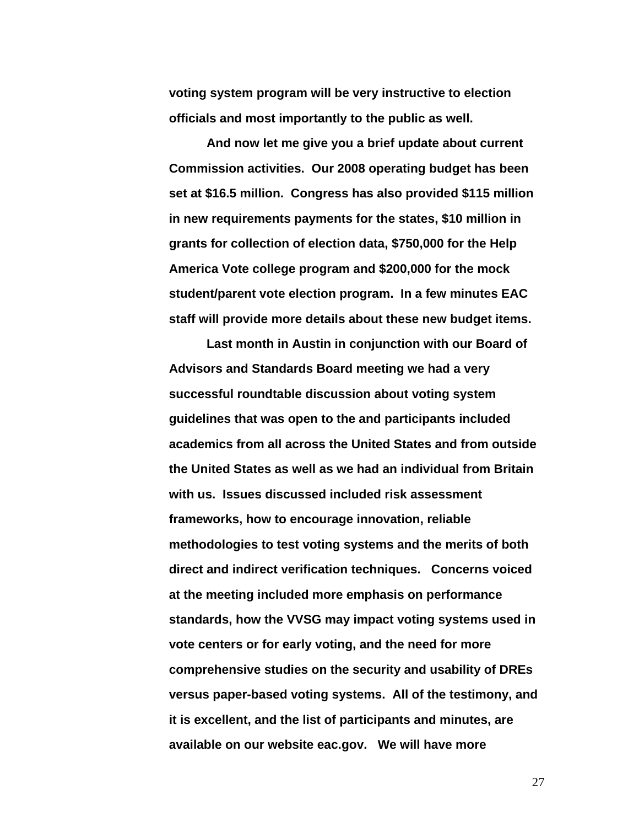**voting system program will be very instructive to election officials and most importantly to the public as well.** 

 **And now let me give you a brief update about current Commission activities. Our 2008 operating budget has been set at \$16.5 million. Congress has also provided \$115 million in new requirements payments for the states, \$10 million in grants for collection of election data, \$750,000 for the Help America Vote college program and \$200,000 for the mock student/parent vote election program. In a few minutes EAC staff will provide more details about these new budget items.** 

 **Last month in Austin in conjunction with our Board of Advisors and Standards Board meeting we had a very successful roundtable discussion about voting system guidelines that was open to the and participants included academics from all across the United States and from outside the United States as well as we had an individual from Britain with us. Issues discussed included risk assessment frameworks, how to encourage innovation, reliable methodologies to test voting systems and the merits of both direct and indirect verification techniques. Concerns voiced at the meeting included more emphasis on performance standards, how the VVSG may impact voting systems used in vote centers or for early voting, and the need for more comprehensive studies on the security and usability of DREs versus paper-based voting systems. All of the testimony, and it is excellent, and the list of participants and minutes, are available on our website eac.gov. We will have more**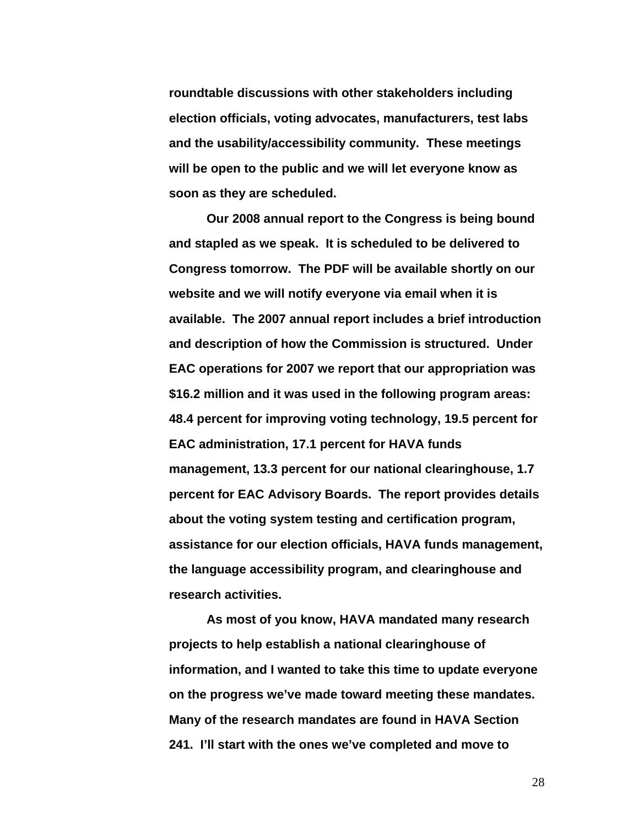**roundtable discussions with other stakeholders including election officials, voting advocates, manufacturers, test labs and the usability/accessibility community. These meetings will be open to the public and we will let everyone know as soon as they are scheduled.** 

 **Our 2008 annual report to the Congress is being bound and stapled as we speak. It is scheduled to be delivered to Congress tomorrow. The PDF will be available shortly on our website and we will notify everyone via email when it is available. The 2007 annual report includes a brief introduction and description of how the Commission is structured. Under EAC operations for 2007 we report that our appropriation was \$16.2 million and it was used in the following program areas: 48.4 percent for improving voting technology, 19.5 percent for EAC administration, 17.1 percent for HAVA funds management, 13.3 percent for our national clearinghouse, 1.7 percent for EAC Advisory Boards. The report provides details about the voting system testing and certification program, assistance for our election officials, HAVA funds management, the language accessibility program, and clearinghouse and research activities.** 

 **As most of you know, HAVA mandated many research projects to help establish a national clearinghouse of information, and I wanted to take this time to update everyone on the progress we've made toward meeting these mandates. Many of the research mandates are found in HAVA Section 241. I'll start with the ones we've completed and move to**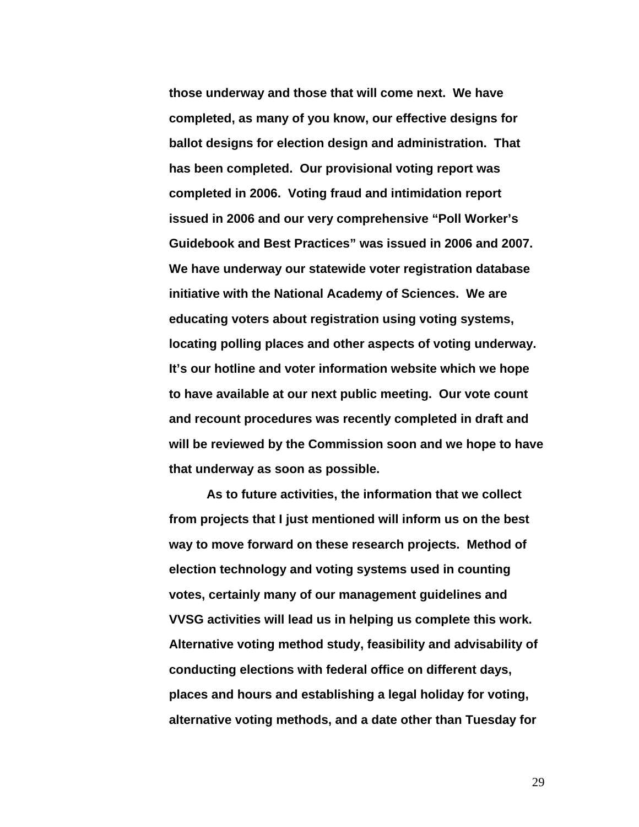**those underway and those that will come next. We have completed, as many of you know, our effective designs for ballot designs for election design and administration. That has been completed. Our provisional voting report was completed in 2006. Voting fraud and intimidation report issued in 2006 and our very comprehensive "Poll Worker's Guidebook and Best Practices" was issued in 2006 and 2007. We have underway our statewide voter registration database initiative with the National Academy of Sciences. We are educating voters about registration using voting systems, locating polling places and other aspects of voting underway. It's our hotline and voter information website which we hope to have available at our next public meeting. Our vote count and recount procedures was recently completed in draft and will be reviewed by the Commission soon and we hope to have that underway as soon as possible.** 

 **As to future activities, the information that we collect from projects that I just mentioned will inform us on the best way to move forward on these research projects. Method of election technology and voting systems used in counting votes, certainly many of our management guidelines and VVSG activities will lead us in helping us complete this work. Alternative voting method study, feasibility and advisability of conducting elections with federal office on different days, places and hours and establishing a legal holiday for voting, alternative voting methods, and a date other than Tuesday for**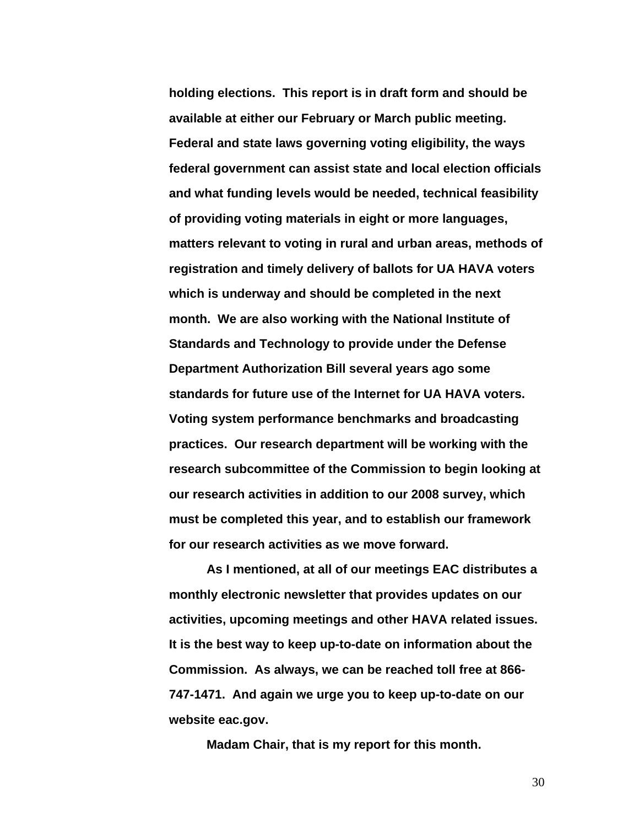**holding elections. This report is in draft form and should be available at either our February or March public meeting. Federal and state laws governing voting eligibility, the ways federal government can assist state and local election officials and what funding levels would be needed, technical feasibility of providing voting materials in eight or more languages, matters relevant to voting in rural and urban areas, methods of registration and timely delivery of ballots for UA HAVA voters which is underway and should be completed in the next month. We are also working with the National Institute of Standards and Technology to provide under the Defense Department Authorization Bill several years ago some standards for future use of the Internet for UA HAVA voters. Voting system performance benchmarks and broadcasting practices. Our research department will be working with the research subcommittee of the Commission to begin looking at our research activities in addition to our 2008 survey, which must be completed this year, and to establish our framework for our research activities as we move forward.** 

 **As I mentioned, at all of our meetings EAC distributes a monthly electronic newsletter that provides updates on our activities, upcoming meetings and other HAVA related issues. It is the best way to keep up-to-date on information about the Commission. As always, we can be reached toll free at 866- 747-1471. And again we urge you to keep up-to-date on our website eac.gov.** 

 **Madam Chair, that is my report for this month.**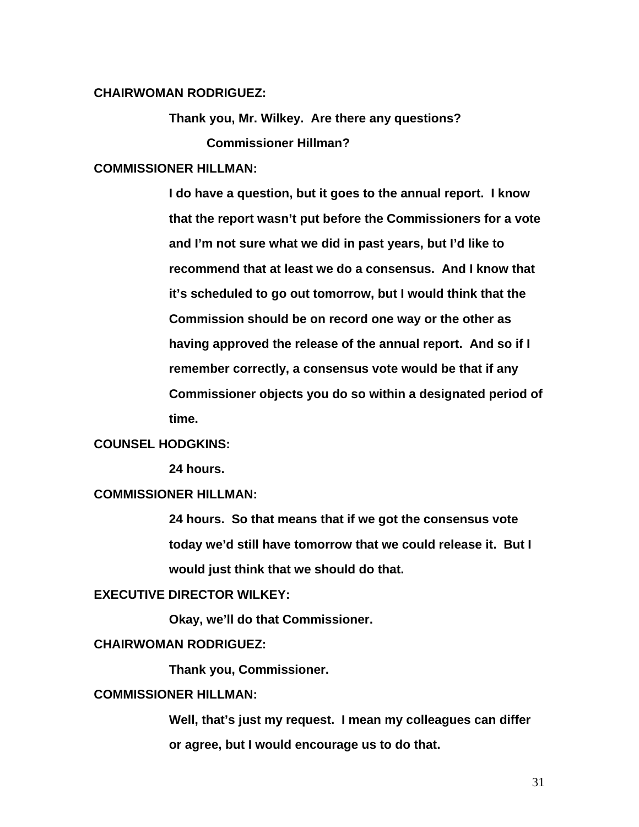# **CHAIRWOMAN RODRIGUEZ:**

**Thank you, Mr. Wilkey. Are there any questions? Commissioner Hillman?** 

### **COMMISSIONER HILLMAN:**

**I do have a question, but it goes to the annual report. I know that the report wasn't put before the Commissioners for a vote and I'm not sure what we did in past years, but I'd like to recommend that at least we do a consensus. And I know that it's scheduled to go out tomorrow, but I would think that the Commission should be on record one way or the other as having approved the release of the annual report. And so if I remember correctly, a consensus vote would be that if any Commissioner objects you do so within a designated period of time.** 

# **COUNSEL HODGKINS:**

 **24 hours.** 

# **COMMISSIONER HILLMAN:**

**24 hours. So that means that if we got the consensus vote today we'd still have tomorrow that we could release it. But I would just think that we should do that.** 

# **EXECUTIVE DIRECTOR WILKEY:**

 **Okay, we'll do that Commissioner.** 

#### **CHAIRWOMAN RODRIGUEZ:**

 **Thank you, Commissioner.** 

# **COMMISSIONER HILLMAN:**

**Well, that's just my request. I mean my colleagues can differ or agree, but I would encourage us to do that.**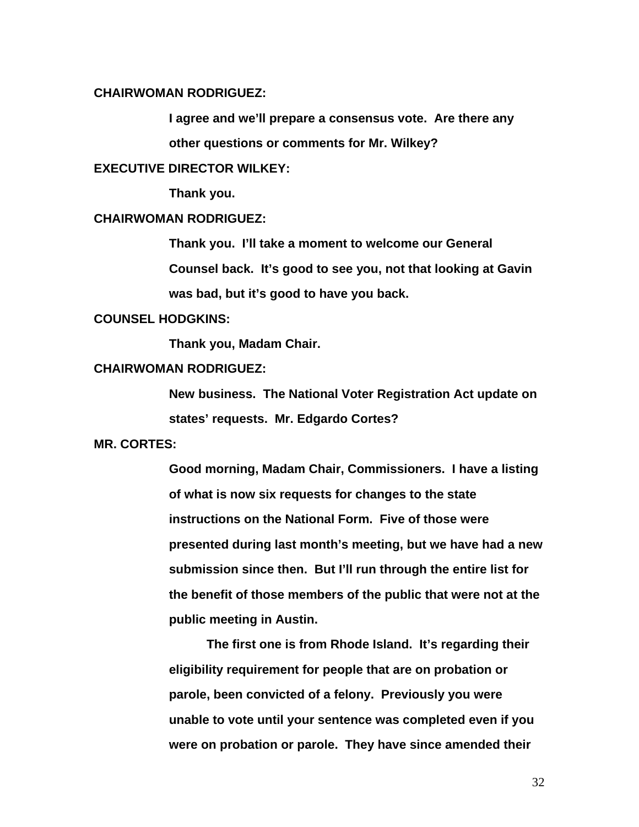# **CHAIRWOMAN RODRIGUEZ:**

**I agree and we'll prepare a consensus vote. Are there any other questions or comments for Mr. Wilkey?** 

# **EXECUTIVE DIRECTOR WILKEY:**

 **Thank you.** 

#### **CHAIRWOMAN RODRIGUEZ:**

**Thank you. I'll take a moment to welcome our General Counsel back. It's good to see you, not that looking at Gavin** 

**was bad, but it's good to have you back.** 

#### **COUNSEL HODGKINS:**

 **Thank you, Madam Chair.** 

# **CHAIRWOMAN RODRIGUEZ:**

**New business. The National Voter Registration Act update on states' requests. Mr. Edgardo Cortes?** 

#### **MR. CORTES:**

**Good morning, Madam Chair, Commissioners. I have a listing of what is now six requests for changes to the state instructions on the National Form. Five of those were presented during last month's meeting, but we have had a new submission since then. But I'll run through the entire list for the benefit of those members of the public that were not at the public meeting in Austin.** 

 **The first one is from Rhode Island. It's regarding their eligibility requirement for people that are on probation or parole, been convicted of a felony. Previously you were unable to vote until your sentence was completed even if you were on probation or parole. They have since amended their**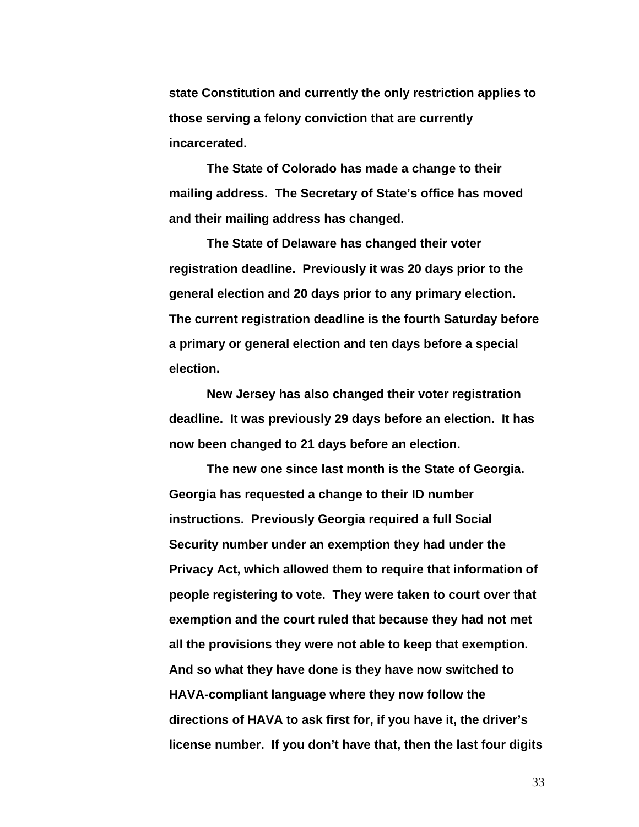**state Constitution and currently the only restriction applies to those serving a felony conviction that are currently incarcerated.** 

 **The State of Colorado has made a change to their mailing address. The Secretary of State's office has moved and their mailing address has changed.** 

 **The State of Delaware has changed their voter registration deadline. Previously it was 20 days prior to the general election and 20 days prior to any primary election. The current registration deadline is the fourth Saturday before a primary or general election and ten days before a special election.** 

 **New Jersey has also changed their voter registration deadline. It was previously 29 days before an election. It has now been changed to 21 days before an election.** 

 **The new one since last month is the State of Georgia. Georgia has requested a change to their ID number instructions. Previously Georgia required a full Social Security number under an exemption they had under the Privacy Act, which allowed them to require that information of people registering to vote. They were taken to court over that exemption and the court ruled that because they had not met all the provisions they were not able to keep that exemption. And so what they have done is they have now switched to HAVA-compliant language where they now follow the directions of HAVA to ask first for, if you have it, the driver's license number. If you don't have that, then the last four digits**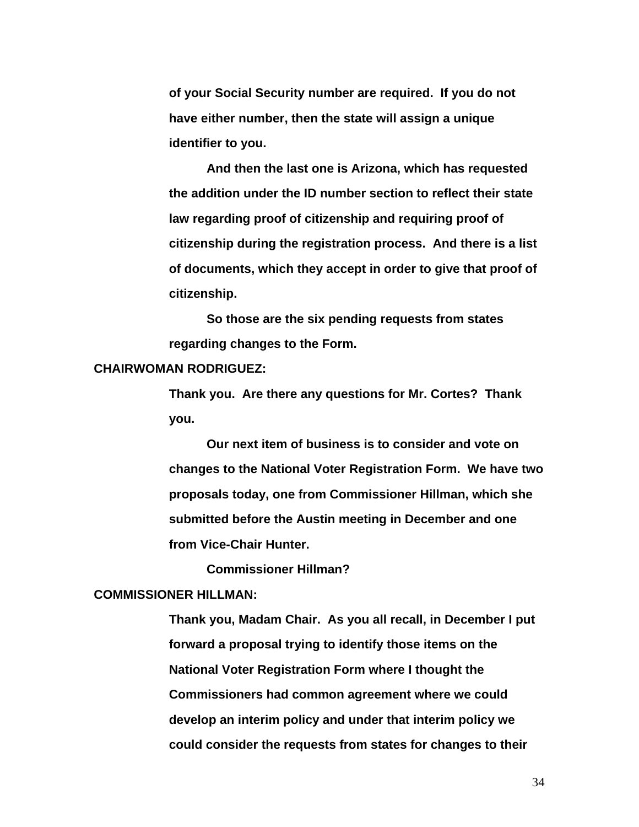**of your Social Security number are required. If you do not have either number, then the state will assign a unique identifier to you.** 

 **And then the last one is Arizona, which has requested the addition under the ID number section to reflect their state law regarding proof of citizenship and requiring proof of citizenship during the registration process. And there is a list of documents, which they accept in order to give that proof of citizenship.** 

 **So those are the six pending requests from states regarding changes to the Form.** 

# **CHAIRWOMAN RODRIGUEZ:**

**Thank you. Are there any questions for Mr. Cortes? Thank you.** 

 **Our next item of business is to consider and vote on changes to the National Voter Registration Form. We have two proposals today, one from Commissioner Hillman, which she submitted before the Austin meeting in December and one from Vice-Chair Hunter.** 

 **Commissioner Hillman?** 

# **COMMISSIONER HILLMAN:**

**Thank you, Madam Chair. As you all recall, in December I put forward a proposal trying to identify those items on the National Voter Registration Form where I thought the Commissioners had common agreement where we could develop an interim policy and under that interim policy we could consider the requests from states for changes to their**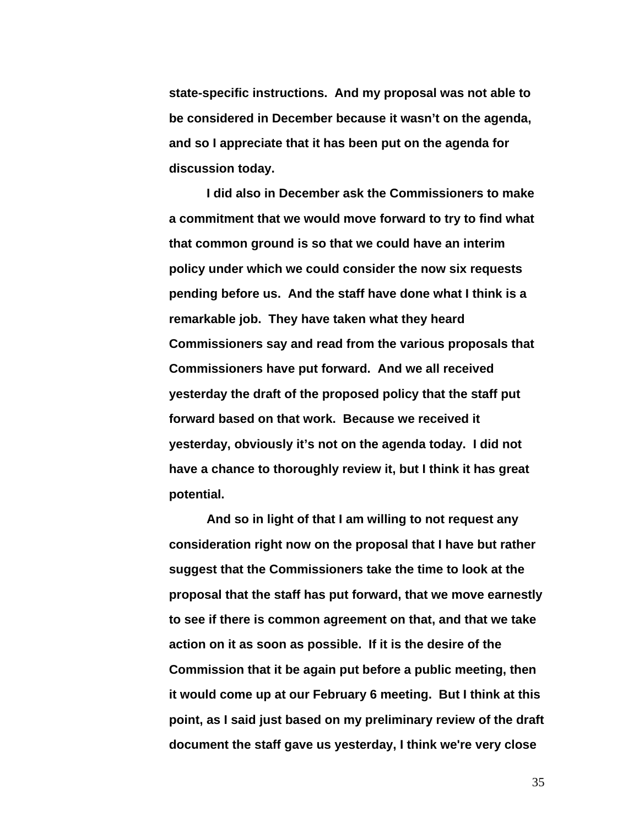**state-specific instructions. And my proposal was not able to be considered in December because it wasn't on the agenda, and so I appreciate that it has been put on the agenda for discussion today.** 

 **I did also in December ask the Commissioners to make a commitment that we would move forward to try to find what that common ground is so that we could have an interim policy under which we could consider the now six requests pending before us. And the staff have done what I think is a remarkable job. They have taken what they heard Commissioners say and read from the various proposals that Commissioners have put forward. And we all received yesterday the draft of the proposed policy that the staff put forward based on that work. Because we received it yesterday, obviously it's not on the agenda today. I did not have a chance to thoroughly review it, but I think it has great potential.** 

**And so in light of that I am willing to not request any consideration right now on the proposal that I have but rather suggest that the Commissioners take the time to look at the proposal that the staff has put forward, that we move earnestly to see if there is common agreement on that, and that we take action on it as soon as possible. If it is the desire of the Commission that it be again put before a public meeting, then it would come up at our February 6 meeting. But I think at this point, as I said just based on my preliminary review of the draft document the staff gave us yesterday, I think we're very close**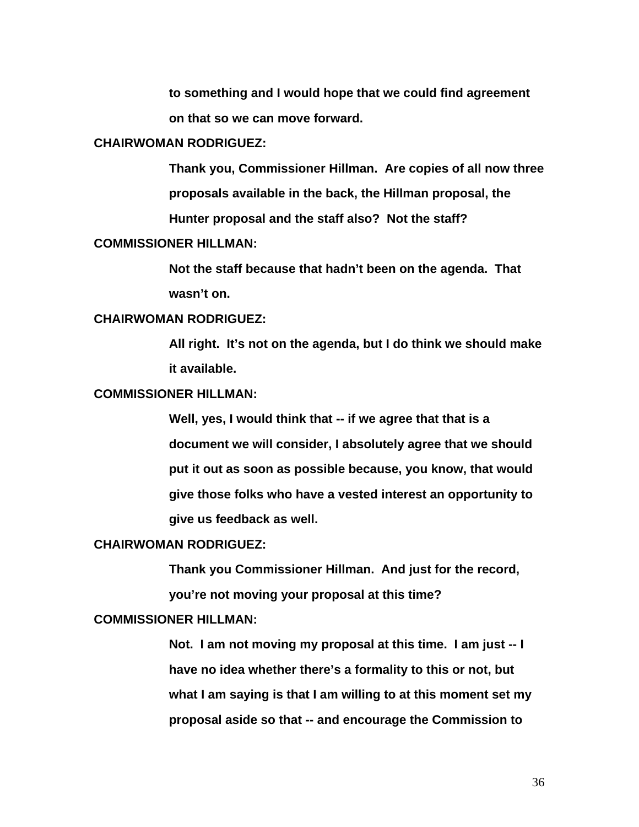**to something and I would hope that we could find agreement on that so we can move forward.** 

#### **CHAIRWOMAN RODRIGUEZ:**

**Thank you, Commissioner Hillman. Are copies of all now three proposals available in the back, the Hillman proposal, the Hunter proposal and the staff also? Not the staff?** 

# **COMMISSIONER HILLMAN:**

**Not the staff because that hadn't been on the agenda. That wasn't on.** 

#### **CHAIRWOMAN RODRIGUEZ:**

**All right. It's not on the agenda, but I do think we should make it available.** 

# **COMMISSIONER HILLMAN:**

**Well, yes, I would think that -- if we agree that that is a document we will consider, I absolutely agree that we should put it out as soon as possible because, you know, that would give those folks who have a vested interest an opportunity to give us feedback as well.** 

#### **CHAIRWOMAN RODRIGUEZ:**

**Thank you Commissioner Hillman. And just for the record, you're not moving your proposal at this time?** 

### **COMMISSIONER HILLMAN:**

**Not. I am not moving my proposal at this time. I am just -- I have no idea whether there's a formality to this or not, but what I am saying is that I am willing to at this moment set my proposal aside so that -- and encourage the Commission to**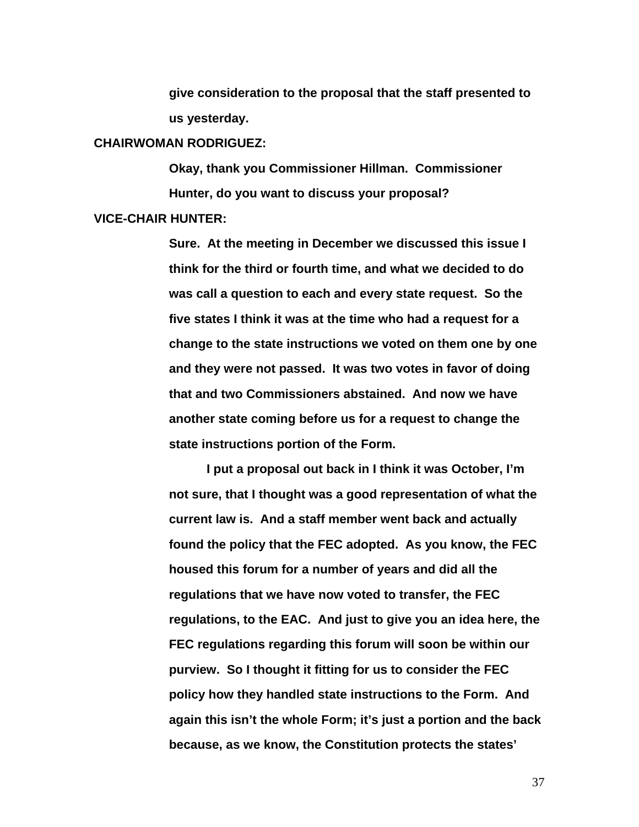**give consideration to the proposal that the staff presented to us yesterday.** 

#### **CHAIRWOMAN RODRIGUEZ:**

**Okay, thank you Commissioner Hillman. Commissioner Hunter, do you want to discuss your proposal?** 

### **VICE-CHAIR HUNTER:**

**Sure. At the meeting in December we discussed this issue I think for the third or fourth time, and what we decided to do was call a question to each and every state request. So the five states I think it was at the time who had a request for a change to the state instructions we voted on them one by one and they were not passed. It was two votes in favor of doing that and two Commissioners abstained. And now we have another state coming before us for a request to change the state instructions portion of the Form.** 

**I put a proposal out back in I think it was October, I'm not sure, that I thought was a good representation of what the current law is. And a staff member went back and actually found the policy that the FEC adopted. As you know, the FEC housed this forum for a number of years and did all the regulations that we have now voted to transfer, the FEC regulations, to the EAC. And just to give you an idea here, the FEC regulations regarding this forum will soon be within our purview. So I thought it fitting for us to consider the FEC policy how they handled state instructions to the Form. And again this isn't the whole Form; it's just a portion and the back because, as we know, the Constitution protects the states'**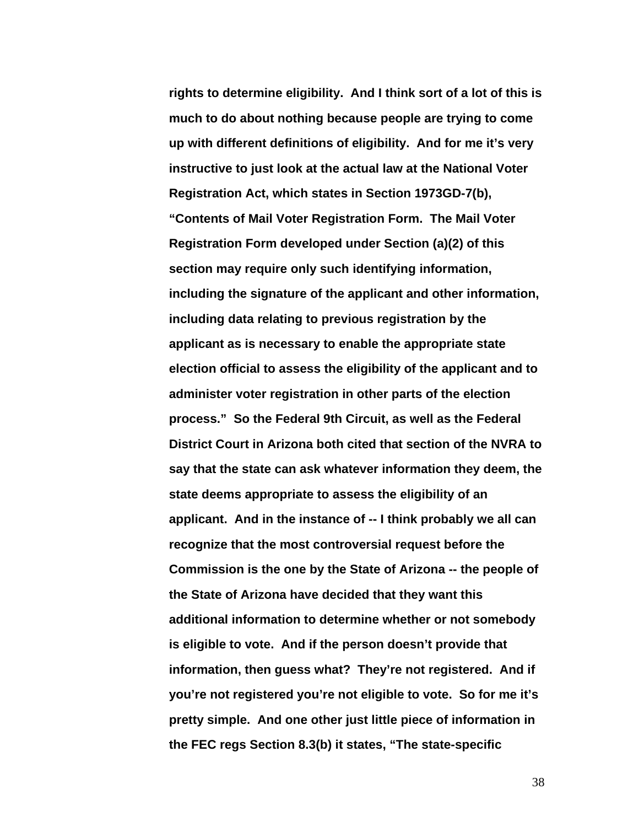**rights to determine eligibility. And I think sort of a lot of this is much to do about nothing because people are trying to come up with different definitions of eligibility. And for me it's very instructive to just look at the actual law at the National Voter Registration Act, which states in Section 1973GD-7(b), "Contents of Mail Voter Registration Form. The Mail Voter Registration Form developed under Section (a)(2) of this section may require only such identifying information, including the signature of the applicant and other information, including data relating to previous registration by the applicant as is necessary to enable the appropriate state election official to assess the eligibility of the applicant and to administer voter registration in other parts of the election process." So the Federal 9th Circuit, as well as the Federal District Court in Arizona both cited that section of the NVRA to say that the state can ask whatever information they deem, the state deems appropriate to assess the eligibility of an applicant. And in the instance of -- I think probably we all can recognize that the most controversial request before the Commission is the one by the State of Arizona -- the people of the State of Arizona have decided that they want this additional information to determine whether or not somebody is eligible to vote. And if the person doesn't provide that information, then guess what? They're not registered. And if you're not registered you're not eligible to vote. So for me it's pretty simple. And one other just little piece of information in the FEC regs Section 8.3(b) it states, "The state-specific**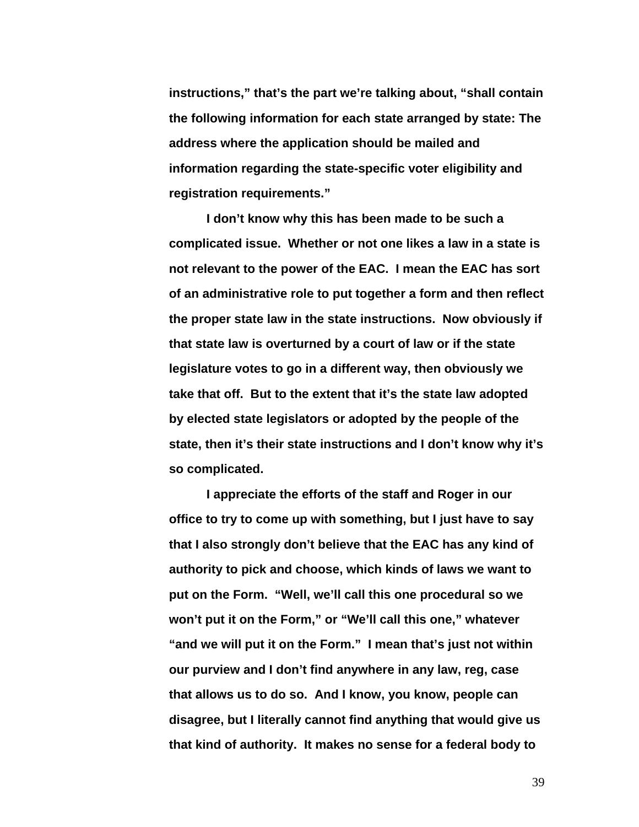**instructions," that's the part we're talking about, "shall contain the following information for each state arranged by state: The address where the application should be mailed and information regarding the state-specific voter eligibility and registration requirements."** 

**I don't know why this has been made to be such a complicated issue. Whether or not one likes a law in a state is not relevant to the power of the EAC. I mean the EAC has sort of an administrative role to put together a form and then reflect the proper state law in the state instructions. Now obviously if that state law is overturned by a court of law or if the state legislature votes to go in a different way, then obviously we take that off. But to the extent that it's the state law adopted by elected state legislators or adopted by the people of the state, then it's their state instructions and I don't know why it's so complicated.** 

**I appreciate the efforts of the staff and Roger in our office to try to come up with something, but I just have to say that I also strongly don't believe that the EAC has any kind of authority to pick and choose, which kinds of laws we want to put on the Form. "Well, we'll call this one procedural so we won't put it on the Form," or "We'll call this one," whatever "and we will put it on the Form." I mean that's just not within our purview and I don't find anywhere in any law, reg, case that allows us to do so. And I know, you know, people can disagree, but I literally cannot find anything that would give us that kind of authority. It makes no sense for a federal body to**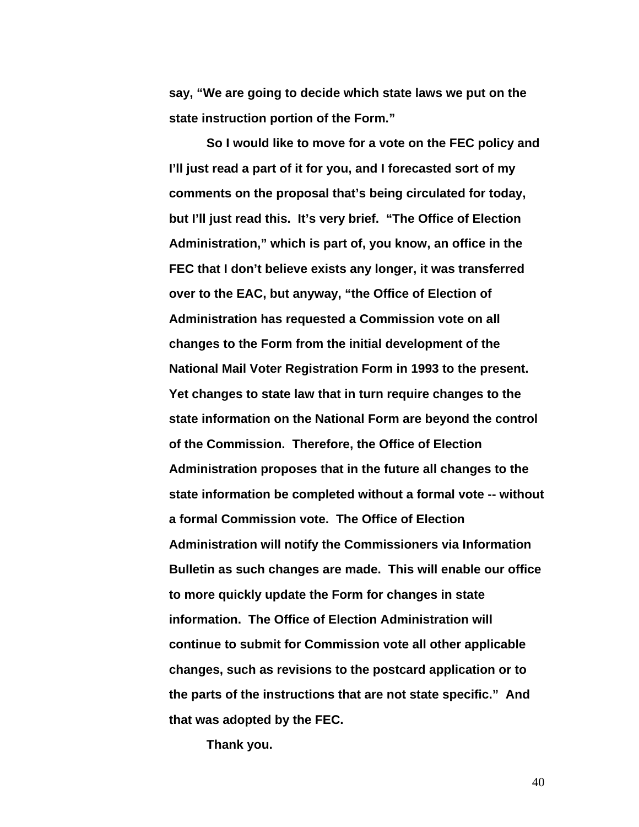**say, "We are going to decide which state laws we put on the state instruction portion of the Form."** 

**So I would like to move for a vote on the FEC policy and I'll just read a part of it for you, and I forecasted sort of my comments on the proposal that's being circulated for today, but I'll just read this. It's very brief. "The Office of Election Administration," which is part of, you know, an office in the FEC that I don't believe exists any longer, it was transferred over to the EAC, but anyway, "the Office of Election of Administration has requested a Commission vote on all changes to the Form from the initial development of the National Mail Voter Registration Form in 1993 to the present. Yet changes to state law that in turn require changes to the state information on the National Form are beyond the control of the Commission. Therefore, the Office of Election Administration proposes that in the future all changes to the state information be completed without a formal vote -- without a formal Commission vote. The Office of Election Administration will notify the Commissioners via Information Bulletin as such changes are made. This will enable our office to more quickly update the Form for changes in state information. The Office of Election Administration will continue to submit for Commission vote all other applicable changes, such as revisions to the postcard application or to the parts of the instructions that are not state specific." And that was adopted by the FEC.** 

**Thank you.**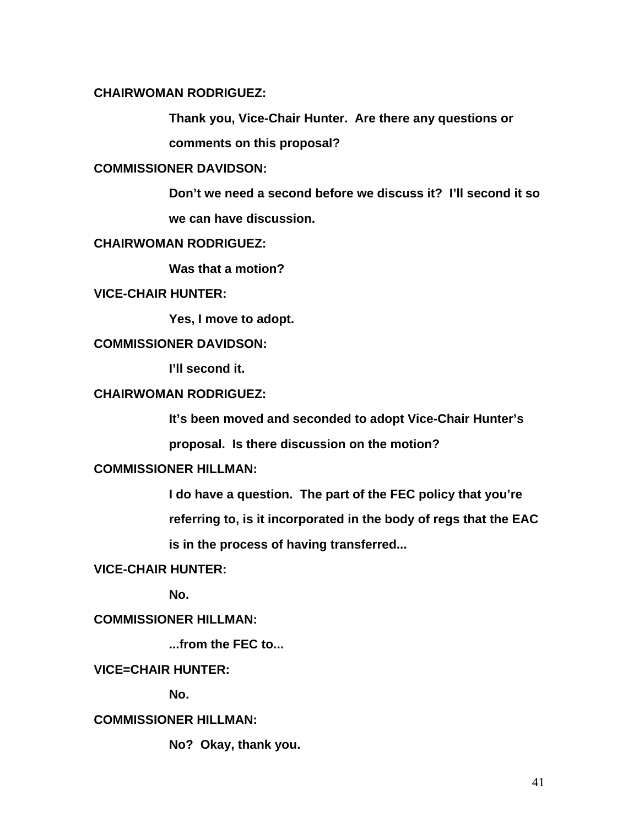## **CHAIRWOMAN RODRIGUEZ:**

**Thank you, Vice-Chair Hunter. Are there any questions or** 

**comments on this proposal?** 

# **COMMISSIONER DAVIDSON:**

**Don't we need a second before we discuss it? I'll second it so we can have discussion.** 

# **CHAIRWOMAN RODRIGUEZ:**

 **Was that a motion?** 

# **VICE-CHAIR HUNTER:**

 **Yes, I move to adopt.** 

## **COMMISSIONER DAVIDSON:**

 **I'll second it.** 

## **CHAIRWOMAN RODRIGUEZ:**

**It's been moved and seconded to adopt Vice-Chair Hunter's** 

**proposal. Is there discussion on the motion?** 

# **COMMISSIONER HILLMAN:**

**I do have a question. The part of the FEC policy that you're referring to, is it incorporated in the body of regs that the EAC is in the process of having transferred...** 

## **VICE-CHAIR HUNTER:**

 **No.** 

# **COMMISSIONER HILLMAN:**

 **...from the FEC to...** 

# **VICE=CHAIR HUNTER:**

 **No.** 

# **COMMISSIONER HILLMAN:**

 **No? Okay, thank you.**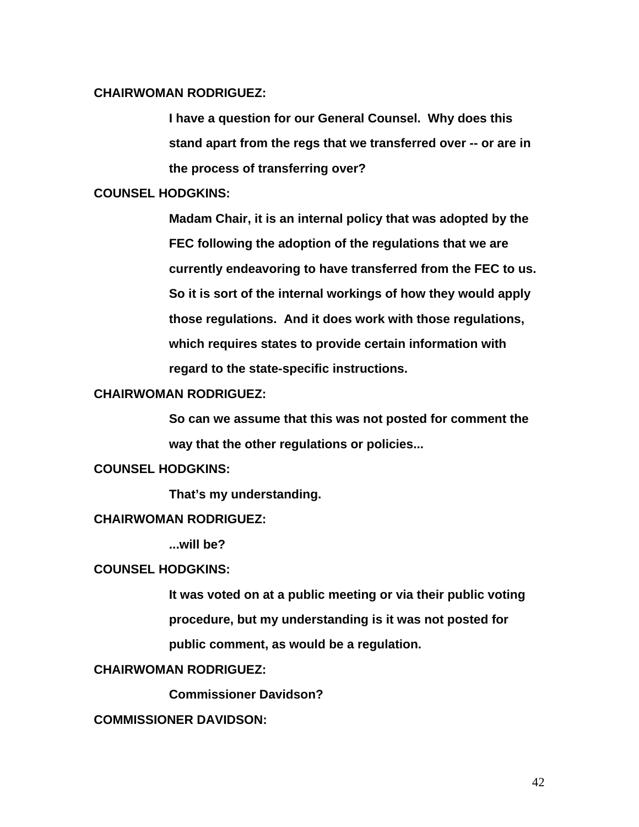# **CHAIRWOMAN RODRIGUEZ:**

**I have a question for our General Counsel. Why does this stand apart from the regs that we transferred over -- or are in the process of transferring over?** 

### **COUNSEL HODGKINS:**

**Madam Chair, it is an internal policy that was adopted by the FEC following the adoption of the regulations that we are currently endeavoring to have transferred from the FEC to us. So it is sort of the internal workings of how they would apply those regulations. And it does work with those regulations, which requires states to provide certain information with regard to the state-specific instructions.** 

### **CHAIRWOMAN RODRIGUEZ:**

**So can we assume that this was not posted for comment the way that the other regulations or policies...** 

# **COUNSEL HODGKINS:**

 **That's my understanding.** 

# **CHAIRWOMAN RODRIGUEZ:**

 **...will be?** 

## **COUNSEL HODGKINS:**

**It was voted on at a public meeting or via their public voting procedure, but my understanding is it was not posted for public comment, as would be a regulation.** 

## **CHAIRWOMAN RODRIGUEZ:**

 **Commissioner Davidson?** 

# **COMMISSIONER DAVIDSON:**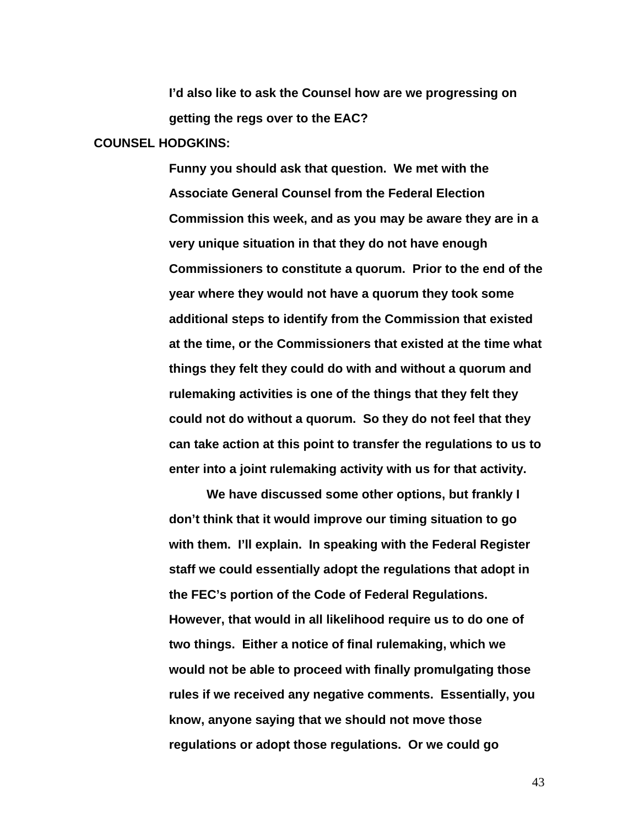**I'd also like to ask the Counsel how are we progressing on getting the regs over to the EAC?** 

### **COUNSEL HODGKINS:**

**Funny you should ask that question. We met with the Associate General Counsel from the Federal Election Commission this week, and as you may be aware they are in a very unique situation in that they do not have enough Commissioners to constitute a quorum. Prior to the end of the year where they would not have a quorum they took some additional steps to identify from the Commission that existed at the time, or the Commissioners that existed at the time what things they felt they could do with and without a quorum and rulemaking activities is one of the things that they felt they could not do without a quorum. So they do not feel that they can take action at this point to transfer the regulations to us to enter into a joint rulemaking activity with us for that activity.** 

 **We have discussed some other options, but frankly I don't think that it would improve our timing situation to go with them. I'll explain. In speaking with the Federal Register staff we could essentially adopt the regulations that adopt in the FEC's portion of the Code of Federal Regulations. However, that would in all likelihood require us to do one of two things. Either a notice of final rulemaking, which we would not be able to proceed with finally promulgating those rules if we received any negative comments. Essentially, you know, anyone saying that we should not move those regulations or adopt those regulations. Or we could go**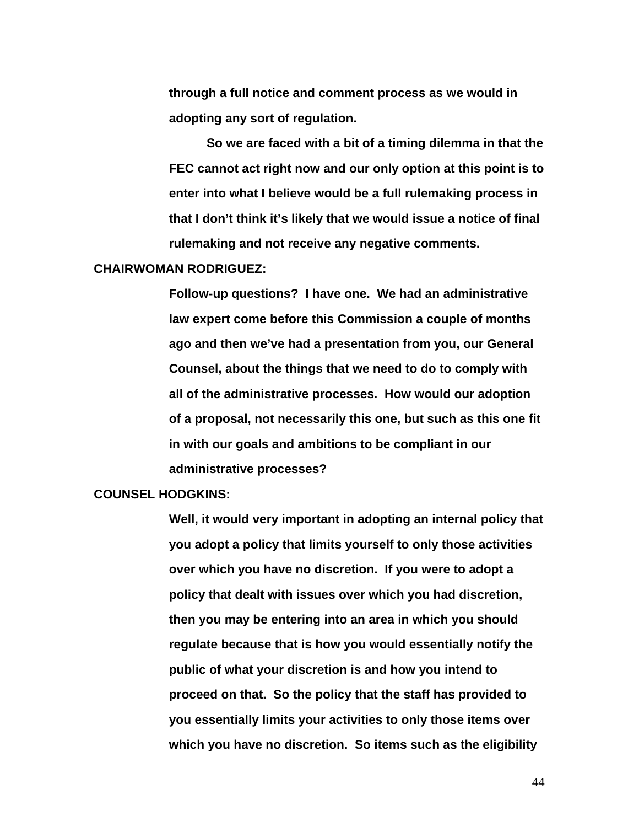**through a full notice and comment process as we would in adopting any sort of regulation.** 

**So we are faced with a bit of a timing dilemma in that the FEC cannot act right now and our only option at this point is to enter into what I believe would be a full rulemaking process in that I don't think it's likely that we would issue a notice of final rulemaking and not receive any negative comments.** 

#### **CHAIRWOMAN RODRIGUEZ:**

**Follow-up questions? I have one. We had an administrative law expert come before this Commission a couple of months ago and then we've had a presentation from you, our General Counsel, about the things that we need to do to comply with all of the administrative processes. How would our adoption of a proposal, not necessarily this one, but such as this one fit in with our goals and ambitions to be compliant in our administrative processes?** 

#### **COUNSEL HODGKINS:**

**Well, it would very important in adopting an internal policy that you adopt a policy that limits yourself to only those activities over which you have no discretion. If you were to adopt a policy that dealt with issues over which you had discretion, then you may be entering into an area in which you should regulate because that is how you would essentially notify the public of what your discretion is and how you intend to proceed on that. So the policy that the staff has provided to you essentially limits your activities to only those items over which you have no discretion. So items such as the eligibility**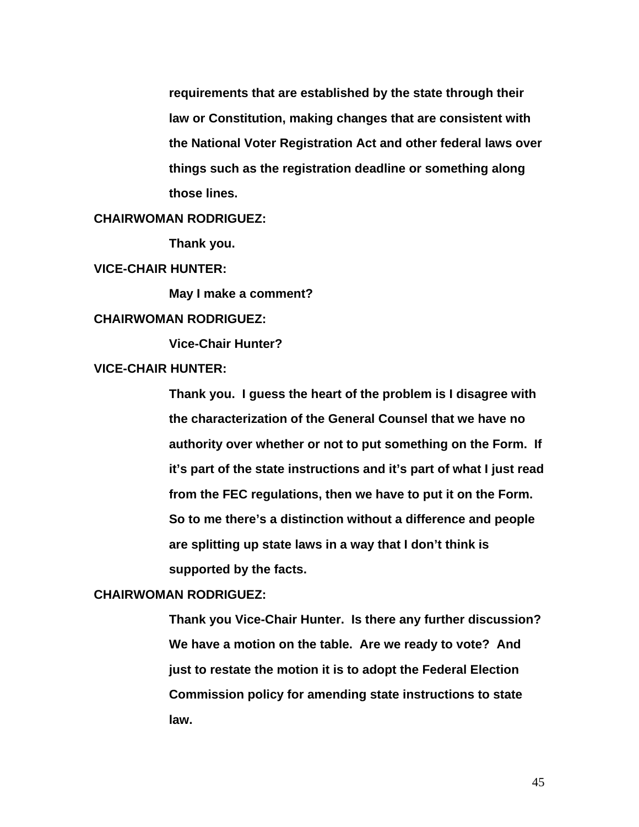**requirements that are established by the state through their law or Constitution, making changes that are consistent with the National Voter Registration Act and other federal laws over things such as the registration deadline or something along those lines.** 

# **CHAIRWOMAN RODRIGUEZ:**

 **Thank you.** 

**VICE-CHAIR HUNTER:** 

 **May I make a comment?** 

## **CHAIRWOMAN RODRIGUEZ:**

 **Vice-Chair Hunter?** 

# **VICE-CHAIR HUNTER:**

**Thank you. I guess the heart of the problem is I disagree with the characterization of the General Counsel that we have no authority over whether or not to put something on the Form. If it's part of the state instructions and it's part of what I just read from the FEC regulations, then we have to put it on the Form. So to me there's a distinction without a difference and people are splitting up state laws in a way that I don't think is supported by the facts.** 

### **CHAIRWOMAN RODRIGUEZ:**

**Thank you Vice-Chair Hunter. Is there any further discussion? We have a motion on the table. Are we ready to vote? And just to restate the motion it is to adopt the Federal Election Commission policy for amending state instructions to state law.**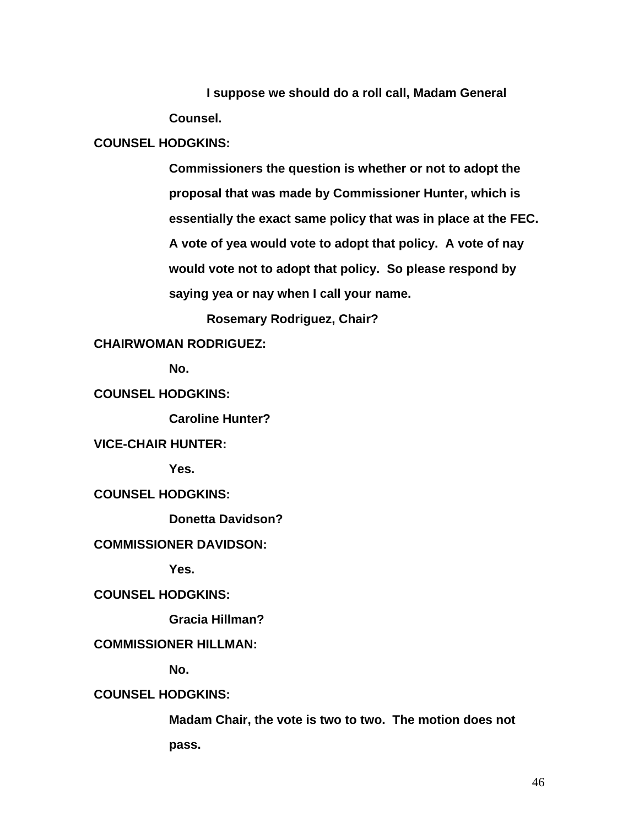**I suppose we should do a roll call, Madam General Counsel.** 

## **COUNSEL HODGKINS:**

**Commissioners the question is whether or not to adopt the proposal that was made by Commissioner Hunter, which is essentially the exact same policy that was in place at the FEC. A vote of yea would vote to adopt that policy. A vote of nay would vote not to adopt that policy. So please respond by saying yea or nay when I call your name.** 

 **Rosemary Rodriguez, Chair?** 

**CHAIRWOMAN RODRIGUEZ:** 

 **No.** 

**COUNSEL HODGKINS:** 

 **Caroline Hunter?** 

**VICE-CHAIR HUNTER:** 

 **Yes.** 

**COUNSEL HODGKINS:** 

 **Donetta Davidson?** 

### **COMMISSIONER DAVIDSON:**

 **Yes.** 

**COUNSEL HODGKINS:** 

 **Gracia Hillman?** 

# **COMMISSIONER HILLMAN:**

 **No.** 

# **COUNSEL HODGKINS:**

**Madam Chair, the vote is two to two. The motion does not pass.**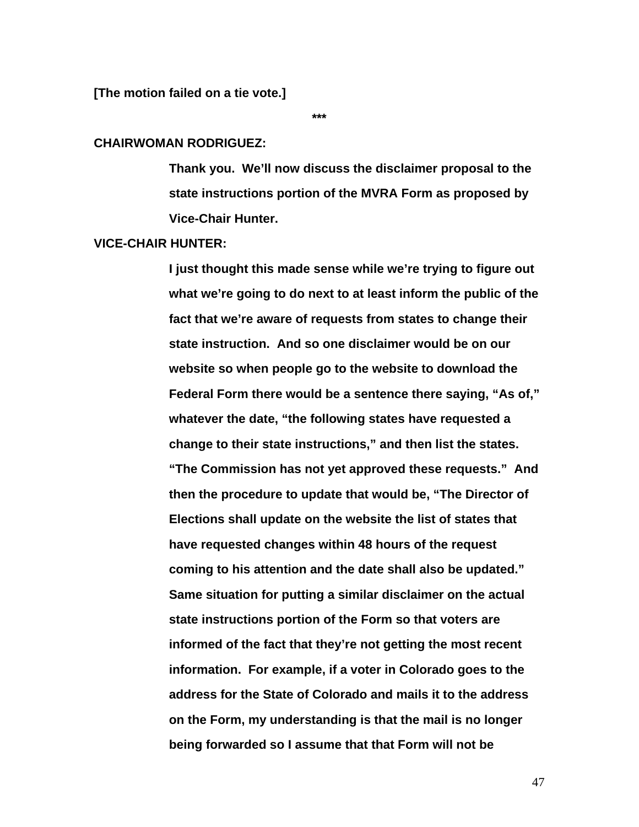**\*\*\*** 

#### **CHAIRWOMAN RODRIGUEZ:**

**Thank you. We'll now discuss the disclaimer proposal to the state instructions portion of the MVRA Form as proposed by Vice-Chair Hunter.** 

### **VICE-CHAIR HUNTER:**

**I just thought this made sense while we're trying to figure out what we're going to do next to at least inform the public of the fact that we're aware of requests from states to change their state instruction. And so one disclaimer would be on our website so when people go to the website to download the Federal Form there would be a sentence there saying, "As of," whatever the date, "the following states have requested a change to their state instructions," and then list the states. "The Commission has not yet approved these requests." And then the procedure to update that would be, "The Director of Elections shall update on the website the list of states that have requested changes within 48 hours of the request coming to his attention and the date shall also be updated." Same situation for putting a similar disclaimer on the actual state instructions portion of the Form so that voters are informed of the fact that they're not getting the most recent information. For example, if a voter in Colorado goes to the address for the State of Colorado and mails it to the address on the Form, my understanding is that the mail is no longer being forwarded so I assume that that Form will not be**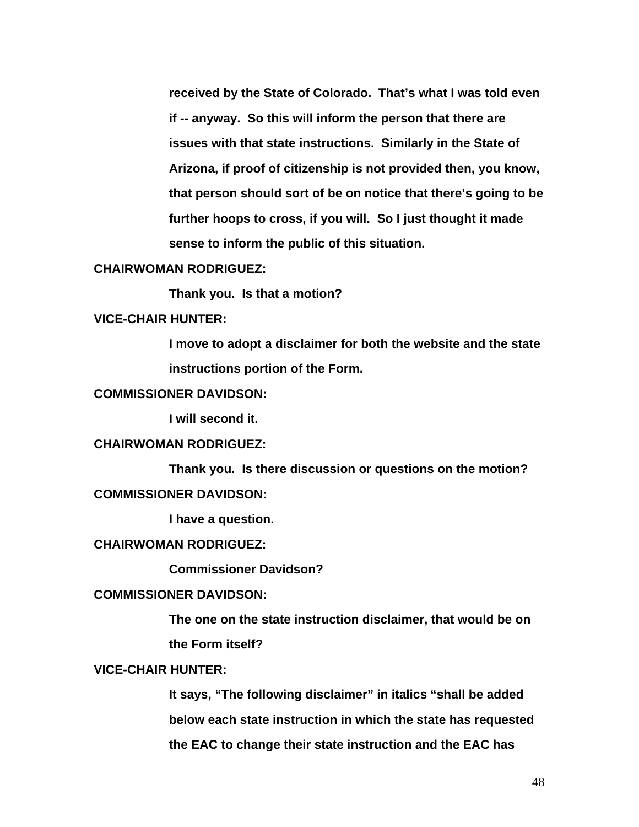**received by the State of Colorado. That's what I was told even if -- anyway. So this will inform the person that there are issues with that state instructions. Similarly in the State of Arizona, if proof of citizenship is not provided then, you know, that person should sort of be on notice that there's going to be further hoops to cross, if you will. So I just thought it made sense to inform the public of this situation.** 

#### **CHAIRWOMAN RODRIGUEZ:**

 **Thank you. Is that a motion?** 

## **VICE-CHAIR HUNTER:**

**I move to adopt a disclaimer for both the website and the state instructions portion of the Form.** 

# **COMMISSIONER DAVIDSON:**

 **I will second it.** 

# **CHAIRWOMAN RODRIGUEZ:**

 **Thank you. Is there discussion or questions on the motion? COMMISSIONER DAVIDSON:** 

 **I have a question.** 

#### **CHAIRWOMAN RODRIGUEZ:**

 **Commissioner Davidson?** 

### **COMMISSIONER DAVIDSON:**

**The one on the state instruction disclaimer, that would be on the Form itself?** 

### **VICE-CHAIR HUNTER:**

**It says, "The following disclaimer" in italics "shall be added below each state instruction in which the state has requested the EAC to change their state instruction and the EAC has**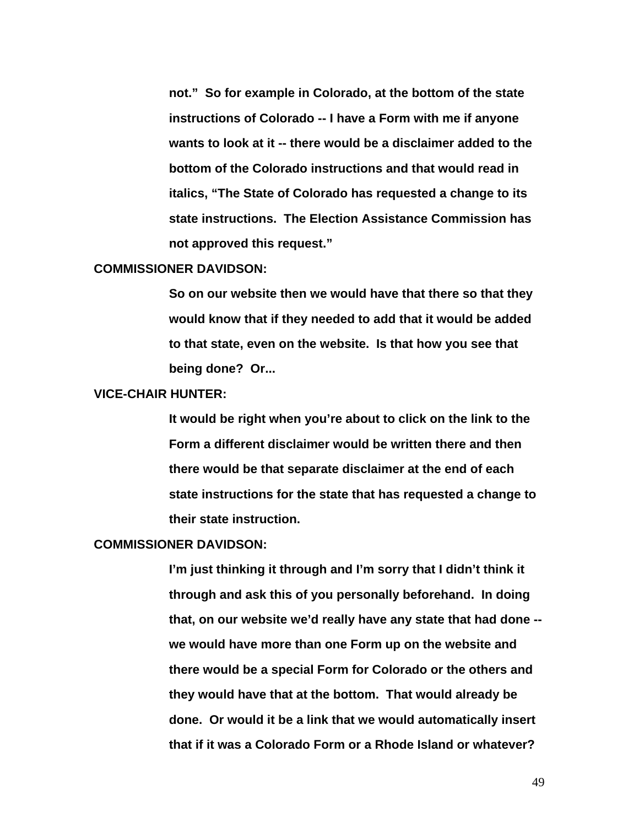**not." So for example in Colorado, at the bottom of the state instructions of Colorado -- I have a Form with me if anyone wants to look at it -- there would be a disclaimer added to the bottom of the Colorado instructions and that would read in italics, "The State of Colorado has requested a change to its state instructions. The Election Assistance Commission has not approved this request."** 

#### **COMMISSIONER DAVIDSON:**

**So on our website then we would have that there so that they would know that if they needed to add that it would be added to that state, even on the website. Is that how you see that being done? Or...** 

#### **VICE-CHAIR HUNTER:**

**It would be right when you're about to click on the link to the Form a different disclaimer would be written there and then there would be that separate disclaimer at the end of each state instructions for the state that has requested a change to their state instruction.** 

#### **COMMISSIONER DAVIDSON:**

**I'm just thinking it through and I'm sorry that I didn't think it through and ask this of you personally beforehand. In doing that, on our website we'd really have any state that had done - we would have more than one Form up on the website and there would be a special Form for Colorado or the others and they would have that at the bottom. That would already be done. Or would it be a link that we would automatically insert that if it was a Colorado Form or a Rhode Island or whatever?**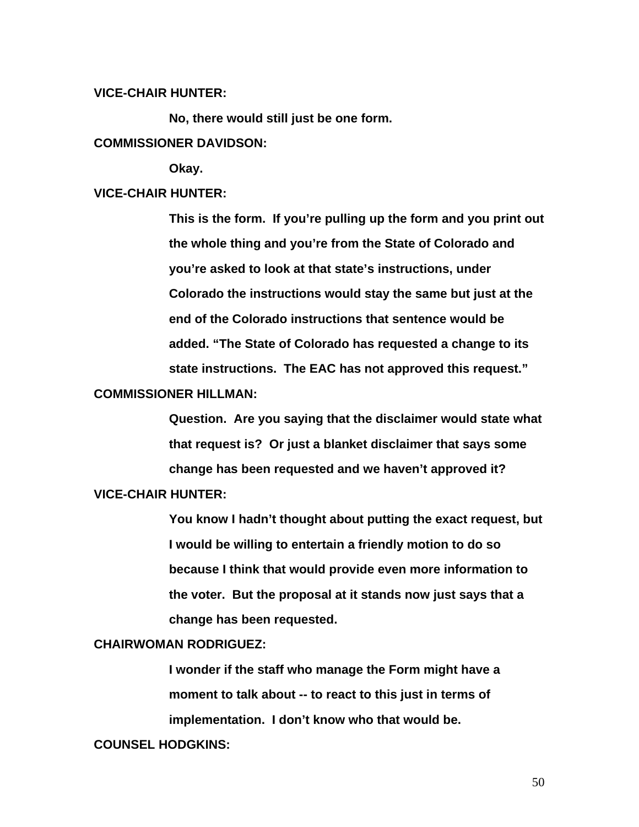## **VICE-CHAIR HUNTER:**

**No, there would still just be one form.** 

# **COMMISSIONER DAVIDSON:**

 **Okay.** 

#### **VICE-CHAIR HUNTER:**

**This is the form. If you're pulling up the form and you print out the whole thing and you're from the State of Colorado and you're asked to look at that state's instructions, under Colorado the instructions would stay the same but just at the end of the Colorado instructions that sentence would be added. "The State of Colorado has requested a change to its state instructions. The EAC has not approved this request."** 

#### **COMMISSIONER HILLMAN:**

**Question. Are you saying that the disclaimer would state what that request is? Or just a blanket disclaimer that says some change has been requested and we haven't approved it?** 

# **VICE-CHAIR HUNTER:**

**You know I hadn't thought about putting the exact request, but I would be willing to entertain a friendly motion to do so because I think that would provide even more information to the voter. But the proposal at it stands now just says that a change has been requested.** 

### **CHAIRWOMAN RODRIGUEZ:**

**I wonder if the staff who manage the Form might have a moment to talk about -- to react to this just in terms of implementation. I don't know who that would be.** 

#### **COUNSEL HODGKINS:**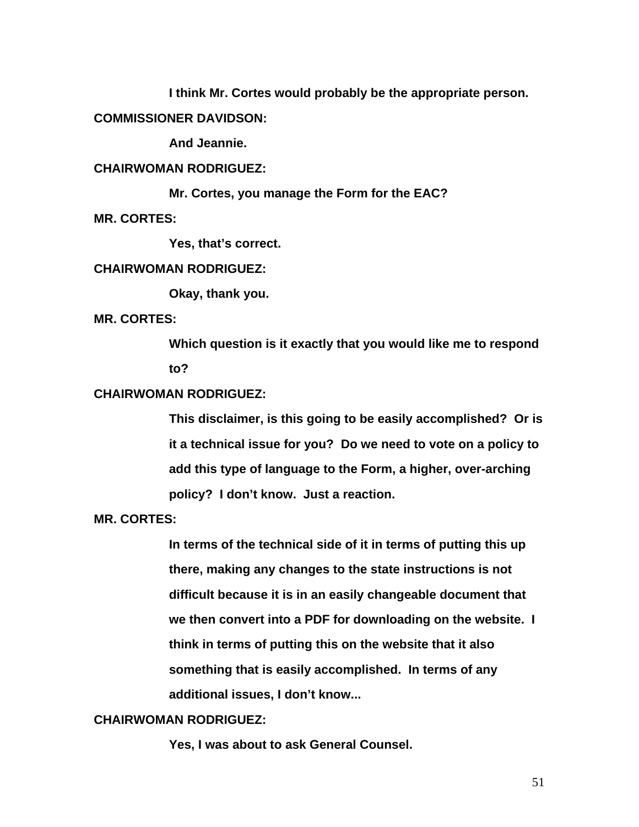**I think Mr. Cortes would probably be the appropriate person.** 

**COMMISSIONER DAVIDSON:** 

 **And Jeannie.** 

# **CHAIRWOMAN RODRIGUEZ:**

 **Mr. Cortes, you manage the Form for the EAC? MR. CORTES:** 

 **Yes, that's correct.** 

### **CHAIRWOMAN RODRIGUEZ:**

 **Okay, thank you.** 

**MR. CORTES:** 

**Which question is it exactly that you would like me to respond to?** 

# **CHAIRWOMAN RODRIGUEZ:**

**This disclaimer, is this going to be easily accomplished? Or is it a technical issue for you? Do we need to vote on a policy to add this type of language to the Form, a higher, over-arching policy? I don't know. Just a reaction.** 

**MR. CORTES:** 

**In terms of the technical side of it in terms of putting this up there, making any changes to the state instructions is not difficult because it is in an easily changeable document that we then convert into a PDF for downloading on the website. I think in terms of putting this on the website that it also something that is easily accomplished. In terms of any additional issues, I don't know...** 

# **CHAIRWOMAN RODRIGUEZ:**

 **Yes, I was about to ask General Counsel.**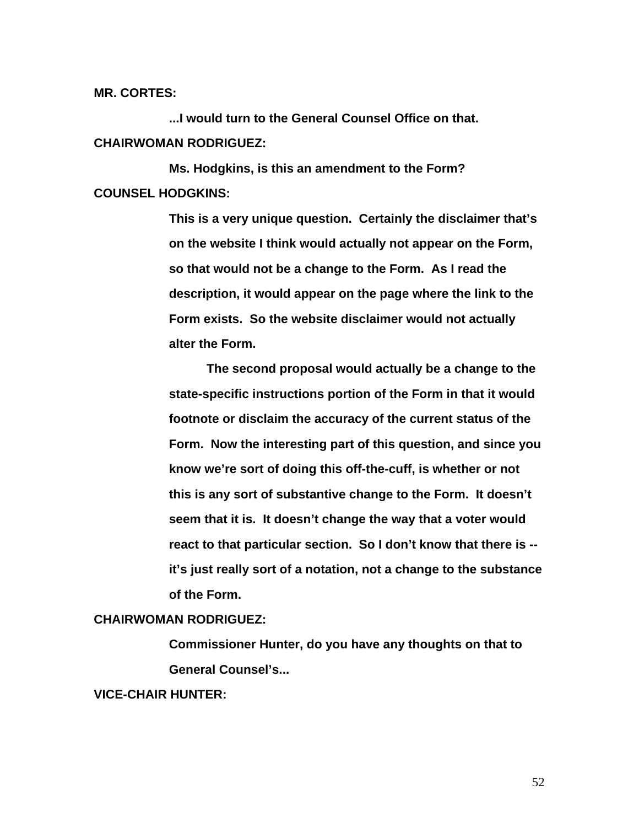**MR. CORTES:** 

 **...I would turn to the General Counsel Office on that. CHAIRWOMAN RODRIGUEZ:** 

 **Ms. Hodgkins, is this an amendment to the Form? COUNSEL HODGKINS:** 

> **This is a very unique question. Certainly the disclaimer that's on the website I think would actually not appear on the Form, so that would not be a change to the Form. As I read the description, it would appear on the page where the link to the Form exists. So the website disclaimer would not actually alter the Form.**

**The second proposal would actually be a change to the state-specific instructions portion of the Form in that it would footnote or disclaim the accuracy of the current status of the Form. Now the interesting part of this question, and since you know we're sort of doing this off-the-cuff, is whether or not this is any sort of substantive change to the Form. It doesn't seem that it is. It doesn't change the way that a voter would react to that particular section. So I don't know that there is - it's just really sort of a notation, not a change to the substance of the Form.** 

### **CHAIRWOMAN RODRIGUEZ:**

**Commissioner Hunter, do you have any thoughts on that to General Counsel's...** 

# **VICE-CHAIR HUNTER:**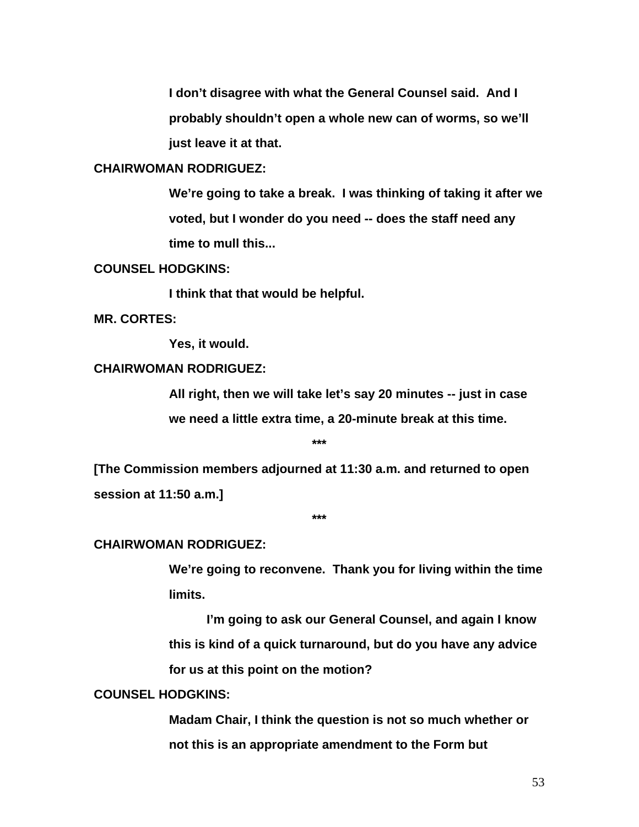**I don't disagree with what the General Counsel said. And I probably shouldn't open a whole new can of worms, so we'll just leave it at that.** 

# **CHAIRWOMAN RODRIGUEZ:**

**We're going to take a break. I was thinking of taking it after we voted, but I wonder do you need -- does the staff need any time to mull this...** 

#### **COUNSEL HODGKINS:**

 **I think that that would be helpful.** 

**MR. CORTES:** 

 **Yes, it would.** 

# **CHAIRWOMAN RODRIGUEZ:**

**All right, then we will take let's say 20 minutes -- just in case we need a little extra time, a 20-minute break at this time.** 

**\*\*\*** 

**[The Commission members adjourned at 11:30 a.m. and returned to open session at 11:50 a.m.]** 

**\*\*\*** 

#### **CHAIRWOMAN RODRIGUEZ:**

**We're going to reconvene. Thank you for living within the time limits.** 

**I'm going to ask our General Counsel, and again I know this is kind of a quick turnaround, but do you have any advice for us at this point on the motion?** 

### **COUNSEL HODGKINS:**

**Madam Chair, I think the question is not so much whether or not this is an appropriate amendment to the Form but**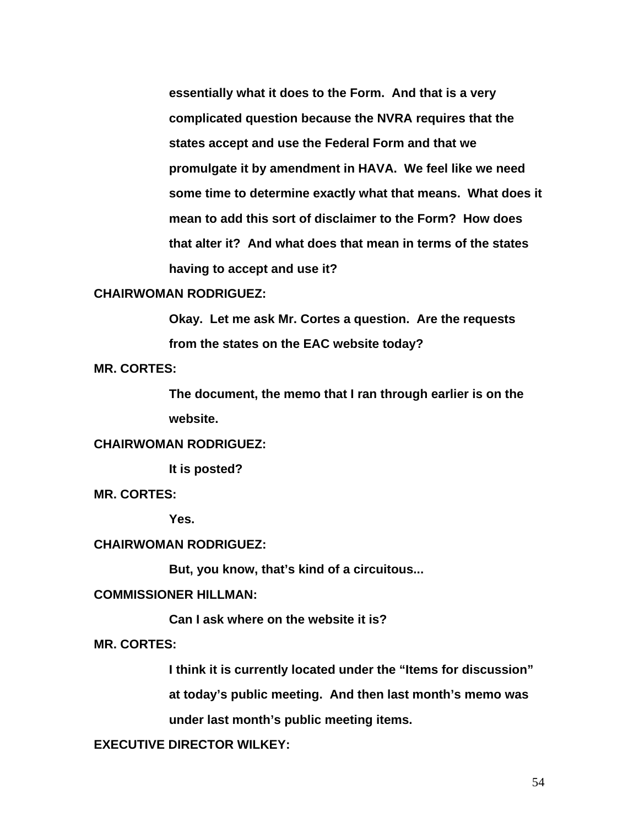**essentially what it does to the Form. And that is a very complicated question because the NVRA requires that the states accept and use the Federal Form and that we promulgate it by amendment in HAVA. We feel like we need some time to determine exactly what that means. What does it mean to add this sort of disclaimer to the Form? How does that alter it? And what does that mean in terms of the states having to accept and use it?** 

# **CHAIRWOMAN RODRIGUEZ:**

**Okay. Let me ask Mr. Cortes a question. Are the requests from the states on the EAC website today?** 

**MR. CORTES:** 

**The document, the memo that I ran through earlier is on the website.** 

# **CHAIRWOMAN RODRIGUEZ:**

 **It is posted?** 

**MR. CORTES:** 

 **Yes.** 

#### **CHAIRWOMAN RODRIGUEZ:**

 **But, you know, that's kind of a circuitous...** 

### **COMMISSIONER HILLMAN:**

 **Can I ask where on the website it is?** 

**MR. CORTES:** 

**I think it is currently located under the "Items for discussion"** 

**at today's public meeting. And then last month's memo was** 

**under last month's public meeting items.** 

**EXECUTIVE DIRECTOR WILKEY:**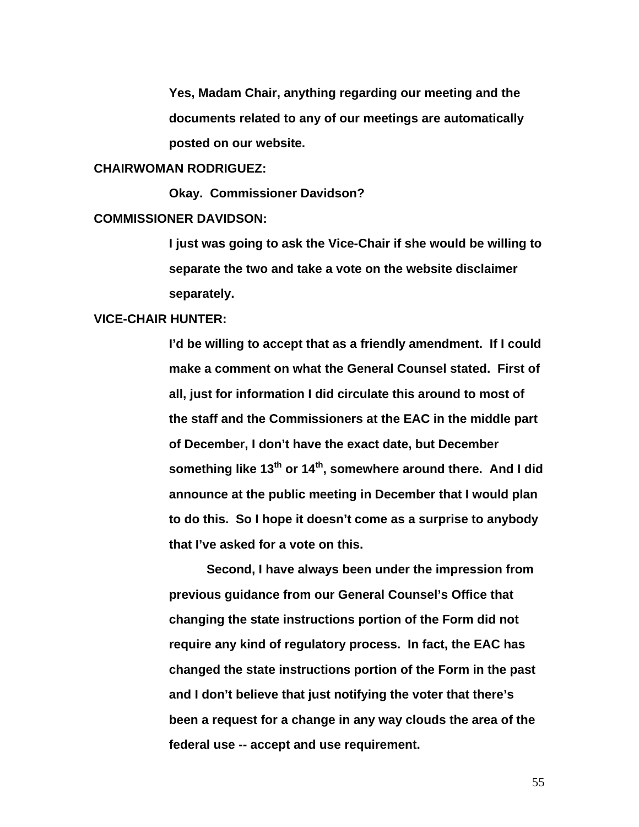**Yes, Madam Chair, anything regarding our meeting and the documents related to any of our meetings are automatically posted on our website.** 

#### **CHAIRWOMAN RODRIGUEZ:**

 **Okay. Commissioner Davidson?** 

#### **COMMISSIONER DAVIDSON:**

**I just was going to ask the Vice-Chair if she would be willing to separate the two and take a vote on the website disclaimer separately.** 

#### **VICE-CHAIR HUNTER:**

**I'd be willing to accept that as a friendly amendment. If I could make a comment on what the General Counsel stated. First of all, just for information I did circulate this around to most of the staff and the Commissioners at the EAC in the middle part of December, I don't have the exact date, but December**  something like 13<sup>th</sup> or 14<sup>th</sup>, somewhere around there. And I did **announce at the public meeting in December that I would plan to do this. So I hope it doesn't come as a surprise to anybody that I've asked for a vote on this.** 

 **Second, I have always been under the impression from previous guidance from our General Counsel's Office that changing the state instructions portion of the Form did not require any kind of regulatory process. In fact, the EAC has changed the state instructions portion of the Form in the past and I don't believe that just notifying the voter that there's been a request for a change in any way clouds the area of the federal use -- accept and use requirement.**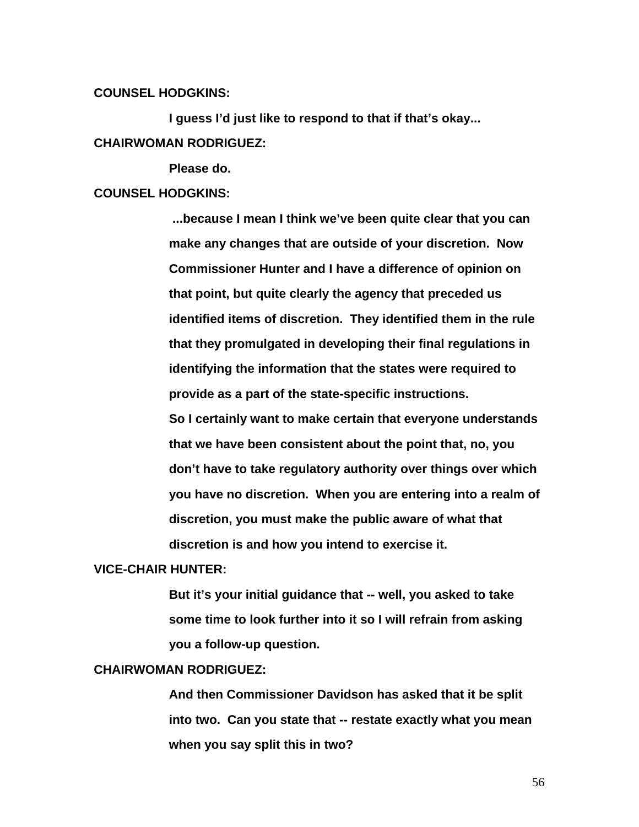## **COUNSEL HODGKINS:**

**I guess I'd just like to respond to that if that's okay... CHAIRWOMAN RODRIGUEZ:** 

 **Please do.** 

### **COUNSEL HODGKINS:**

 **...because I mean I think we've been quite clear that you can make any changes that are outside of your discretion. Now Commissioner Hunter and I have a difference of opinion on that point, but quite clearly the agency that preceded us identified items of discretion. They identified them in the rule that they promulgated in developing their final regulations in identifying the information that the states were required to provide as a part of the state-specific instructions. So I certainly want to make certain that everyone understands that we have been consistent about the point that, no, you don't have to take regulatory authority over things over which you have no discretion. When you are entering into a realm of discretion, you must make the public aware of what that** 

**discretion is and how you intend to exercise it.** 

#### **VICE-CHAIR HUNTER:**

**But it's your initial guidance that -- well, you asked to take some time to look further into it so I will refrain from asking you a follow-up question.** 

## **CHAIRWOMAN RODRIGUEZ:**

**And then Commissioner Davidson has asked that it be split into two. Can you state that -- restate exactly what you mean when you say split this in two?**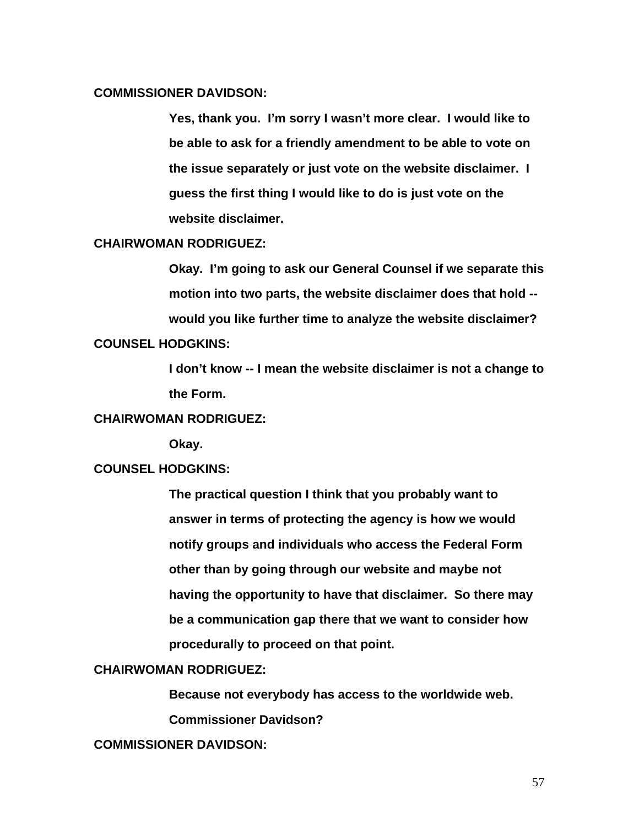## **COMMISSIONER DAVIDSON:**

**Yes, thank you. I'm sorry I wasn't more clear. I would like to be able to ask for a friendly amendment to be able to vote on the issue separately or just vote on the website disclaimer. I guess the first thing I would like to do is just vote on the website disclaimer.** 

### **CHAIRWOMAN RODRIGUEZ:**

**Okay. I'm going to ask our General Counsel if we separate this motion into two parts, the website disclaimer does that hold - would you like further time to analyze the website disclaimer?** 

## **COUNSEL HODGKINS:**

**I don't know -- I mean the website disclaimer is not a change to the Form.** 

# **CHAIRWOMAN RODRIGUEZ:**

 **Okay.** 

#### **COUNSEL HODGKINS:**

**The practical question I think that you probably want to answer in terms of protecting the agency is how we would notify groups and individuals who access the Federal Form other than by going through our website and maybe not having the opportunity to have that disclaimer. So there may be a communication gap there that we want to consider how procedurally to proceed on that point.** 

## **CHAIRWOMAN RODRIGUEZ:**

**Because not everybody has access to the worldwide web.** 

**Commissioner Davidson?** 

**COMMISSIONER DAVIDSON:**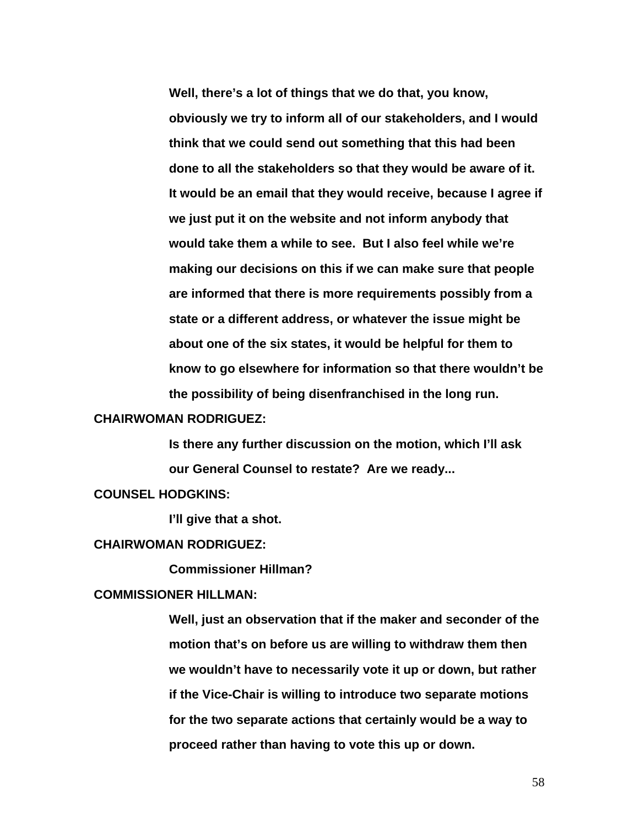**Well, there's a lot of things that we do that, you know, obviously we try to inform all of our stakeholders, and I would think that we could send out something that this had been done to all the stakeholders so that they would be aware of it. It would be an email that they would receive, because I agree if we just put it on the website and not inform anybody that would take them a while to see. But I also feel while we're making our decisions on this if we can make sure that people are informed that there is more requirements possibly from a state or a different address, or whatever the issue might be about one of the six states, it would be helpful for them to know to go elsewhere for information so that there wouldn't be the possibility of being disenfranchised in the long run.** 

#### **CHAIRWOMAN RODRIGUEZ:**

**Is there any further discussion on the motion, which I'll ask our General Counsel to restate? Are we ready...** 

#### **COUNSEL HODGKINS:**

**I'll give that a shot.** 

#### **CHAIRWOMAN RODRIGUEZ:**

 **Commissioner Hillman?** 

#### **COMMISSIONER HILLMAN:**

**Well, just an observation that if the maker and seconder of the motion that's on before us are willing to withdraw them then we wouldn't have to necessarily vote it up or down, but rather if the Vice-Chair is willing to introduce two separate motions for the two separate actions that certainly would be a way to proceed rather than having to vote this up or down.**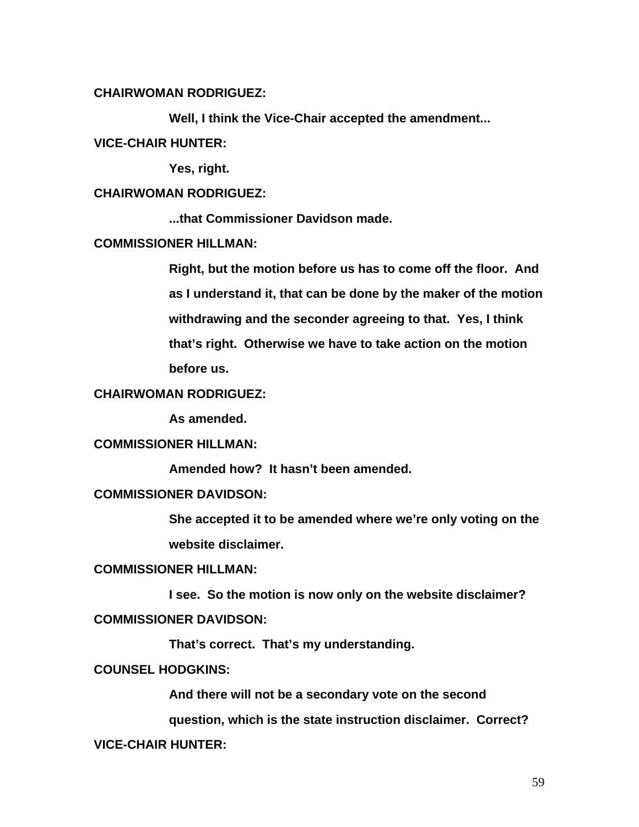## **CHAIRWOMAN RODRIGUEZ:**

 **Well, I think the Vice-Chair accepted the amendment...** 

### **VICE-CHAIR HUNTER:**

 **Yes, right.** 

## **CHAIRWOMAN RODRIGUEZ:**

 **...that Commissioner Davidson made.** 

## **COMMISSIONER HILLMAN:**

**Right, but the motion before us has to come off the floor. And as I understand it, that can be done by the maker of the motion withdrawing and the seconder agreeing to that. Yes, I think that's right. Otherwise we have to take action on the motion before us.** 

## **CHAIRWOMAN RODRIGUEZ:**

 **As amended.** 

# **COMMISSIONER HILLMAN:**

 **Amended how? It hasn't been amended.** 

# **COMMISSIONER DAVIDSON:**

**She accepted it to be amended where we're only voting on the website disclaimer.** 

## **COMMISSIONER HILLMAN:**

 **I see. So the motion is now only on the website disclaimer?** 

# **COMMISSIONER DAVIDSON:**

 **That's correct. That's my understanding.** 

## **COUNSEL HODGKINS:**

**And there will not be a secondary vote on the second** 

**question, which is the state instruction disclaimer. Correct?** 

#### **VICE-CHAIR HUNTER:**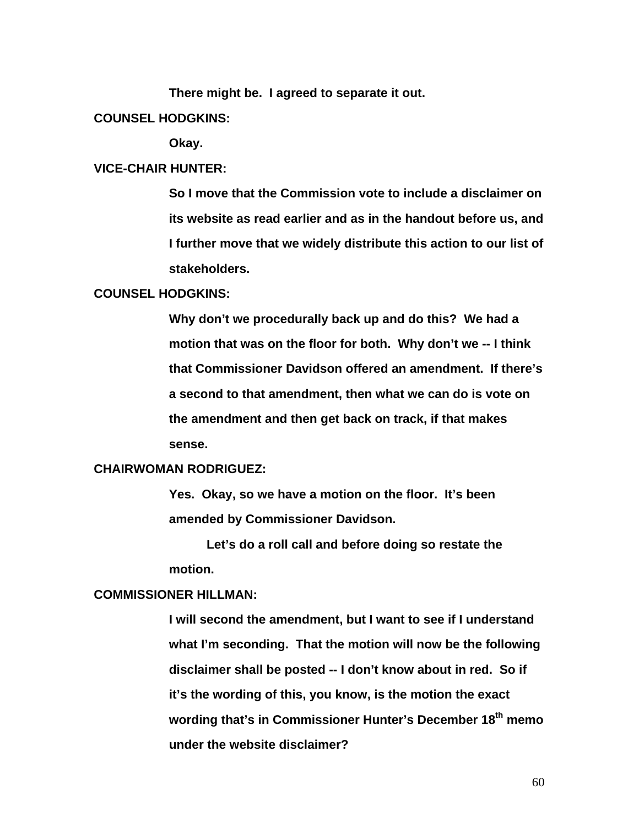**There might be. I agreed to separate it out.** 

#### **COUNSEL HODGKINS:**

 **Okay.** 

#### **VICE-CHAIR HUNTER:**

**So I move that the Commission vote to include a disclaimer on its website as read earlier and as in the handout before us, and I further move that we widely distribute this action to our list of stakeholders.** 

## **COUNSEL HODGKINS:**

**Why don't we procedurally back up and do this? We had a motion that was on the floor for both. Why don't we -- I think that Commissioner Davidson offered an amendment. If there's a second to that amendment, then what we can do is vote on the amendment and then get back on track, if that makes sense.** 

#### **CHAIRWOMAN RODRIGUEZ:**

**Yes. Okay, so we have a motion on the floor. It's been amended by Commissioner Davidson.** 

**Let's do a roll call and before doing so restate the motion.** 

### **COMMISSIONER HILLMAN:**

**I will second the amendment, but I want to see if I understand what I'm seconding. That the motion will now be the following disclaimer shall be posted -- I don't know about in red. So if it's the wording of this, you know, is the motion the exact wording that's in Commissioner Hunter's December 18th memo under the website disclaimer?**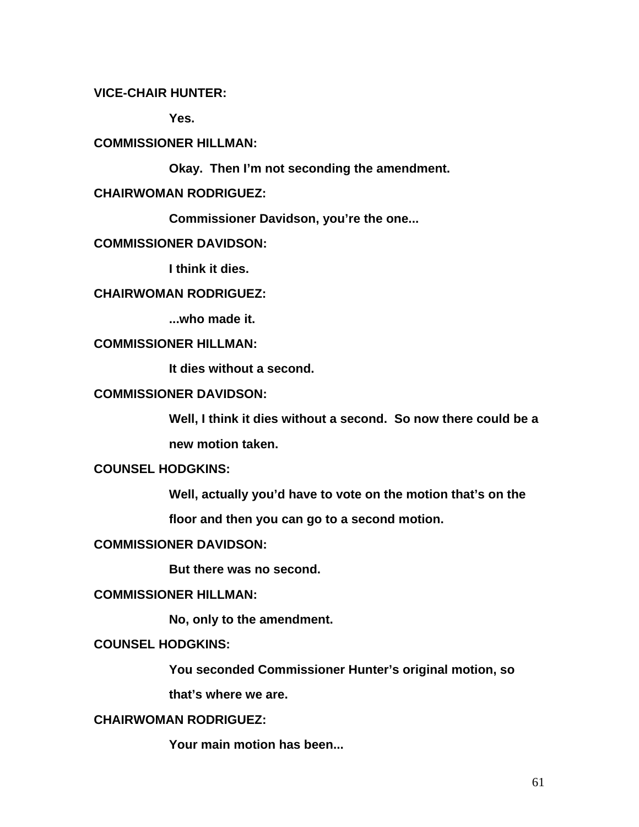# **VICE-CHAIR HUNTER:**

 **Yes.** 

# **COMMISSIONER HILLMAN:**

 **Okay. Then I'm not seconding the amendment.** 

# **CHAIRWOMAN RODRIGUEZ:**

 **Commissioner Davidson, you're the one...** 

## **COMMISSIONER DAVIDSON:**

 **I think it dies.** 

# **CHAIRWOMAN RODRIGUEZ:**

 **...who made it.** 

# **COMMISSIONER HILLMAN:**

 **It dies without a second.** 

# **COMMISSIONER DAVIDSON:**

**Well, I think it dies without a second. So now there could be a** 

**new motion taken.** 

# **COUNSEL HODGKINS:**

**Well, actually you'd have to vote on the motion that's on the** 

**floor and then you can go to a second motion.** 

#### **COMMISSIONER DAVIDSON:**

 **But there was no second.** 

### **COMMISSIONER HILLMAN:**

 **No, only to the amendment.** 

# **COUNSEL HODGKINS:**

**You seconded Commissioner Hunter's original motion, so** 

**that's where we are.** 

# **CHAIRWOMAN RODRIGUEZ:**

 **Your main motion has been...**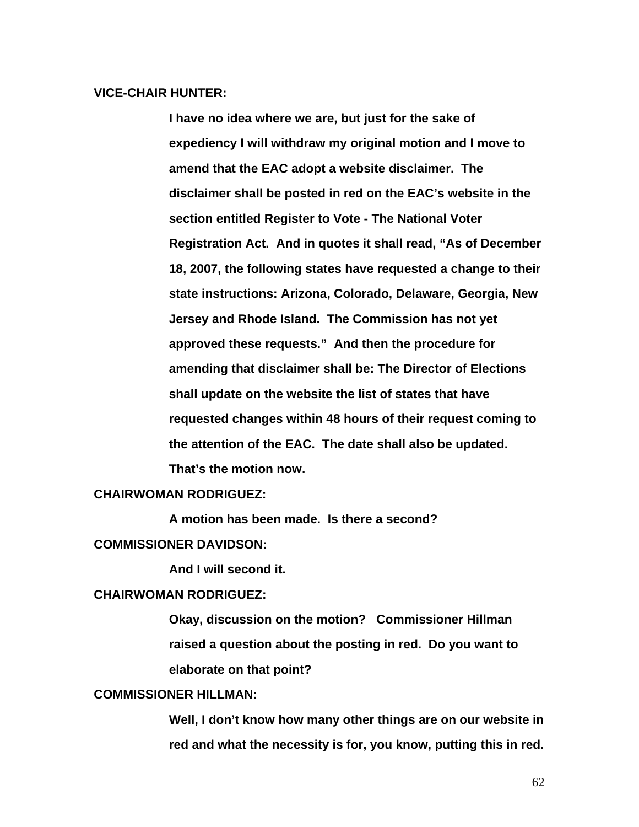## **VICE-CHAIR HUNTER:**

**I have no idea where we are, but just for the sake of expediency I will withdraw my original motion and I move to amend that the EAC adopt a website disclaimer. The disclaimer shall be posted in red on the EAC's website in the section entitled Register to Vote - The National Voter Registration Act. And in quotes it shall read, "As of December 18, 2007, the following states have requested a change to their state instructions: Arizona, Colorado, Delaware, Georgia, New Jersey and Rhode Island. The Commission has not yet approved these requests." And then the procedure for amending that disclaimer shall be: The Director of Elections shall update on the website the list of states that have requested changes within 48 hours of their request coming to the attention of the EAC. The date shall also be updated. That's the motion now.** 

#### **CHAIRWOMAN RODRIGUEZ:**

 **A motion has been made. Is there a second?** 

#### **COMMISSIONER DAVIDSON:**

 **And I will second it.** 

### **CHAIRWOMAN RODRIGUEZ:**

**Okay, discussion on the motion? Commissioner Hillman raised a question about the posting in red. Do you want to elaborate on that point?** 

### **COMMISSIONER HILLMAN:**

**Well, I don't know how many other things are on our website in red and what the necessity is for, you know, putting this in red.**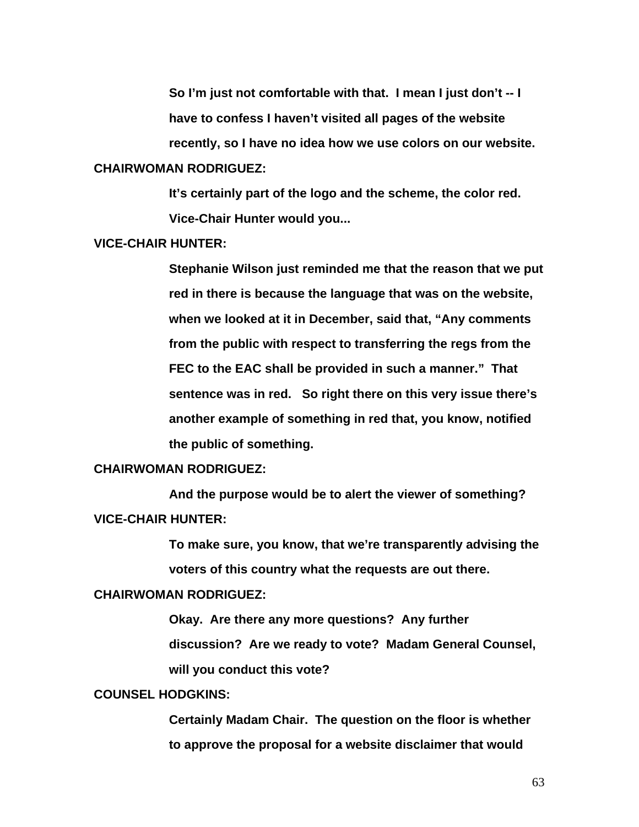**So I'm just not comfortable with that. I mean I just don't -- I have to confess I haven't visited all pages of the website recently, so I have no idea how we use colors on our website. CHAIRWOMAN RODRIGUEZ:** 

> **It's certainly part of the logo and the scheme, the color red. Vice-Chair Hunter would you...**

### **VICE-CHAIR HUNTER:**

**Stephanie Wilson just reminded me that the reason that we put red in there is because the language that was on the website, when we looked at it in December, said that, "Any comments from the public with respect to transferring the regs from the FEC to the EAC shall be provided in such a manner." That sentence was in red. So right there on this very issue there's another example of something in red that, you know, notified the public of something.** 

### **CHAIRWOMAN RODRIGUEZ:**

 **And the purpose would be to alert the viewer of something? VICE-CHAIR HUNTER:** 

> **To make sure, you know, that we're transparently advising the voters of this country what the requests are out there.**

#### **CHAIRWOMAN RODRIGUEZ:**

**Okay. Are there any more questions? Any further discussion? Are we ready to vote? Madam General Counsel, will you conduct this vote?** 

### **COUNSEL HODGKINS:**

**Certainly Madam Chair. The question on the floor is whether to approve the proposal for a website disclaimer that would**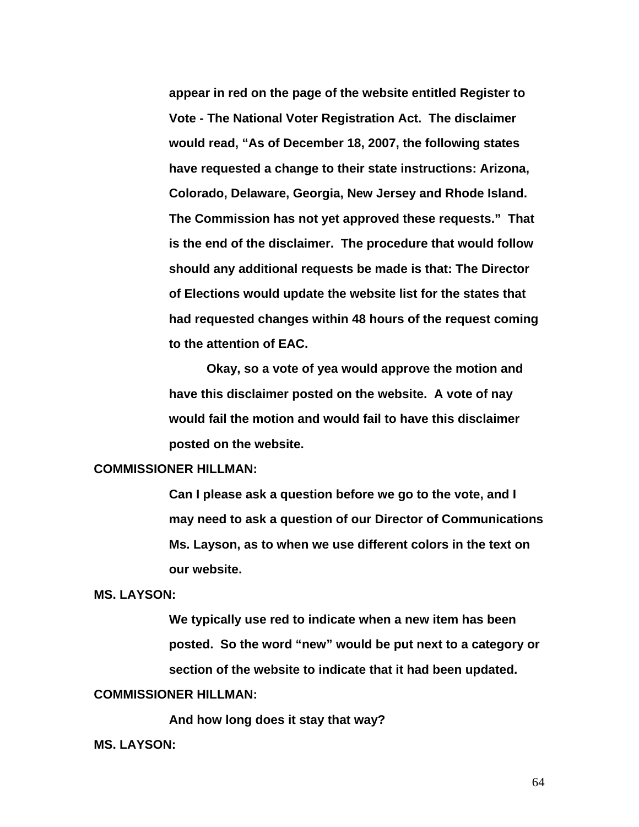**appear in red on the page of the website entitled Register to Vote - The National Voter Registration Act. The disclaimer would read, "As of December 18, 2007, the following states have requested a change to their state instructions: Arizona, Colorado, Delaware, Georgia, New Jersey and Rhode Island. The Commission has not yet approved these requests." That is the end of the disclaimer. The procedure that would follow should any additional requests be made is that: The Director of Elections would update the website list for the states that had requested changes within 48 hours of the request coming to the attention of EAC.** 

**Okay, so a vote of yea would approve the motion and have this disclaimer posted on the website. A vote of nay would fail the motion and would fail to have this disclaimer posted on the website.** 

### **COMMISSIONER HILLMAN:**

**Can I please ask a question before we go to the vote, and I may need to ask a question of our Director of Communications Ms. Layson, as to when we use different colors in the text on our website.** 

### **MS. LAYSON:**

**We typically use red to indicate when a new item has been posted. So the word "new" would be put next to a category or section of the website to indicate that it had been updated.** 

## **COMMISSIONER HILLMAN:**

 **And how long does it stay that way?** 

#### **MS. LAYSON:**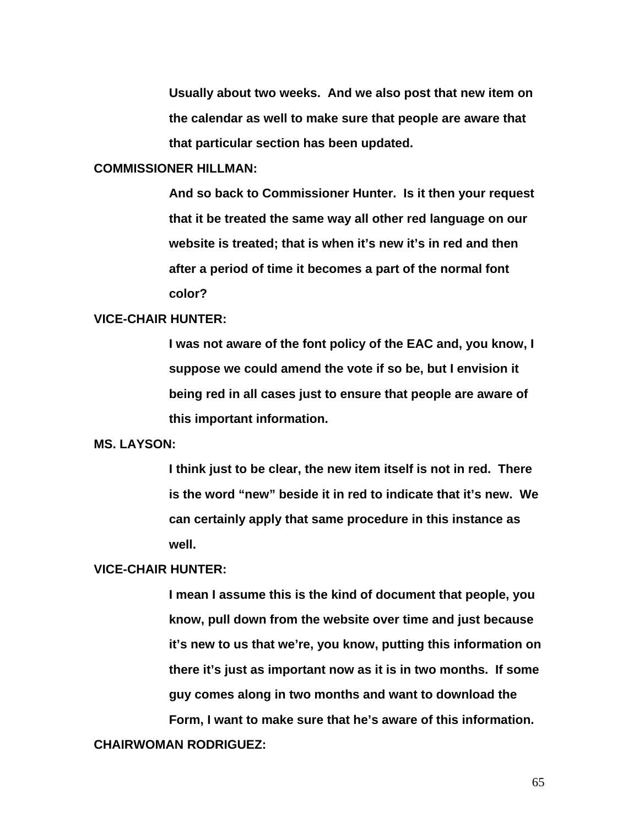**Usually about two weeks. And we also post that new item on the calendar as well to make sure that people are aware that that particular section has been updated.** 

# **COMMISSIONER HILLMAN:**

**And so back to Commissioner Hunter. Is it then your request that it be treated the same way all other red language on our website is treated; that is when it's new it's in red and then after a period of time it becomes a part of the normal font color?** 

#### **VICE-CHAIR HUNTER:**

**I was not aware of the font policy of the EAC and, you know, I suppose we could amend the vote if so be, but I envision it being red in all cases just to ensure that people are aware of this important information.** 

#### **MS. LAYSON:**

**I think just to be clear, the new item itself is not in red. There is the word "new" beside it in red to indicate that it's new. We can certainly apply that same procedure in this instance as well.** 

## **VICE-CHAIR HUNTER:**

**I mean I assume this is the kind of document that people, you know, pull down from the website over time and just because it's new to us that we're, you know, putting this information on there it's just as important now as it is in two months. If some guy comes along in two months and want to download the Form, I want to make sure that he's aware of this information.** 

# **CHAIRWOMAN RODRIGUEZ:**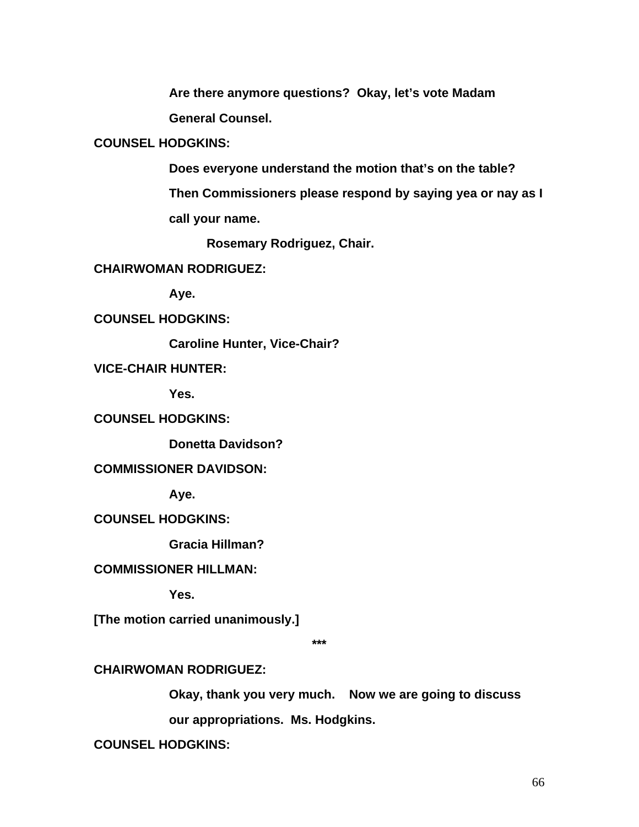**Are there anymore questions? Okay, let's vote Madam General Counsel.** 

# **COUNSEL HODGKINS:**

**Does everyone understand the motion that's on the table?** 

**Then Commissioners please respond by saying yea or nay as I call your name.** 

 **Rosemary Rodriguez, Chair.** 

# **CHAIRWOMAN RODRIGUEZ:**

 **Aye.** 

**COUNSEL HODGKINS:** 

 **Caroline Hunter, Vice-Chair?** 

**VICE-CHAIR HUNTER:** 

 **Yes.** 

**COUNSEL HODGKINS:** 

 **Donetta Davidson?** 

# **COMMISSIONER DAVIDSON:**

 **Aye.** 

# **COUNSEL HODGKINS:**

 **Gracia Hillman?** 

# **COMMISSIONER HILLMAN:**

 **Yes.** 

**[The motion carried unanimously.]** 

**\*\*\*** 

# **CHAIRWOMAN RODRIGUEZ:**

**Okay, thank you very much. Now we are going to discuss** 

**our appropriations. Ms. Hodgkins.** 

**COUNSEL HODGKINS:**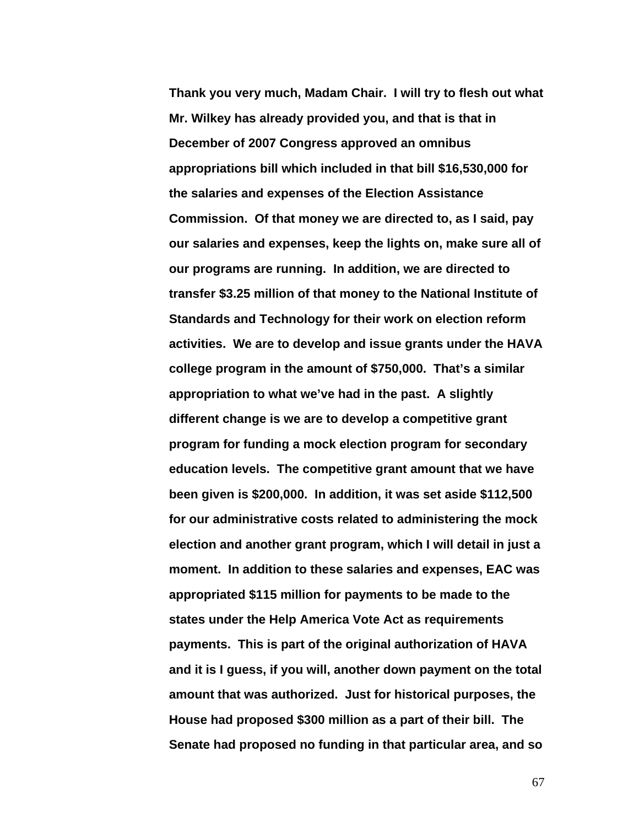**Thank you very much, Madam Chair. I will try to flesh out what Mr. Wilkey has already provided you, and that is that in December of 2007 Congress approved an omnibus appropriations bill which included in that bill \$16,530,000 for the salaries and expenses of the Election Assistance Commission. Of that money we are directed to, as I said, pay our salaries and expenses, keep the lights on, make sure all of our programs are running. In addition, we are directed to transfer \$3.25 million of that money to the National Institute of Standards and Technology for their work on election reform activities. We are to develop and issue grants under the HAVA college program in the amount of \$750,000. That's a similar appropriation to what we've had in the past. A slightly different change is we are to develop a competitive grant program for funding a mock election program for secondary education levels. The competitive grant amount that we have been given is \$200,000. In addition, it was set aside \$112,500 for our administrative costs related to administering the mock election and another grant program, which I will detail in just a moment. In addition to these salaries and expenses, EAC was appropriated \$115 million for payments to be made to the states under the Help America Vote Act as requirements payments. This is part of the original authorization of HAVA and it is I guess, if you will, another down payment on the total amount that was authorized. Just for historical purposes, the House had proposed \$300 million as a part of their bill. The Senate had proposed no funding in that particular area, and so**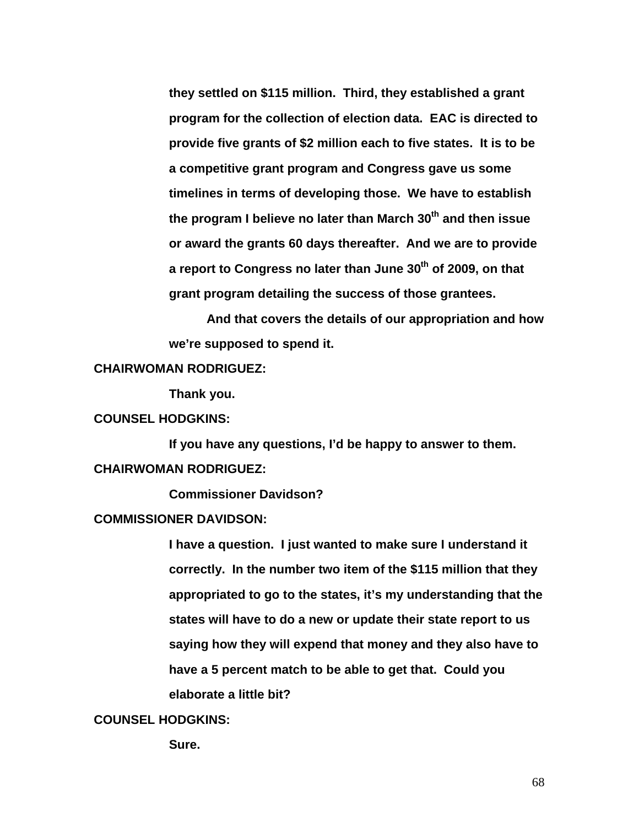**they settled on \$115 million. Third, they established a grant program for the collection of election data. EAC is directed to provide five grants of \$2 million each to five states. It is to be a competitive grant program and Congress gave us some timelines in terms of developing those. We have to establish the program I believe no later than March 30th and then issue or award the grants 60 days thereafter. And we are to provide**  a report to Congress no later than June 30<sup>th</sup> of 2009, on that **grant program detailing the success of those grantees.** 

**And that covers the details of our appropriation and how we're supposed to spend it.** 

## **CHAIRWOMAN RODRIGUEZ:**

 **Thank you.** 

# **COUNSEL HODGKINS:**

 **If you have any questions, I'd be happy to answer to them. CHAIRWOMAN RODRIGUEZ:** 

 **Commissioner Davidson?** 

### **COMMISSIONER DAVIDSON:**

**I have a question. I just wanted to make sure I understand it correctly. In the number two item of the \$115 million that they appropriated to go to the states, it's my understanding that the states will have to do a new or update their state report to us saying how they will expend that money and they also have to have a 5 percent match to be able to get that. Could you elaborate a little bit?** 

# **COUNSEL HODGKINS:**

 **Sure.**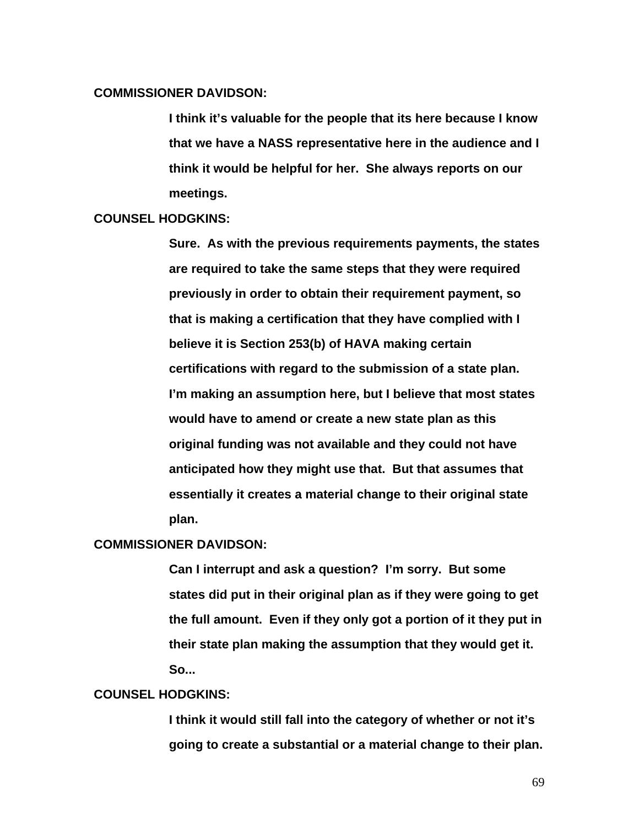## **COMMISSIONER DAVIDSON:**

**I think it's valuable for the people that its here because I know that we have a NASS representative here in the audience and I think it would be helpful for her. She always reports on our meetings.** 

#### **COUNSEL HODGKINS:**

**Sure. As with the previous requirements payments, the states are required to take the same steps that they were required previously in order to obtain their requirement payment, so that is making a certification that they have complied with I believe it is Section 253(b) of HAVA making certain certifications with regard to the submission of a state plan. I'm making an assumption here, but I believe that most states would have to amend or create a new state plan as this original funding was not available and they could not have anticipated how they might use that. But that assumes that essentially it creates a material change to their original state plan.** 

#### **COMMISSIONER DAVIDSON:**

**Can I interrupt and ask a question? I'm sorry. But some states did put in their original plan as if they were going to get the full amount. Even if they only got a portion of it they put in their state plan making the assumption that they would get it. So...** 

### **COUNSEL HODGKINS:**

**I think it would still fall into the category of whether or not it's going to create a substantial or a material change to their plan.**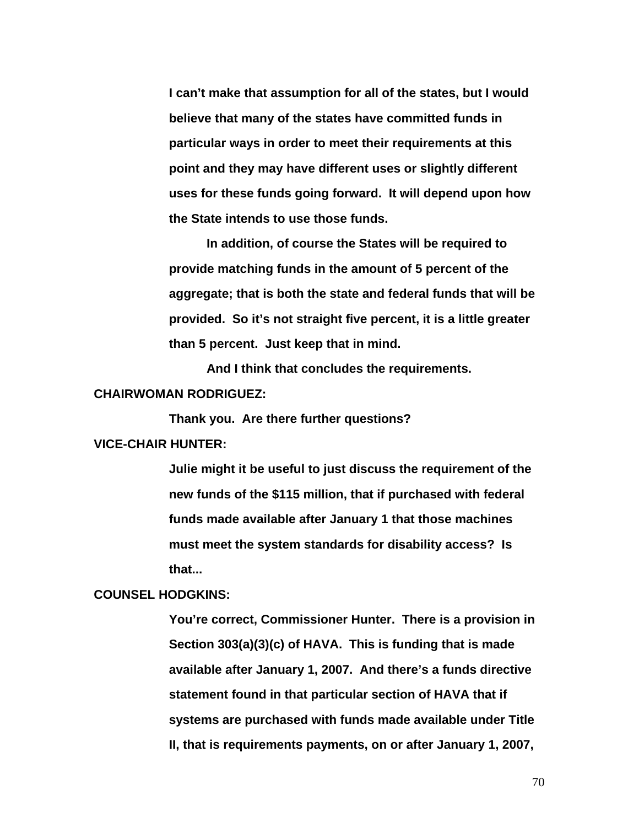**I can't make that assumption for all of the states, but I would believe that many of the states have committed funds in particular ways in order to meet their requirements at this point and they may have different uses or slightly different uses for these funds going forward. It will depend upon how the State intends to use those funds.** 

 **In addition, of course the States will be required to provide matching funds in the amount of 5 percent of the aggregate; that is both the state and federal funds that will be provided. So it's not straight five percent, it is a little greater than 5 percent. Just keep that in mind.** 

**And I think that concludes the requirements.** 

#### **CHAIRWOMAN RODRIGUEZ:**

 **Thank you. Are there further questions?** 

# **VICE-CHAIR HUNTER:**

**Julie might it be useful to just discuss the requirement of the new funds of the \$115 million, that if purchased with federal funds made available after January 1 that those machines must meet the system standards for disability access? Is that...** 

### **COUNSEL HODGKINS:**

**You're correct, Commissioner Hunter. There is a provision in Section 303(a)(3)(c) of HAVA. This is funding that is made available after January 1, 2007. And there's a funds directive statement found in that particular section of HAVA that if systems are purchased with funds made available under Title II, that is requirements payments, on or after January 1, 2007,**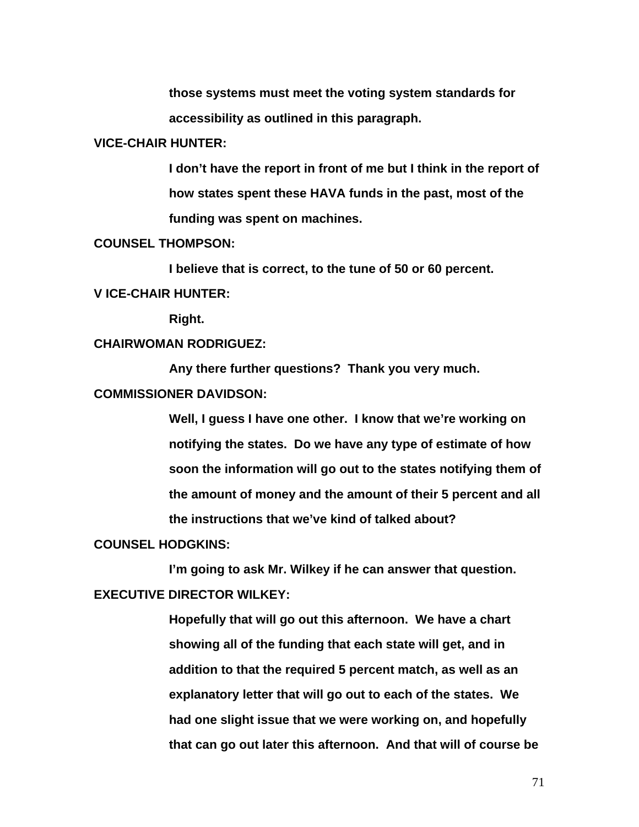**those systems must meet the voting system standards for accessibility as outlined in this paragraph.** 

#### **VICE-CHAIR HUNTER:**

**I don't have the report in front of me but I think in the report of how states spent these HAVA funds in the past, most of the funding was spent on machines.** 

## **COUNSEL THOMPSON:**

 **I believe that is correct, to the tune of 50 or 60 percent.** 

# **V ICE-CHAIR HUNTER:**

 **Right.** 

## **CHAIRWOMAN RODRIGUEZ:**

 **Any there further questions? Thank you very much.** 

### **COMMISSIONER DAVIDSON:**

**Well, I guess I have one other. I know that we're working on notifying the states. Do we have any type of estimate of how soon the information will go out to the states notifying them of the amount of money and the amount of their 5 percent and all the instructions that we've kind of talked about?** 

#### **COUNSEL HODGKINS:**

 **I'm going to ask Mr. Wilkey if he can answer that question. EXECUTIVE DIRECTOR WILKEY:** 

> **Hopefully that will go out this afternoon. We have a chart showing all of the funding that each state will get, and in addition to that the required 5 percent match, as well as an explanatory letter that will go out to each of the states. We had one slight issue that we were working on, and hopefully that can go out later this afternoon. And that will of course be**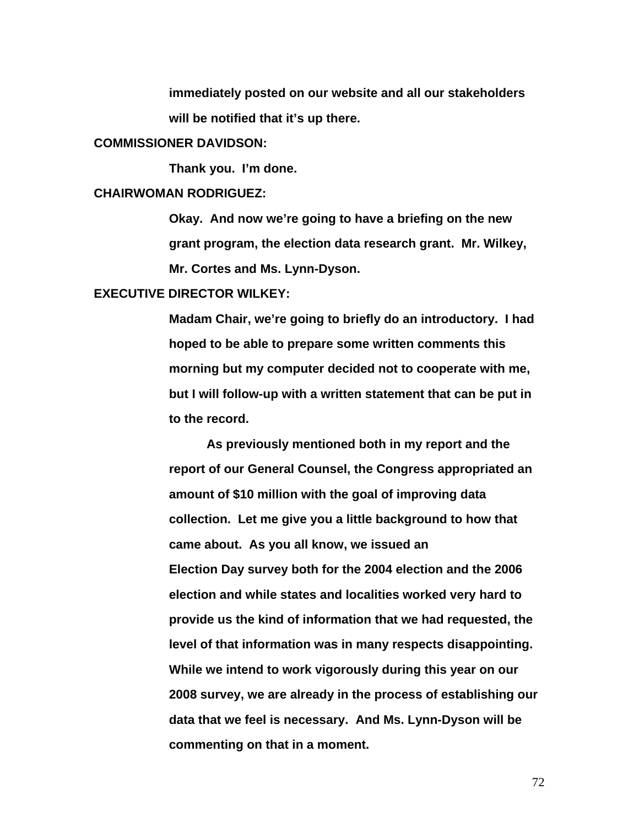**immediately posted on our website and all our stakeholders will be notified that it's up there.** 

#### **COMMISSIONER DAVIDSON:**

 **Thank you. I'm done.** 

#### **CHAIRWOMAN RODRIGUEZ:**

**Okay. And now we're going to have a briefing on the new grant program, the election data research grant. Mr. Wilkey, Mr. Cortes and Ms. Lynn-Dyson.** 

# **EXECUTIVE DIRECTOR WILKEY:**

**Madam Chair, we're going to briefly do an introductory. I had hoped to be able to prepare some written comments this morning but my computer decided not to cooperate with me, but I will follow-up with a written statement that can be put in to the record.** 

 **As previously mentioned both in my report and the report of our General Counsel, the Congress appropriated an amount of \$10 million with the goal of improving data collection. Let me give you a little background to how that came about. As you all know, we issued an Election Day survey both for the 2004 election and the 2006 election and while states and localities worked very hard to provide us the kind of information that we had requested, the level of that information was in many respects disappointing. While we intend to work vigorously during this year on our 2008 survey, we are already in the process of establishing our data that we feel is necessary. And Ms. Lynn-Dyson will be commenting on that in a moment.**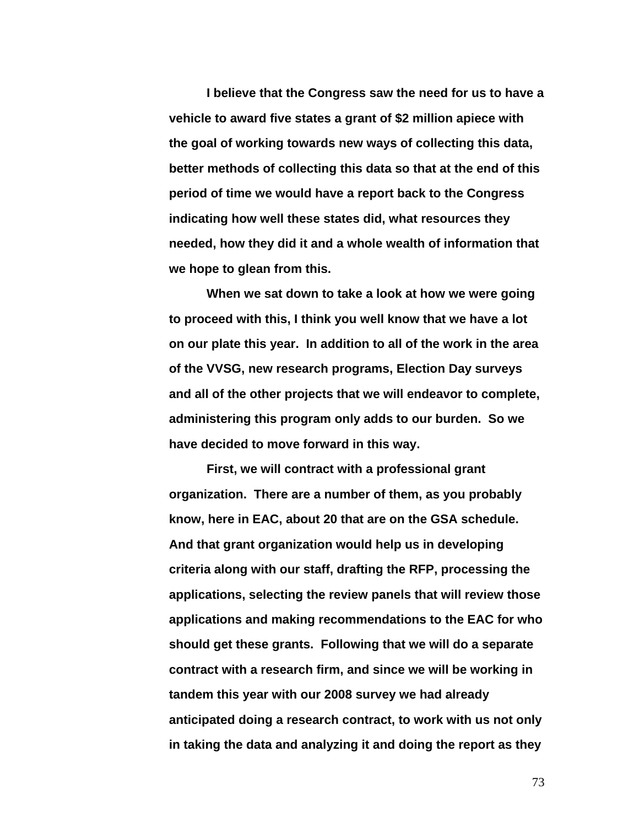**I believe that the Congress saw the need for us to have a vehicle to award five states a grant of \$2 million apiece with the goal of working towards new ways of collecting this data, better methods of collecting this data so that at the end of this period of time we would have a report back to the Congress indicating how well these states did, what resources they needed, how they did it and a whole wealth of information that we hope to glean from this.** 

**When we sat down to take a look at how we were going to proceed with this, I think you well know that we have a lot on our plate this year. In addition to all of the work in the area of the VVSG, new research programs, Election Day surveys and all of the other projects that we will endeavor to complete, administering this program only adds to our burden. So we have decided to move forward in this way.** 

**First, we will contract with a professional grant organization. There are a number of them, as you probably know, here in EAC, about 20 that are on the GSA schedule. And that grant organization would help us in developing criteria along with our staff, drafting the RFP, processing the applications, selecting the review panels that will review those applications and making recommendations to the EAC for who should get these grants. Following that we will do a separate contract with a research firm, and since we will be working in tandem this year with our 2008 survey we had already anticipated doing a research contract, to work with us not only in taking the data and analyzing it and doing the report as they**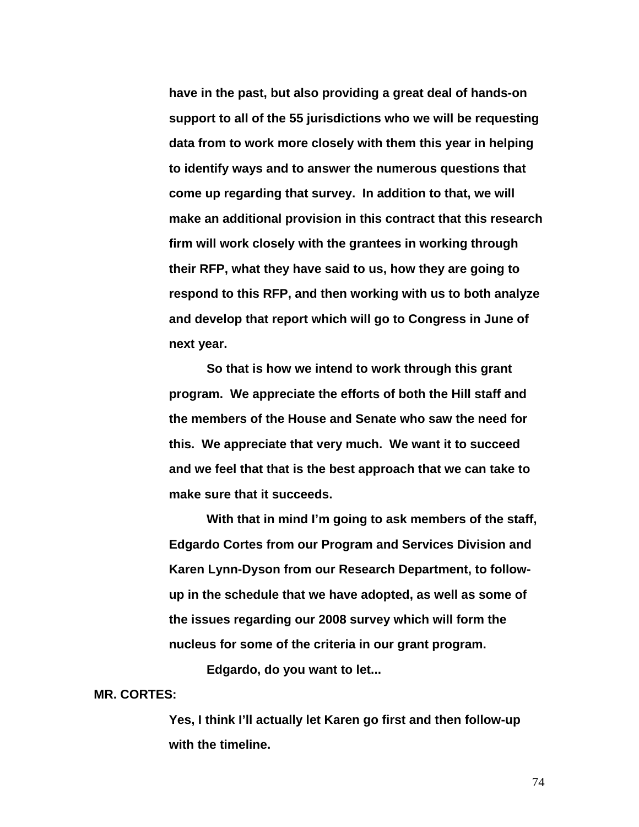**have in the past, but also providing a great deal of hands-on support to all of the 55 jurisdictions who we will be requesting data from to work more closely with them this year in helping to identify ways and to answer the numerous questions that come up regarding that survey. In addition to that, we will make an additional provision in this contract that this research firm will work closely with the grantees in working through their RFP, what they have said to us, how they are going to respond to this RFP, and then working with us to both analyze and develop that report which will go to Congress in June of next year.** 

**So that is how we intend to work through this grant program. We appreciate the efforts of both the Hill staff and the members of the House and Senate who saw the need for this. We appreciate that very much. We want it to succeed and we feel that that is the best approach that we can take to make sure that it succeeds.** 

**With that in mind I'm going to ask members of the staff, Edgardo Cortes from our Program and Services Division and Karen Lynn-Dyson from our Research Department, to followup in the schedule that we have adopted, as well as some of the issues regarding our 2008 survey which will form the nucleus for some of the criteria in our grant program.** 

 **Edgardo, do you want to let...** 

**MR. CORTES:** 

**Yes, I think I'll actually let Karen go first and then follow-up with the timeline.**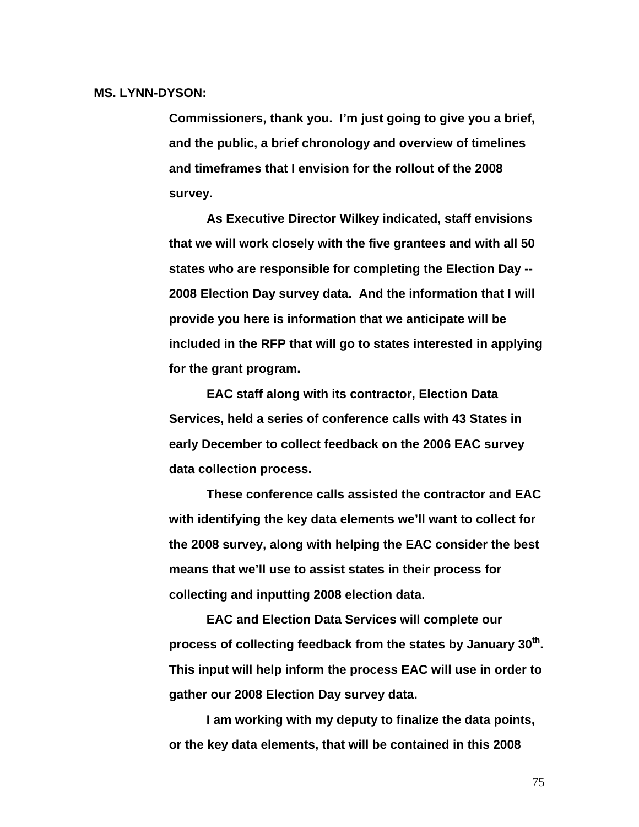#### **MS. LYNN-DYSON:**

**Commissioners, thank you. I'm just going to give you a brief, and the public, a brief chronology and overview of timelines and timeframes that I envision for the rollout of the 2008 survey.** 

**As Executive Director Wilkey indicated, staff envisions that we will work closely with the five grantees and with all 50 states who are responsible for completing the Election Day -- 2008 Election Day survey data. And the information that I will provide you here is information that we anticipate will be included in the RFP that will go to states interested in applying for the grant program.** 

**EAC staff along with its contractor, Election Data Services, held a series of conference calls with 43 States in early December to collect feedback on the 2006 EAC survey data collection process.** 

**These conference calls assisted the contractor and EAC with identifying the key data elements we'll want to collect for the 2008 survey, along with helping the EAC consider the best means that we'll use to assist states in their process for collecting and inputting 2008 election data.** 

**EAC and Election Data Services will complete our process of collecting feedback from the states by January 30th. This input will help inform the process EAC will use in order to gather our 2008 Election Day survey data.** 

**I am working with my deputy to finalize the data points, or the key data elements, that will be contained in this 2008**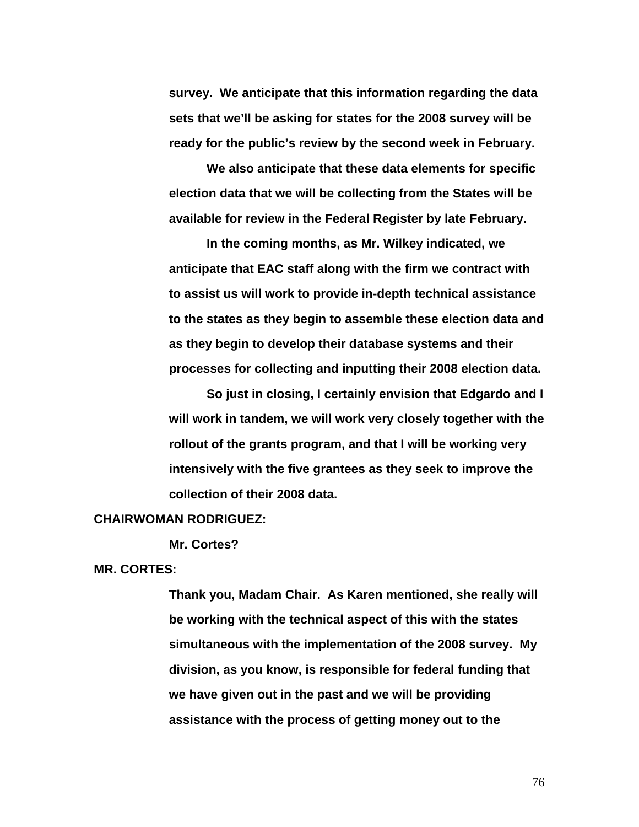**survey. We anticipate that this information regarding the data sets that we'll be asking for states for the 2008 survey will be ready for the public's review by the second week in February.** 

**We also anticipate that these data elements for specific election data that we will be collecting from the States will be available for review in the Federal Register by late February.** 

**In the coming months, as Mr. Wilkey indicated, we anticipate that EAC staff along with the firm we contract with to assist us will work to provide in-depth technical assistance to the states as they begin to assemble these election data and as they begin to develop their database systems and their processes for collecting and inputting their 2008 election data.** 

**So just in closing, I certainly envision that Edgardo and I will work in tandem, we will work very closely together with the rollout of the grants program, and that I will be working very intensively with the five grantees as they seek to improve the collection of their 2008 data.** 

## **CHAIRWOMAN RODRIGUEZ:**

 **Mr. Cortes?** 

**MR. CORTES:** 

**Thank you, Madam Chair. As Karen mentioned, she really will be working with the technical aspect of this with the states simultaneous with the implementation of the 2008 survey. My division, as you know, is responsible for federal funding that we have given out in the past and we will be providing assistance with the process of getting money out to the**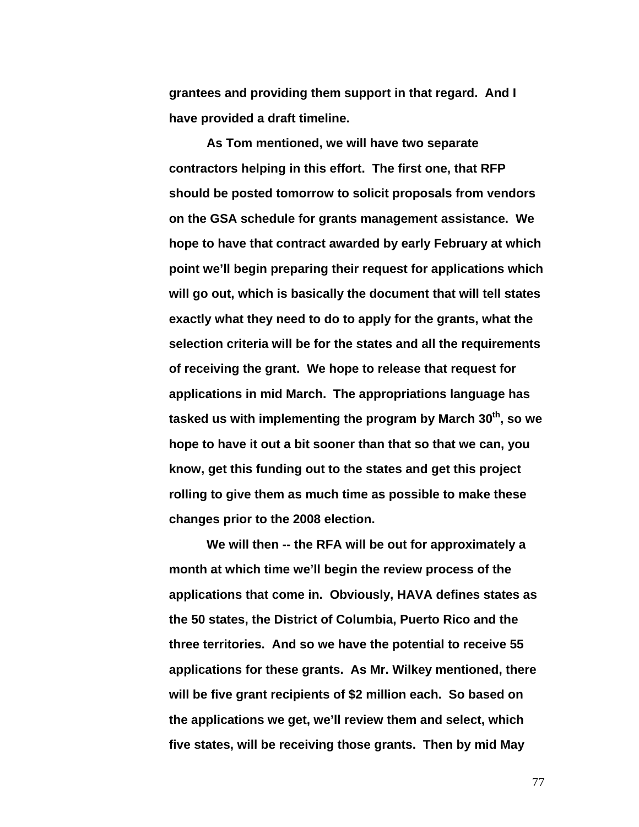**grantees and providing them support in that regard. And I have provided a draft timeline.** 

**As Tom mentioned, we will have two separate contractors helping in this effort. The first one, that RFP should be posted tomorrow to solicit proposals from vendors on the GSA schedule for grants management assistance. We hope to have that contract awarded by early February at which point we'll begin preparing their request for applications which will go out, which is basically the document that will tell states exactly what they need to do to apply for the grants, what the selection criteria will be for the states and all the requirements of receiving the grant. We hope to release that request for applications in mid March. The appropriations language has**  tasked us with implementing the program by March 30<sup>th</sup>, so we **hope to have it out a bit sooner than that so that we can, you know, get this funding out to the states and get this project rolling to give them as much time as possible to make these changes prior to the 2008 election.** 

**We will then -- the RFA will be out for approximately a month at which time we'll begin the review process of the applications that come in. Obviously, HAVA defines states as the 50 states, the District of Columbia, Puerto Rico and the three territories. And so we have the potential to receive 55 applications for these grants. As Mr. Wilkey mentioned, there will be five grant recipients of \$2 million each. So based on the applications we get, we'll review them and select, which five states, will be receiving those grants. Then by mid May**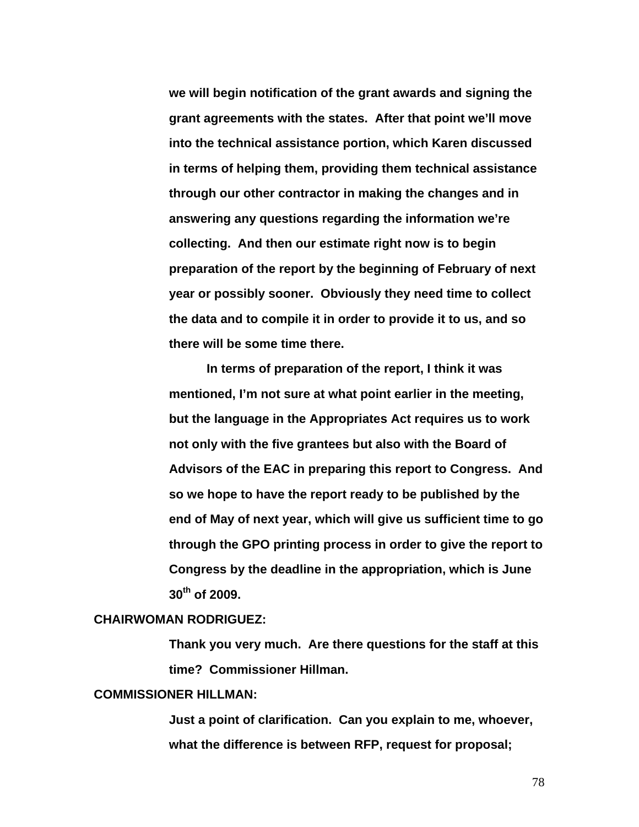**we will begin notification of the grant awards and signing the grant agreements with the states. After that point we'll move into the technical assistance portion, which Karen discussed in terms of helping them, providing them technical assistance through our other contractor in making the changes and in answering any questions regarding the information we're collecting. And then our estimate right now is to begin preparation of the report by the beginning of February of next year or possibly sooner. Obviously they need time to collect the data and to compile it in order to provide it to us, and so there will be some time there.** 

**In terms of preparation of the report, I think it was mentioned, I'm not sure at what point earlier in the meeting, but the language in the Appropriates Act requires us to work not only with the five grantees but also with the Board of Advisors of the EAC in preparing this report to Congress. And so we hope to have the report ready to be published by the end of May of next year, which will give us sufficient time to go through the GPO printing process in order to give the report to Congress by the deadline in the appropriation, which is June 30th of 2009.** 

## **CHAIRWOMAN RODRIGUEZ:**

**Thank you very much. Are there questions for the staff at this time? Commissioner Hillman.** 

# **COMMISSIONER HILLMAN:**

**Just a point of clarification. Can you explain to me, whoever, what the difference is between RFP, request for proposal;**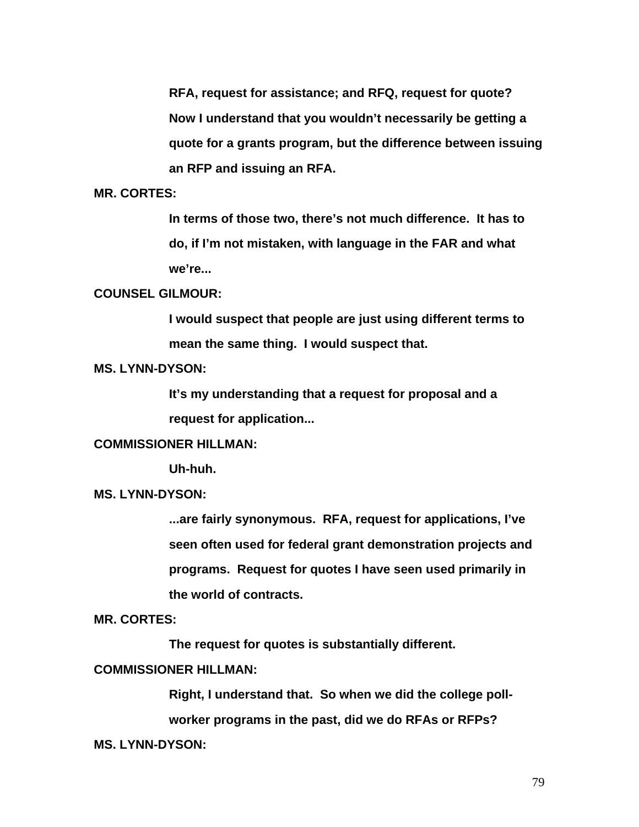**RFA, request for assistance; and RFQ, request for quote? Now I understand that you wouldn't necessarily be getting a quote for a grants program, but the difference between issuing an RFP and issuing an RFA.** 

# **MR. CORTES:**

**In terms of those two, there's not much difference. It has to do, if I'm not mistaken, with language in the FAR and what we're...** 

# **COUNSEL GILMOUR:**

**I would suspect that people are just using different terms to mean the same thing. I would suspect that.** 

# **MS. LYNN-DYSON:**

**It's my understanding that a request for proposal and a request for application...** 

# **COMMISSIONER HILLMAN:**

 **Uh-huh.** 

## **MS. LYNN-DYSON:**

**...are fairly synonymous. RFA, request for applications, I've seen often used for federal grant demonstration projects and programs. Request for quotes I have seen used primarily in the world of contracts.** 

## **MR. CORTES:**

 **The request for quotes is substantially different.** 

## **COMMISSIONER HILLMAN:**

**Right, I understand that. So when we did the college pollworker programs in the past, did we do RFAs or RFPs?** 

#### **MS. LYNN-DYSON:**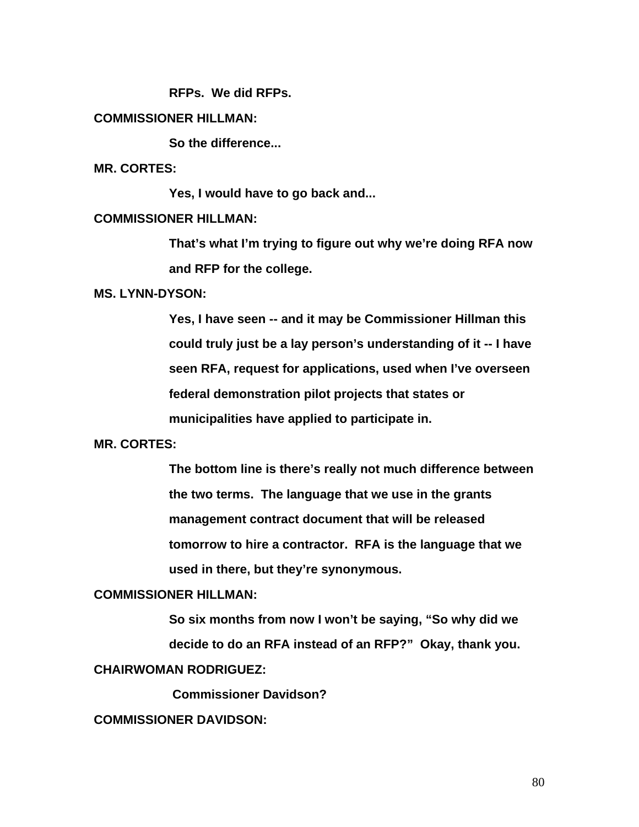**RFPs. We did RFPs.** 

# **COMMISSIONER HILLMAN:**

 **So the difference...** 

**MR. CORTES:** 

 **Yes, I would have to go back and...** 

#### **COMMISSIONER HILLMAN:**

**That's what I'm trying to figure out why we're doing RFA now and RFP for the college.** 

# **MS. LYNN-DYSON:**

**Yes, I have seen -- and it may be Commissioner Hillman this could truly just be a lay person's understanding of it -- I have seen RFA, request for applications, used when I've overseen federal demonstration pilot projects that states or municipalities have applied to participate in.** 

# **MR. CORTES:**

**The bottom line is there's really not much difference between the two terms. The language that we use in the grants management contract document that will be released tomorrow to hire a contractor. RFA is the language that we used in there, but they're synonymous.** 

#### **COMMISSIONER HILLMAN:**

**So six months from now I won't be saying, "So why did we decide to do an RFA instead of an RFP?" Okay, thank you. CHAIRWOMAN RODRIGUEZ:** 

 **Commissioner Davidson?** 

# **COMMISSIONER DAVIDSON:**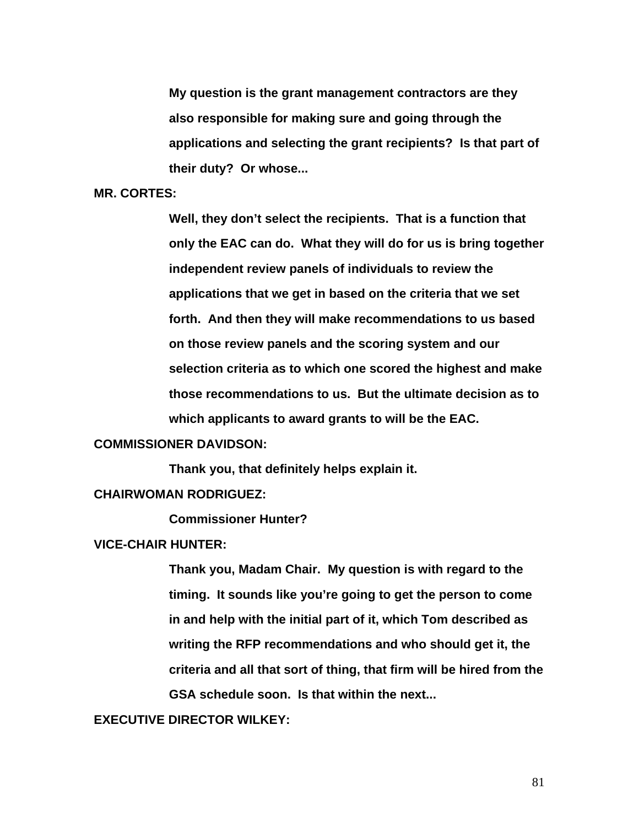**My question is the grant management contractors are they also responsible for making sure and going through the applications and selecting the grant recipients? Is that part of their duty? Or whose...** 

#### **MR. CORTES:**

**Well, they don't select the recipients. That is a function that only the EAC can do. What they will do for us is bring together independent review panels of individuals to review the applications that we get in based on the criteria that we set forth. And then they will make recommendations to us based on those review panels and the scoring system and our selection criteria as to which one scored the highest and make those recommendations to us. But the ultimate decision as to which applicants to award grants to will be the EAC.** 

# **COMMISSIONER DAVIDSON:**

 **Thank you, that definitely helps explain it.** 

# **CHAIRWOMAN RODRIGUEZ:**

 **Commissioner Hunter?** 

#### **VICE-CHAIR HUNTER:**

**Thank you, Madam Chair. My question is with regard to the timing. It sounds like you're going to get the person to come in and help with the initial part of it, which Tom described as writing the RFP recommendations and who should get it, the criteria and all that sort of thing, that firm will be hired from the GSA schedule soon. Is that within the next...** 

**EXECUTIVE DIRECTOR WILKEY:**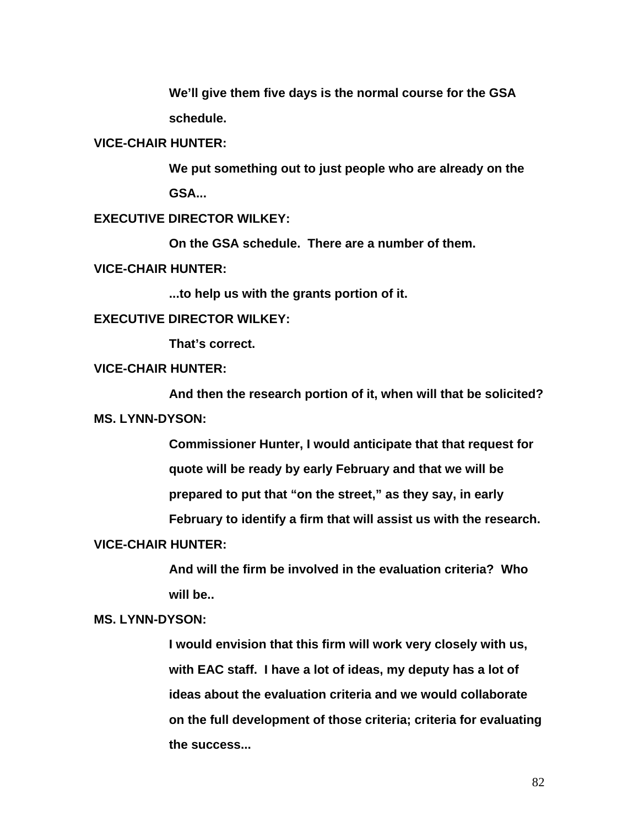**We'll give them five days is the normal course for the GSA schedule.** 

#### **VICE-CHAIR HUNTER:**

**We put something out to just people who are already on the GSA...** 

# **EXECUTIVE DIRECTOR WILKEY:**

 **On the GSA schedule. There are a number of them.** 

## **VICE-CHAIR HUNTER:**

 **...to help us with the grants portion of it.** 

# **EXECUTIVE DIRECTOR WILKEY:**

 **That's correct.** 

# **VICE-CHAIR HUNTER:**

 **And then the research portion of it, when will that be solicited? MS. LYNN-DYSON:** 

> **Commissioner Hunter, I would anticipate that that request for quote will be ready by early February and that we will be prepared to put that "on the street," as they say, in early**

**February to identify a firm that will assist us with the research.** 

### **VICE-CHAIR HUNTER:**

**And will the firm be involved in the evaluation criteria? Who will be..** 

## **MS. LYNN-DYSON:**

**I would envision that this firm will work very closely with us, with EAC staff. I have a lot of ideas, my deputy has a lot of ideas about the evaluation criteria and we would collaborate on the full development of those criteria; criteria for evaluating the success...**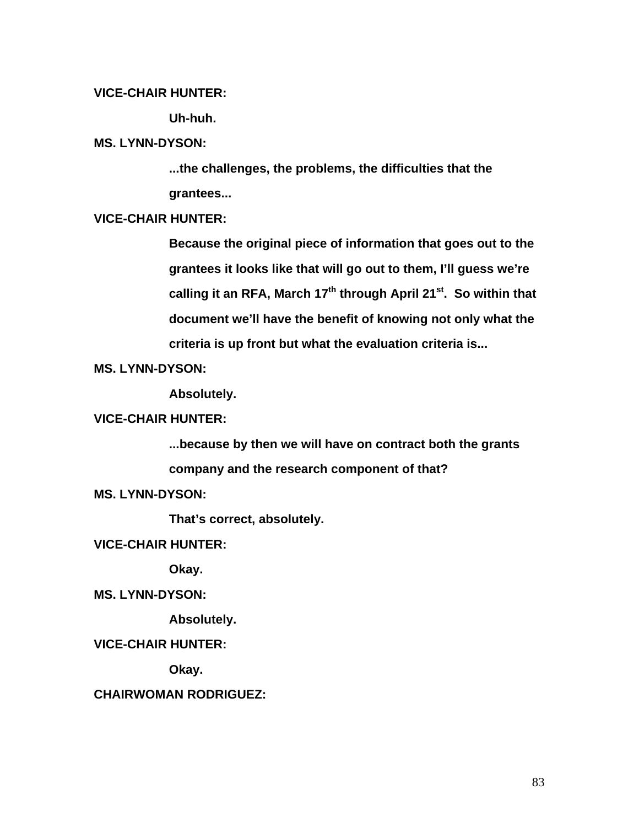# **VICE-CHAIR HUNTER:**

 **Uh-huh.** 

## **MS. LYNN-DYSON:**

**...the challenges, the problems, the difficulties that the grantees...** 

# **VICE-CHAIR HUNTER:**

**Because the original piece of information that goes out to the grantees it looks like that will go out to them, I'll guess we're**  calling it an RFA, March 17<sup>th</sup> through April 21<sup>st</sup>. So within that **document we'll have the benefit of knowing not only what the criteria is up front but what the evaluation criteria is...** 

**MS. LYNN-DYSON:** 

 **Absolutely.** 

## **VICE-CHAIR HUNTER:**

**...because by then we will have on contract both the grants company and the research component of that?** 

**MS. LYNN-DYSON:** 

 **That's correct, absolutely.** 

**VICE-CHAIR HUNTER:** 

 **Okay.** 

**MS. LYNN-DYSON:** 

 **Absolutely.** 

**VICE-CHAIR HUNTER:** 

 **Okay.** 

**CHAIRWOMAN RODRIGUEZ:**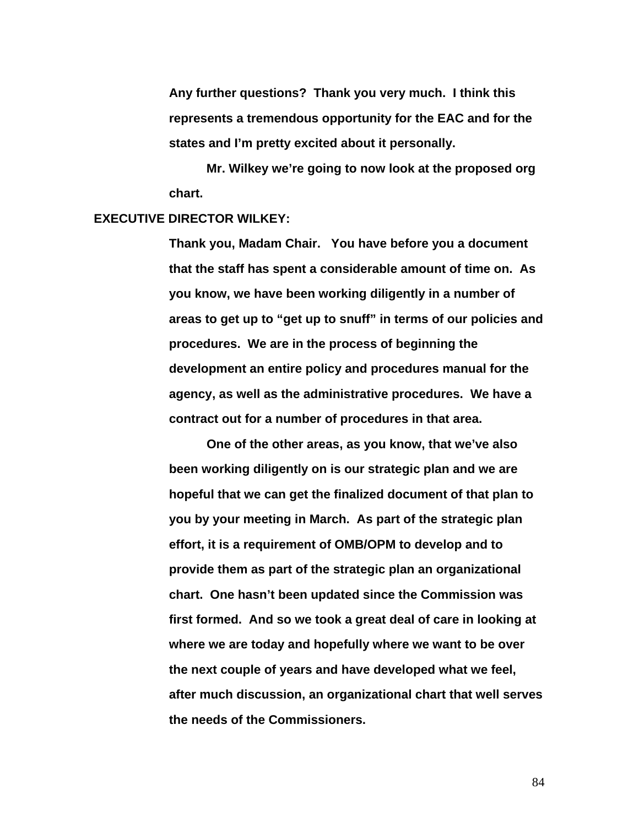**Any further questions? Thank you very much. I think this represents a tremendous opportunity for the EAC and for the states and I'm pretty excited about it personally.** 

 **Mr. Wilkey we're going to now look at the proposed org chart.** 

## **EXECUTIVE DIRECTOR WILKEY:**

**Thank you, Madam Chair. You have before you a document that the staff has spent a considerable amount of time on. As you know, we have been working diligently in a number of areas to get up to "get up to snuff" in terms of our policies and procedures. We are in the process of beginning the development an entire policy and procedures manual for the agency, as well as the administrative procedures. We have a contract out for a number of procedures in that area.** 

**One of the other areas, as you know, that we've also been working diligently on is our strategic plan and we are hopeful that we can get the finalized document of that plan to you by your meeting in March. As part of the strategic plan effort, it is a requirement of OMB/OPM to develop and to provide them as part of the strategic plan an organizational chart. One hasn't been updated since the Commission was first formed. And so we took a great deal of care in looking at where we are today and hopefully where we want to be over the next couple of years and have developed what we feel, after much discussion, an organizational chart that well serves the needs of the Commissioners.**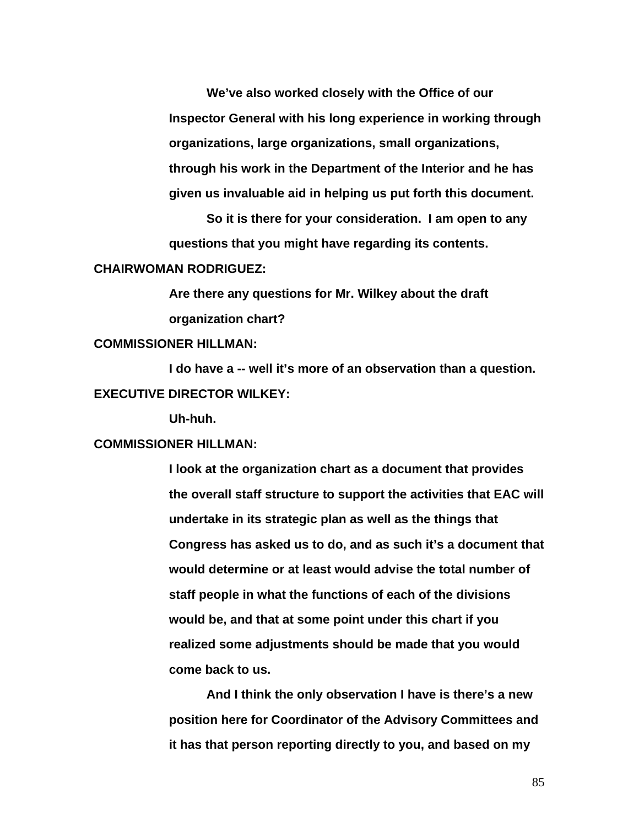**We've also worked closely with the Office of our Inspector General with his long experience in working through organizations, large organizations, small organizations, through his work in the Department of the Interior and he has given us invaluable aid in helping us put forth this document.** 

**So it is there for your consideration. I am open to any questions that you might have regarding its contents.** 

#### **CHAIRWOMAN RODRIGUEZ:**

**Are there any questions for Mr. Wilkey about the draft organization chart?** 

# **COMMISSIONER HILLMAN:**

**I do have a -- well it's more of an observation than a question. EXECUTIVE DIRECTOR WILKEY:** 

**Uh-huh.** 

# **COMMISSIONER HILLMAN:**

**I look at the organization chart as a document that provides the overall staff structure to support the activities that EAC will undertake in its strategic plan as well as the things that Congress has asked us to do, and as such it's a document that would determine or at least would advise the total number of staff people in what the functions of each of the divisions would be, and that at some point under this chart if you realized some adjustments should be made that you would come back to us.** 

**And I think the only observation I have is there's a new position here for Coordinator of the Advisory Committees and it has that person reporting directly to you, and based on my**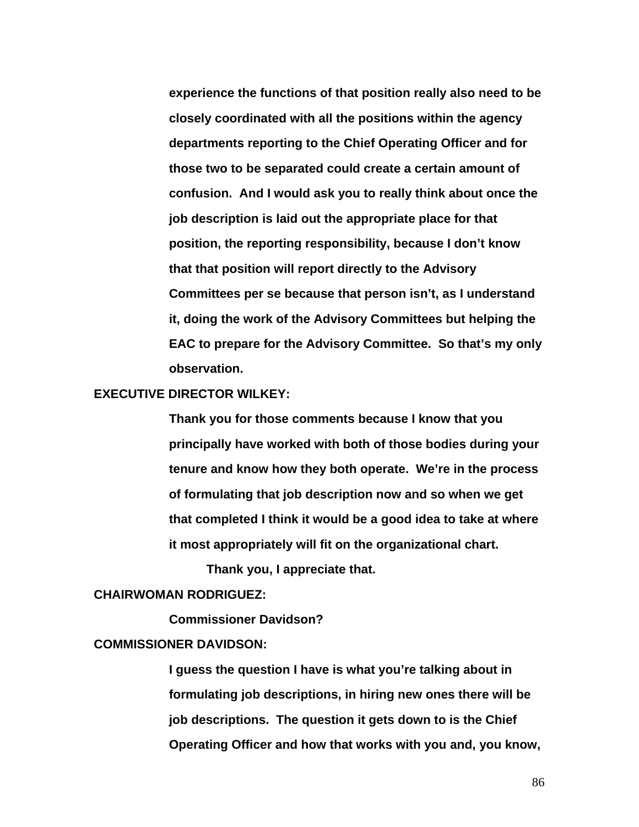**experience the functions of that position really also need to be closely coordinated with all the positions within the agency departments reporting to the Chief Operating Officer and for those two to be separated could create a certain amount of confusion. And I would ask you to really think about once the job description is laid out the appropriate place for that position, the reporting responsibility, because I don't know that that position will report directly to the Advisory Committees per se because that person isn't, as I understand it, doing the work of the Advisory Committees but helping the EAC to prepare for the Advisory Committee. So that's my only observation.** 

## **EXECUTIVE DIRECTOR WILKEY:**

**Thank you for those comments because I know that you principally have worked with both of those bodies during your tenure and know how they both operate. We're in the process of formulating that job description now and so when we get that completed I think it would be a good idea to take at where it most appropriately will fit on the organizational chart.** 

**Thank you, I appreciate that.** 

## **CHAIRWOMAN RODRIGUEZ:**

 **Commissioner Davidson?** 

# **COMMISSIONER DAVIDSON:**

**I guess the question I have is what you're talking about in formulating job descriptions, in hiring new ones there will be job descriptions. The question it gets down to is the Chief Operating Officer and how that works with you and, you know,**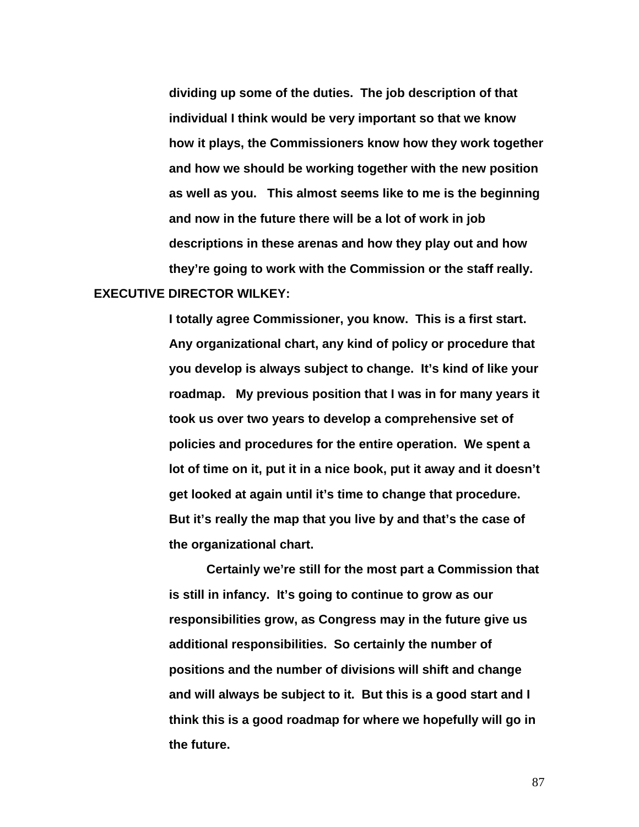**dividing up some of the duties. The job description of that individual I think would be very important so that we know how it plays, the Commissioners know how they work together and how we should be working together with the new position as well as you. This almost seems like to me is the beginning and now in the future there will be a lot of work in job descriptions in these arenas and how they play out and how they're going to work with the Commission or the staff really. EXECUTIVE DIRECTOR WILKEY:** 

> **I totally agree Commissioner, you know. This is a first start. Any organizational chart, any kind of policy or procedure that you develop is always subject to change. It's kind of like your roadmap. My previous position that I was in for many years it took us over two years to develop a comprehensive set of policies and procedures for the entire operation. We spent a lot of time on it, put it in a nice book, put it away and it doesn't get looked at again until it's time to change that procedure. But it's really the map that you live by and that's the case of the organizational chart.**

> **Certainly we're still for the most part a Commission that is still in infancy. It's going to continue to grow as our responsibilities grow, as Congress may in the future give us additional responsibilities. So certainly the number of positions and the number of divisions will shift and change and will always be subject to it. But this is a good start and I think this is a good roadmap for where we hopefully will go in the future.**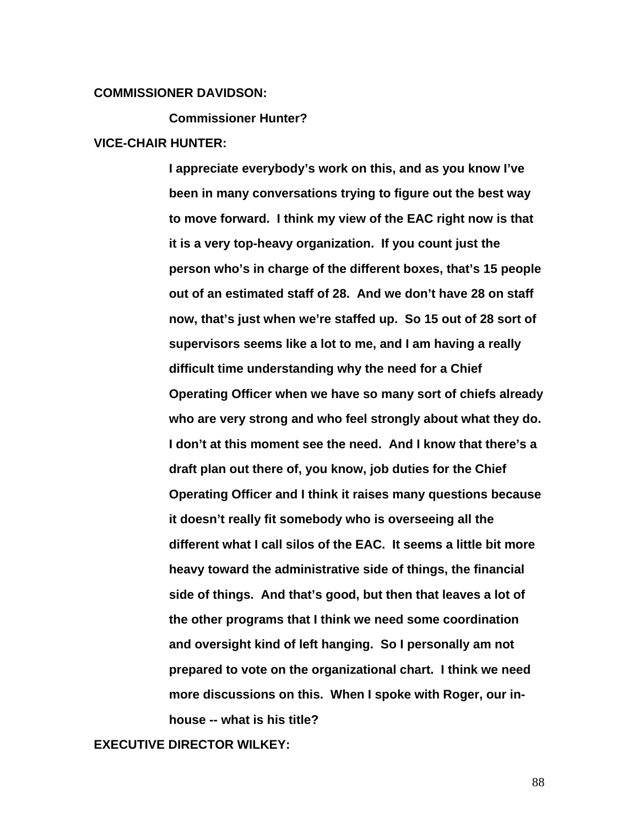#### **COMMISSIONER DAVIDSON:**

 **Commissioner Hunter?** 

#### **VICE-CHAIR HUNTER:**

**I appreciate everybody's work on this, and as you know I've been in many conversations trying to figure out the best way to move forward. I think my view of the EAC right now is that it is a very top-heavy organization. If you count just the person who's in charge of the different boxes, that's 15 people out of an estimated staff of 28. And we don't have 28 on staff now, that's just when we're staffed up. So 15 out of 28 sort of supervisors seems like a lot to me, and I am having a really difficult time understanding why the need for a Chief Operating Officer when we have so many sort of chiefs already who are very strong and who feel strongly about what they do. I don't at this moment see the need. And I know that there's a draft plan out there of, you know, job duties for the Chief Operating Officer and I think it raises many questions because it doesn't really fit somebody who is overseeing all the different what I call silos of the EAC. It seems a little bit more heavy toward the administrative side of things, the financial side of things. And that's good, but then that leaves a lot of the other programs that I think we need some coordination and oversight kind of left hanging. So I personally am not prepared to vote on the organizational chart. I think we need more discussions on this. When I spoke with Roger, our inhouse -- what is his title?** 

**EXECUTIVE DIRECTOR WILKEY:**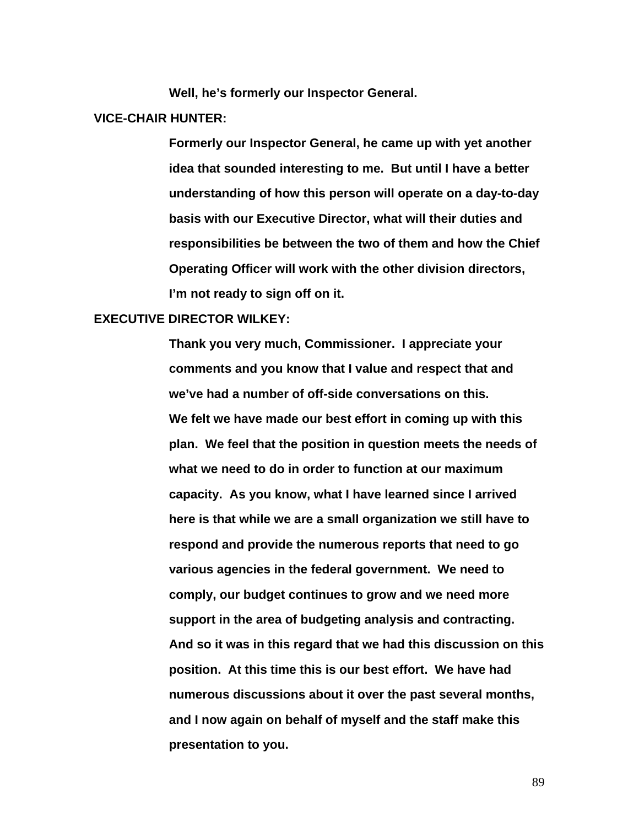**Well, he's formerly our Inspector General.** 

### **VICE-CHAIR HUNTER:**

**Formerly our Inspector General, he came up with yet another idea that sounded interesting to me. But until I have a better understanding of how this person will operate on a day-to-day basis with our Executive Director, what will their duties and responsibilities be between the two of them and how the Chief Operating Officer will work with the other division directors, I'm not ready to sign off on it.** 

## **EXECUTIVE DIRECTOR WILKEY:**

**Thank you very much, Commissioner. I appreciate your comments and you know that I value and respect that and we've had a number of off-side conversations on this. We felt we have made our best effort in coming up with this plan. We feel that the position in question meets the needs of what we need to do in order to function at our maximum capacity. As you know, what I have learned since I arrived here is that while we are a small organization we still have to respond and provide the numerous reports that need to go various agencies in the federal government. We need to comply, our budget continues to grow and we need more support in the area of budgeting analysis and contracting. And so it was in this regard that we had this discussion on this position. At this time this is our best effort. We have had numerous discussions about it over the past several months, and I now again on behalf of myself and the staff make this presentation to you.**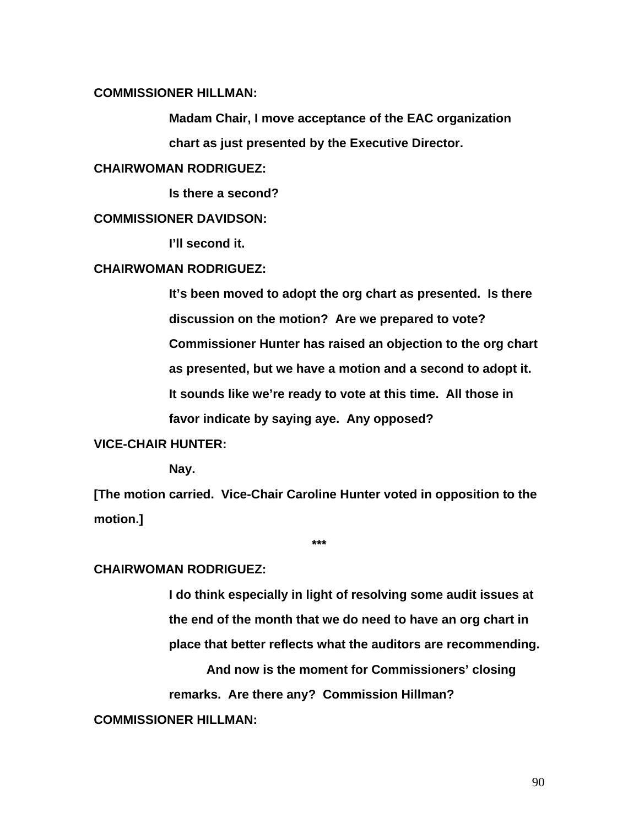# **COMMISSIONER HILLMAN:**

**Madam Chair, I move acceptance of the EAC organization chart as just presented by the Executive Director.** 

# **CHAIRWOMAN RODRIGUEZ:**

 **Is there a second?** 

## **COMMISSIONER DAVIDSON:**

 **I'll second it.** 

## **CHAIRWOMAN RODRIGUEZ:**

**It's been moved to adopt the org chart as presented. Is there discussion on the motion? Are we prepared to vote? Commissioner Hunter has raised an objection to the org chart as presented, but we have a motion and a second to adopt it. It sounds like we're ready to vote at this time. All those in favor indicate by saying aye. Any opposed?** 

# **VICE-CHAIR HUNTER:**

 **Nay.** 

**[The motion carried. Vice-Chair Caroline Hunter voted in opposition to the motion.]** 

**\*\*\*** 

## **CHAIRWOMAN RODRIGUEZ:**

**I do think especially in light of resolving some audit issues at the end of the month that we do need to have an org chart in place that better reflects what the auditors are recommending. And now is the moment for Commissioners' closing remarks. Are there any? Commission Hillman?** 

# **COMMISSIONER HILLMAN:**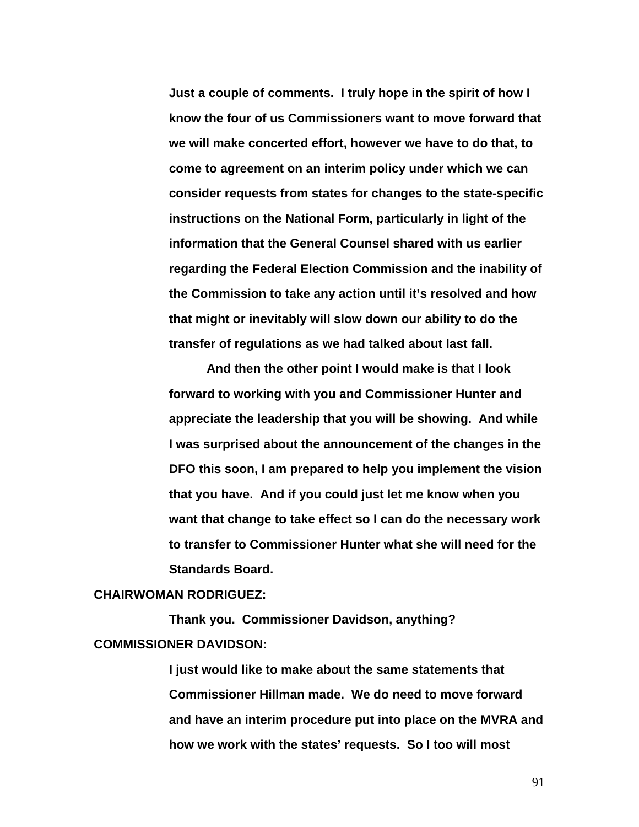**Just a couple of comments. I truly hope in the spirit of how I know the four of us Commissioners want to move forward that we will make concerted effort, however we have to do that, to come to agreement on an interim policy under which we can consider requests from states for changes to the state-specific instructions on the National Form, particularly in light of the information that the General Counsel shared with us earlier regarding the Federal Election Commission and the inability of the Commission to take any action until it's resolved and how that might or inevitably will slow down our ability to do the transfer of regulations as we had talked about last fall.** 

 **And then the other point I would make is that I look forward to working with you and Commissioner Hunter and appreciate the leadership that you will be showing. And while I was surprised about the announcement of the changes in the DFO this soon, I am prepared to help you implement the vision that you have. And if you could just let me know when you want that change to take effect so I can do the necessary work to transfer to Commissioner Hunter what she will need for the Standards Board.** 

## **CHAIRWOMAN RODRIGUEZ:**

 **Thank you. Commissioner Davidson, anything? COMMISSIONER DAVIDSON:** 

> **I just would like to make about the same statements that Commissioner Hillman made. We do need to move forward and have an interim procedure put into place on the MVRA and how we work with the states' requests. So I too will most**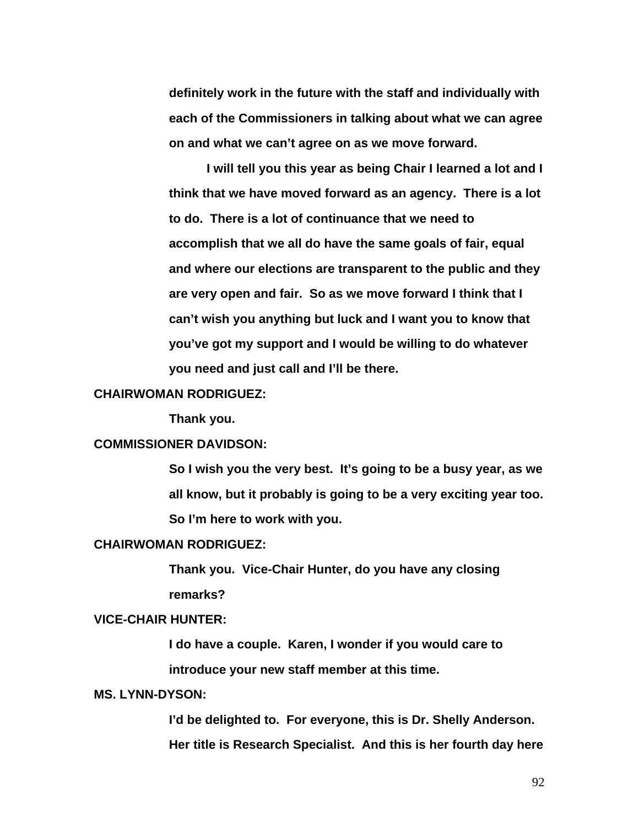**definitely work in the future with the staff and individually with each of the Commissioners in talking about what we can agree on and what we can't agree on as we move forward.** 

 **I will tell you this year as being Chair I learned a lot and I think that we have moved forward as an agency. There is a lot to do. There is a lot of continuance that we need to accomplish that we all do have the same goals of fair, equal and where our elections are transparent to the public and they are very open and fair. So as we move forward I think that I can't wish you anything but luck and I want you to know that you've got my support and I would be willing to do whatever you need and just call and I'll be there.** 

#### **CHAIRWOMAN RODRIGUEZ:**

 **Thank you.** 

## **COMMISSIONER DAVIDSON:**

**So I wish you the very best. It's going to be a busy year, as we all know, but it probably is going to be a very exciting year too. So I'm here to work with you.** 

#### **CHAIRWOMAN RODRIGUEZ:**

**Thank you. Vice-Chair Hunter, do you have any closing remarks?** 

## **VICE-CHAIR HUNTER:**

**I do have a couple. Karen, I wonder if you would care to introduce your new staff member at this time.** 

## **MS. LYNN-DYSON:**

**I'd be delighted to. For everyone, this is Dr. Shelly Anderson. Her title is Research Specialist. And this is her fourth day here**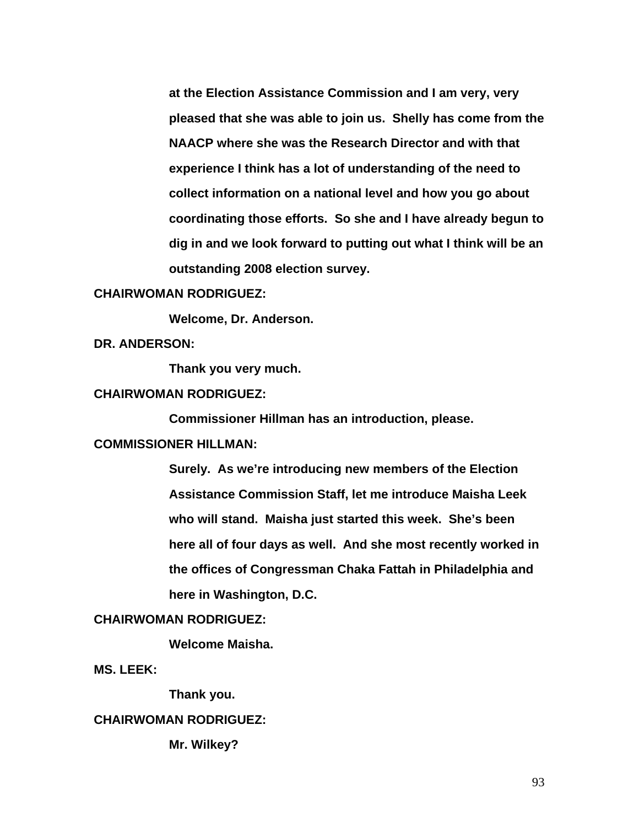**at the Election Assistance Commission and I am very, very pleased that she was able to join us. Shelly has come from the NAACP where she was the Research Director and with that experience I think has a lot of understanding of the need to collect information on a national level and how you go about coordinating those efforts. So she and I have already begun to dig in and we look forward to putting out what I think will be an outstanding 2008 election survey.** 

# **CHAIRWOMAN RODRIGUEZ:**

 **Welcome, Dr. Anderson.** 

**DR. ANDERSON:** 

 **Thank you very much.** 

#### **CHAIRWOMAN RODRIGUEZ:**

 **Commissioner Hillman has an introduction, please.** 

# **COMMISSIONER HILLMAN:**

**Surely. As we're introducing new members of the Election Assistance Commission Staff, let me introduce Maisha Leek who will stand. Maisha just started this week. She's been here all of four days as well. And she most recently worked in the offices of Congressman Chaka Fattah in Philadelphia and here in Washington, D.C.** 

# **CHAIRWOMAN RODRIGUEZ:**

 **Welcome Maisha.** 

**MS. LEEK:** 

 **Thank you.** 

## **CHAIRWOMAN RODRIGUEZ:**

 **Mr. Wilkey?**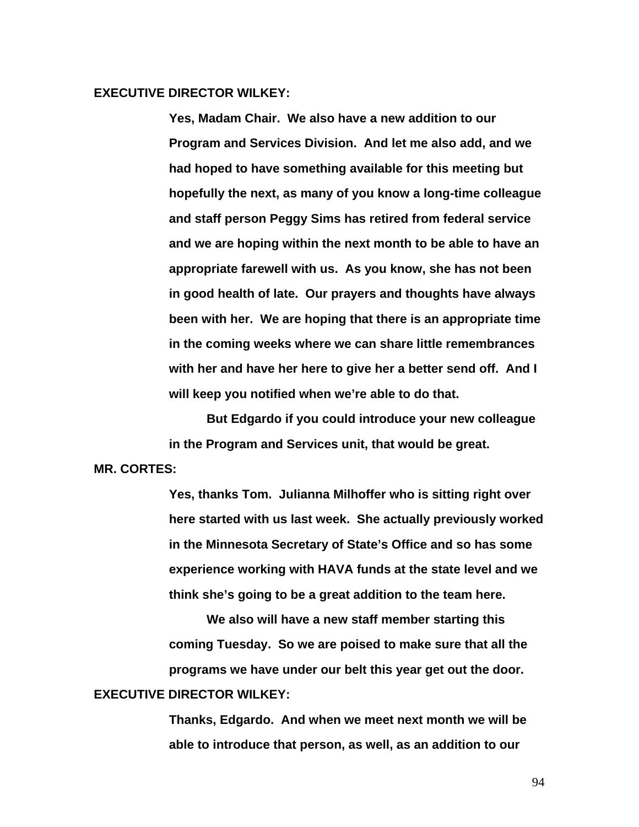# **EXECUTIVE DIRECTOR WILKEY:**

**Yes, Madam Chair. We also have a new addition to our Program and Services Division. And let me also add, and we had hoped to have something available for this meeting but hopefully the next, as many of you know a long-time colleague and staff person Peggy Sims has retired from federal service and we are hoping within the next month to be able to have an appropriate farewell with us. As you know, she has not been in good health of late. Our prayers and thoughts have always been with her. We are hoping that there is an appropriate time in the coming weeks where we can share little remembrances with her and have her here to give her a better send off. And I will keep you notified when we're able to do that.** 

 **But Edgardo if you could introduce your new colleague in the Program and Services unit, that would be great.** 

# **MR. CORTES:**

**Yes, thanks Tom. Julianna Milhoffer who is sitting right over here started with us last week. She actually previously worked in the Minnesota Secretary of State's Office and so has some experience working with HAVA funds at the state level and we think she's going to be a great addition to the team here.** 

**We also will have a new staff member starting this coming Tuesday. So we are poised to make sure that all the programs we have under our belt this year get out the door.** 

# **EXECUTIVE DIRECTOR WILKEY:**

**Thanks, Edgardo. And when we meet next month we will be able to introduce that person, as well, as an addition to our**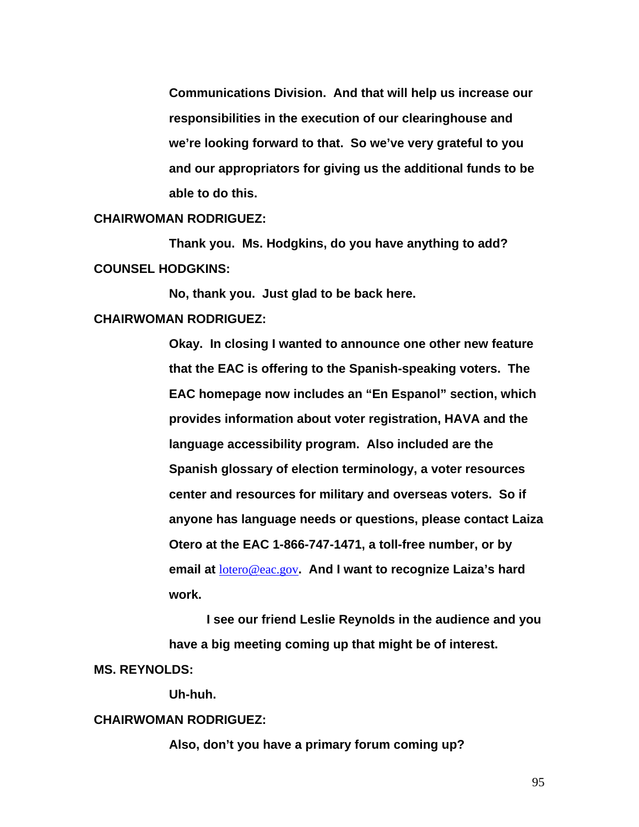**Communications Division. And that will help us increase our responsibilities in the execution of our clearinghouse and we're looking forward to that. So we've very grateful to you and our appropriators for giving us the additional funds to be able to do this.** 

#### **CHAIRWOMAN RODRIGUEZ:**

 **Thank you. Ms. Hodgkins, do you have anything to add? COUNSEL HODGKINS:** 

 **No, thank you. Just glad to be back here. CHAIRWOMAN RODRIGUEZ:** 

> **Okay. In closing I wanted to announce one other new feature that the EAC is offering to the Spanish-speaking voters. The EAC homepage now includes an "En Espanol" section, which provides information about voter registration, HAVA and the language accessibility program. Also included are the Spanish glossary of election terminology, a voter resources center and resources for military and overseas voters. So if anyone has language needs or questions, please contact Laiza Otero at the EAC 1-866-747-1471, a toll-free number, or by email at** [lotero@eac.gov](mailto:lotero@eac.gov)**. And I want to recognize Laiza's hard work.**

 **I see our friend Leslie Reynolds in the audience and you have a big meeting coming up that might be of interest. MS. REYNOLDS:** 

 **Uh-huh.** 

#### **CHAIRWOMAN RODRIGUEZ:**

**Also, don't you have a primary forum coming up?**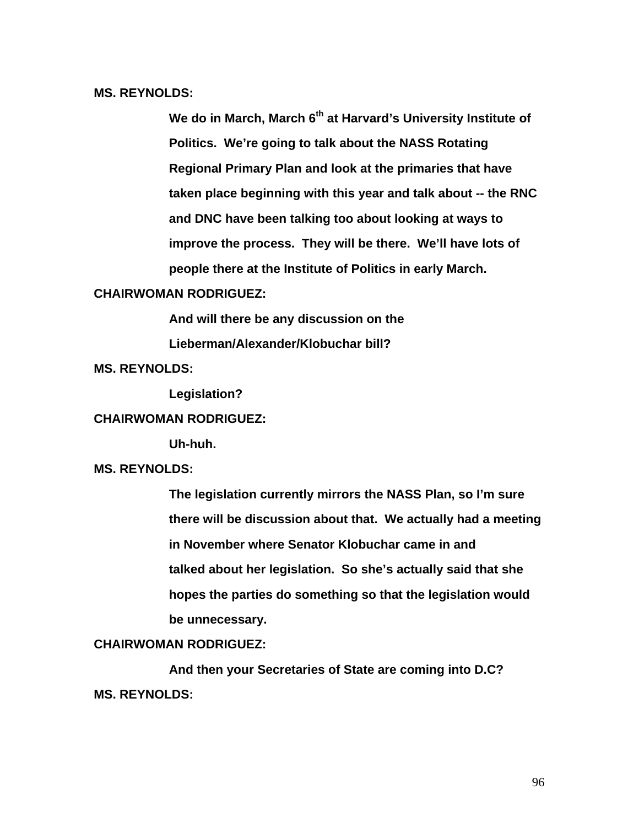**MS. REYNOLDS:** 

We do in March, March 6<sup>th</sup> at Harvard's University Institute of **Politics. We're going to talk about the NASS Rotating Regional Primary Plan and look at the primaries that have taken place beginning with this year and talk about -- the RNC and DNC have been talking too about looking at ways to improve the process. They will be there. We'll have lots of people there at the Institute of Politics in early March.** 

# **CHAIRWOMAN RODRIGUEZ:**

**And will there be any discussion on the** 

**Lieberman/Alexander/Klobuchar bill?** 

**MS. REYNOLDS:** 

 **Legislation?** 

## **CHAIRWOMAN RODRIGUEZ:**

 **Uh-huh.** 

# **MS. REYNOLDS:**

**The legislation currently mirrors the NASS Plan, so I'm sure there will be discussion about that. We actually had a meeting in November where Senator Klobuchar came in and talked about her legislation. So she's actually said that she hopes the parties do something so that the legislation would be unnecessary.** 

# **CHAIRWOMAN RODRIGUEZ:**

 **And then your Secretaries of State are coming into D.C? MS. REYNOLDS:**